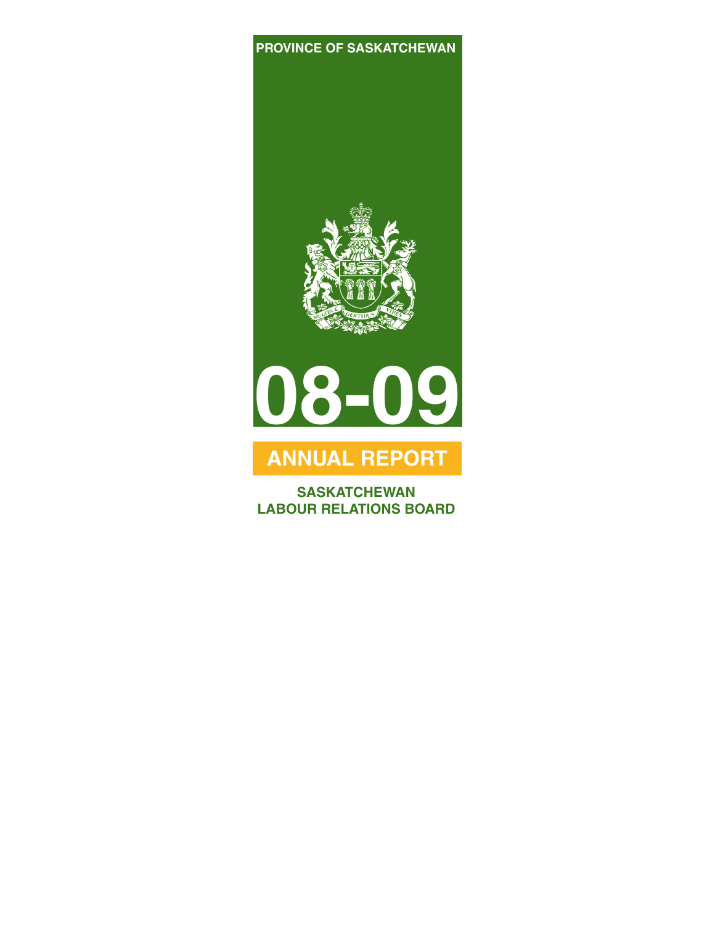#### **PROVINCE OF SASKATCHEWAN**





## **ANNUAL REPORT**

**SASKATCHEWAN LABOUR RELATIONS BOARD**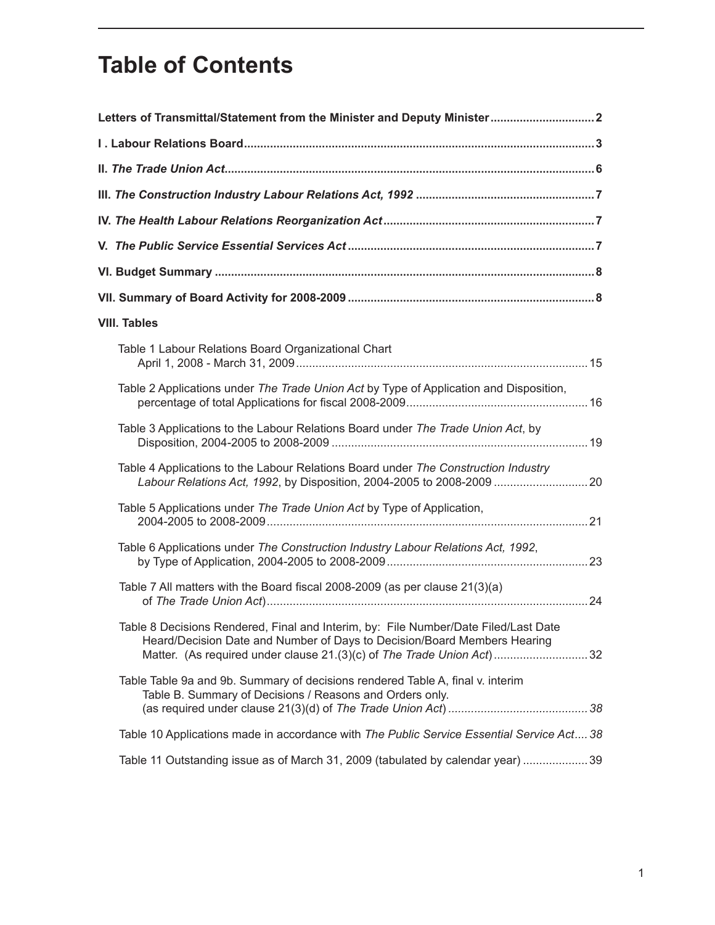# **Table of Contents**

| Letters of Transmittal/Statement from the Minister and Deputy Minister 2                                                                                                                                                                 |
|------------------------------------------------------------------------------------------------------------------------------------------------------------------------------------------------------------------------------------------|
|                                                                                                                                                                                                                                          |
|                                                                                                                                                                                                                                          |
|                                                                                                                                                                                                                                          |
|                                                                                                                                                                                                                                          |
|                                                                                                                                                                                                                                          |
|                                                                                                                                                                                                                                          |
|                                                                                                                                                                                                                                          |
| <b>VIII. Tables</b>                                                                                                                                                                                                                      |
| Table 1 Labour Relations Board Organizational Chart                                                                                                                                                                                      |
| Table 2 Applications under The Trade Union Act by Type of Application and Disposition,                                                                                                                                                   |
| Table 3 Applications to the Labour Relations Board under The Trade Union Act, by                                                                                                                                                         |
| Table 4 Applications to the Labour Relations Board under The Construction Industry<br>Labour Relations Act, 1992, by Disposition, 2004-2005 to 2008-2009  20                                                                             |
| Table 5 Applications under The Trade Union Act by Type of Application,                                                                                                                                                                   |
| Table 6 Applications under The Construction Industry Labour Relations Act, 1992,                                                                                                                                                         |
| Table 7 All matters with the Board fiscal 2008-2009 (as per clause 21(3)(a)                                                                                                                                                              |
| Table 8 Decisions Rendered, Final and Interim, by: File Number/Date Filed/Last Date<br>Heard/Decision Date and Number of Days to Decision/Board Members Hearing<br>Matter. (As required under clause 21.(3)(c) of The Trade Union Act)32 |
| Table Table 9a and 9b. Summary of decisions rendered Table A, final v. interim<br>Table B. Summary of Decisions / Reasons and Orders only.                                                                                               |
| Table 10 Applications made in accordance with The Public Service Essential Service Act 38                                                                                                                                                |
| Table 11 Outstanding issue as of March 31, 2009 (tabulated by calendar year) 39                                                                                                                                                          |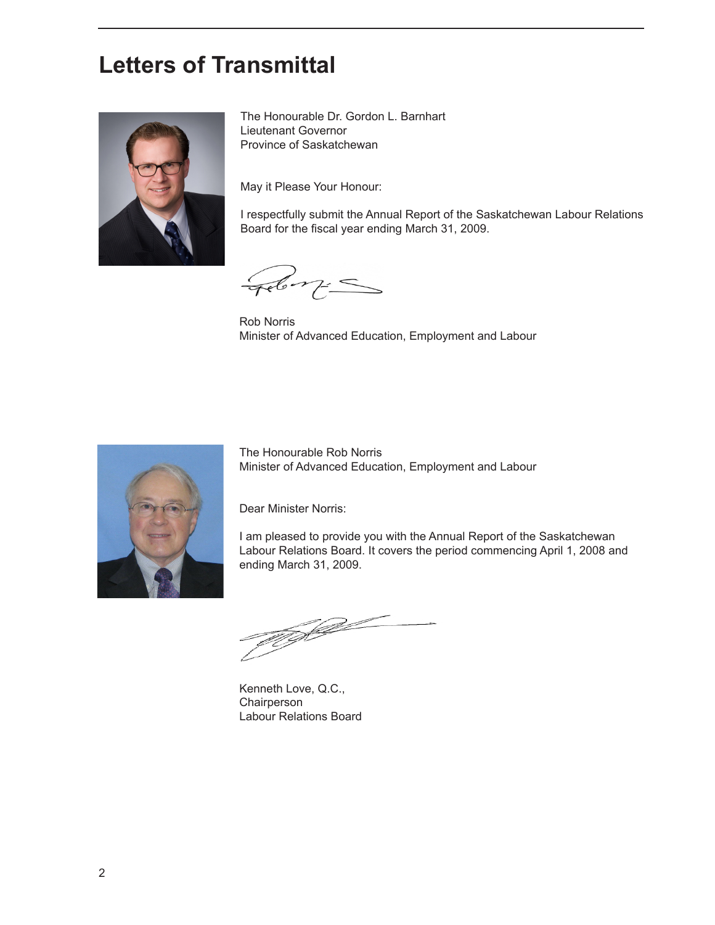## **Letters of Transmittal**



The Honourable Dr. Gordon L. Barnhart Lieutenant Governor Province of Saskatchewan

May it Please Your Honour:

I respectfully submit the Annual Report of the Saskatchewan Labour Relations Board for the fiscal year ending March 31, 2009.

Feb m=

Rob Norris Minister of Advanced Education, Employment and Labour



The Honourable Rob Norris Minister of Advanced Education, Employment and Labour

Dear Minister Norris:

I am pleased to provide you with the Annual Report of the Saskatchewan Labour Relations Board. It covers the period commencing April 1, 2008 and ending March 31, 2009.

TU KAL

Kenneth Love, Q.C., Chairperson Labour Relations Board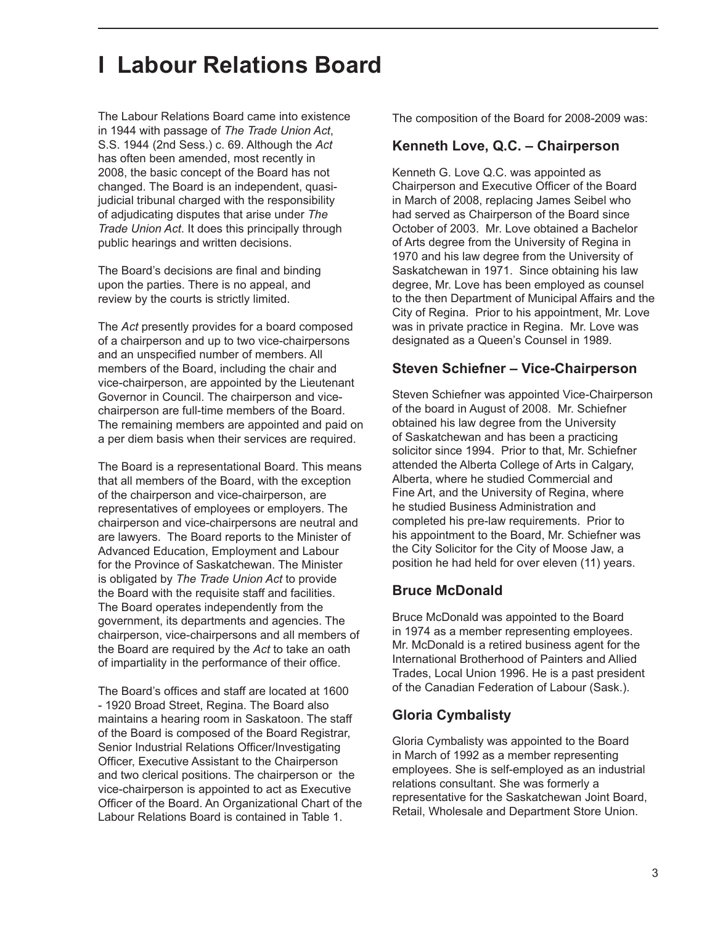## **I Labour Relations Board**

The Labour Relations Board came into existence in 1944 with passage of *The Trade Union Act*, S.S. 1944 (2nd Sess.) c. 69. Although the *Act* has often been amended, most recently in 2008, the basic concept of the Board has not changed. The Board is an independent, quasijudicial tribunal charged with the responsibility of adjudicating disputes that arise under *The Trade Union Act*. It does this principally through public hearings and written decisions.

The Board's decisions are final and binding upon the parties. There is no appeal, and review by the courts is strictly limited.

The *Act* presently provides for a board composed of a chairperson and up to two vice-chairpersons and an unspecified number of members. All members of the Board, including the chair and vice-chairperson, are appointed by the Lieutenant Governor in Council. The chairperson and vicechairperson are full-time members of the Board. The remaining members are appointed and paid on a per diem basis when their services are required.

The Board is a representational Board. This means that all members of the Board, with the exception of the chairperson and vice-chairperson, are representatives of employees or employers. The chairperson and vice-chairpersons are neutral and are lawyers. The Board reports to the Minister of Advanced Education, Employment and Labour for the Province of Saskatchewan. The Minister is obligated by *The Trade Union Act* to provide the Board with the requisite staff and facilities. The Board operates independently from the government, its departments and agencies. The chairperson, vice-chairpersons and all members of the Board are required by the *Act* to take an oath of impartiality in the performance of their office.

The Board's offices and staff are located at 1600 - 1920 Broad Street, Regina. The Board also maintains a hearing room in Saskatoon. The staff of the Board is composed of the Board Registrar, Senior Industrial Relations Officer/Investigating Officer, Executive Assistant to the Chairperson and two clerical positions. The chairperson or the vice-chairperson is appointed to act as Executive Officer of the Board. An Organizational Chart of the Labour Relations Board is contained in Table 1.

The composition of the Board for 2008-2009 was:

#### **Kenneth Love, Q.C. – Chairperson**

Kenneth G. Love Q.C. was appointed as Chairperson and Executive Officer of the Board in March of 2008, replacing James Seibel who had served as Chairperson of the Board since October of 2003. Mr. Love obtained a Bachelor of Arts degree from the University of Regina in 1970 and his law degree from the University of Saskatchewan in 1971. Since obtaining his law degree, Mr. Love has been employed as counsel to the then Department of Municipal Affairs and the City of Regina. Prior to his appointment, Mr. Love was in private practice in Regina. Mr. Love was designated as a Queen's Counsel in 1989.

#### **Steven Schiefner – Vice-Chairperson**

Steven Schiefner was appointed Vice-Chairperson of the board in August of 2008. Mr. Schiefner obtained his law degree from the University of Saskatchewan and has been a practicing solicitor since 1994. Prior to that, Mr. Schiefner attended the Alberta College of Arts in Calgary, Alberta, where he studied Commercial and Fine Art, and the University of Regina, where he studied Business Administration and completed his pre-law requirements. Prior to his appointment to the Board, Mr. Schiefner was the City Solicitor for the City of Moose Jaw, a position he had held for over eleven (11) years.

#### **Bruce McDonald**

Bruce McDonald was appointed to the Board in 1974 as a member representing employees. Mr. McDonald is a retired business agent for the International Brotherhood of Painters and Allied Trades, Local Union 1996. He is a past president of the Canadian Federation of Labour (Sask.).

#### **Gloria Cymbalisty**

Gloria Cymbalisty was appointed to the Board in March of 1992 as a member representing employees. She is self-employed as an industrial relations consultant. She was formerly a representative for the Saskatchewan Joint Board, Retail, Wholesale and Department Store Union.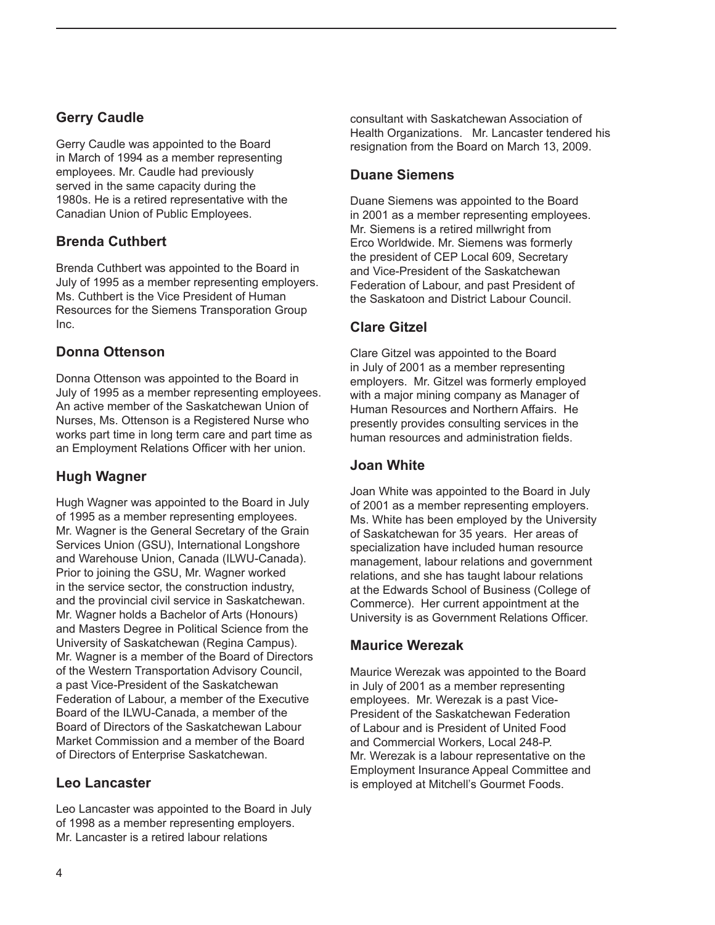#### **Gerry Caudle**

Gerry Caudle was appointed to the Board in March of 1994 as a member representing employees. Mr. Caudle had previously served in the same capacity during the 1980s. He is a retired representative with the Canadian Union of Public Employees.

#### **Brenda Cuthbert**

Brenda Cuthbert was appointed to the Board in July of 1995 as a member representing employers. Ms. Cuthbert is the Vice President of Human Resources for the Siemens Transporation Group Inc.

#### **Donna Ottenson**

Donna Ottenson was appointed to the Board in July of 1995 as a member representing employees. An active member of the Saskatchewan Union of Nurses, Ms. Ottenson is a Registered Nurse who works part time in long term care and part time as an Employment Relations Officer with her union.

### **Hugh Wagner**

Hugh Wagner was appointed to the Board in July of 1995 as a member representing employees. Mr. Wagner is the General Secretary of the Grain Services Union (GSU), International Longshore and Warehouse Union, Canada (ILWU-Canada). Prior to joining the GSU, Mr. Wagner worked in the service sector, the construction industry, and the provincial civil service in Saskatchewan. Mr. Wagner holds a Bachelor of Arts (Honours) and Masters Degree in Political Science from the University of Saskatchewan (Regina Campus). Mr. Wagner is a member of the Board of Directors of the Western Transportation Advisory Council, a past Vice-President of the Saskatchewan Federation of Labour, a member of the Executive Board of the ILWU-Canada, a member of the Board of Directors of the Saskatchewan Labour Market Commission and a member of the Board of Directors of Enterprise Saskatchewan.

#### **Leo Lancaster**

Leo Lancaster was appointed to the Board in July of 1998 as a member representing employers. Mr. Lancaster is a retired labour relations

consultant with Saskatchewan Association of Health Organizations. Mr. Lancaster tendered his resignation from the Board on March 13, 2009.

#### **Duane Siemens**

Duane Siemens was appointed to the Board in 2001 as a member representing employees. Mr. Siemens is a retired millwright from Erco Worldwide. Mr. Siemens was formerly the president of CEP Local 609, Secretary and Vice-President of the Saskatchewan Federation of Labour, and past President of the Saskatoon and District Labour Council.

#### **Clare Gitzel**

Clare Gitzel was appointed to the Board in July of 2001 as a member representing employers. Mr. Gitzel was formerly employed with a major mining company as Manager of Human Resources and Northern Affairs. He presently provides consulting services in the human resources and administration fields.

#### **Joan White**

Joan White was appointed to the Board in July of 2001 as a member representing employers. Ms. White has been employed by the University of Saskatchewan for 35 years. Her areas of specialization have included human resource management, labour relations and government relations, and she has taught labour relations at the Edwards School of Business (College of Commerce). Her current appointment at the University is as Government Relations Officer.

#### **Maurice Werezak**

Maurice Werezak was appointed to the Board in July of 2001 as a member representing employees. Mr. Werezak is a past Vice-President of the Saskatchewan Federation of Labour and is President of United Food and Commercial Workers, Local 248-P. Mr. Werezak is a labour representative on the Employment Insurance Appeal Committee and is employed at Mitchell's Gourmet Foods.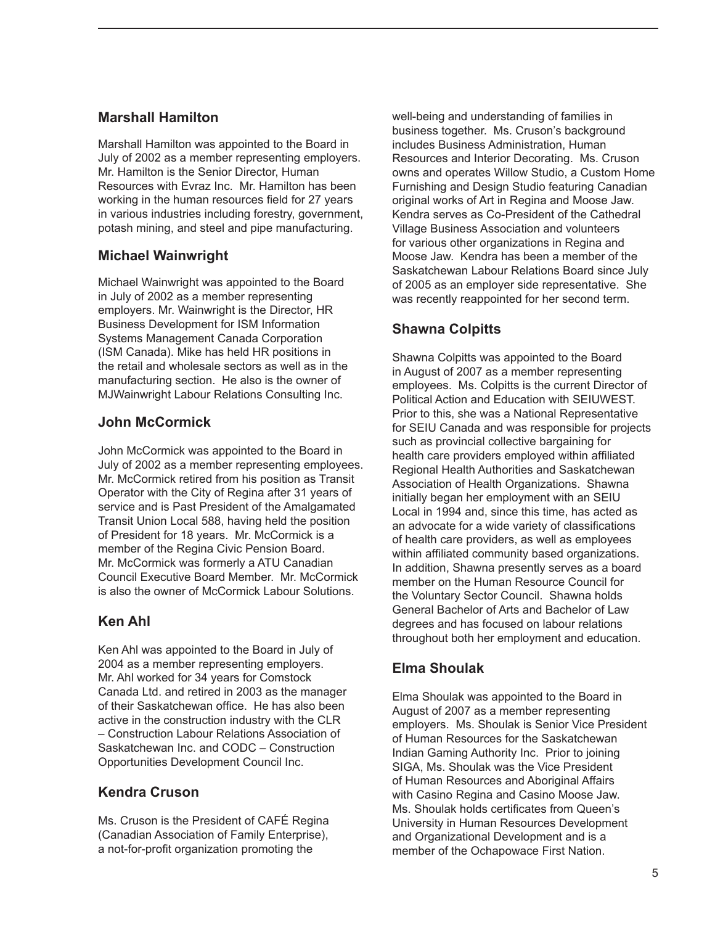#### **Marshall Hamilton**

Marshall Hamilton was appointed to the Board in July of 2002 as a member representing employers. Mr. Hamilton is the Senior Director, Human Resources with Evraz Inc. Mr. Hamilton has been working in the human resources field for 27 years in various industries including forestry, government, potash mining, and steel and pipe manufacturing.

#### **Michael Wainwright**

Michael Wainwright was appointed to the Board in July of 2002 as a member representing employers. Mr. Wainwright is the Director, HR Business Development for ISM Information Systems Management Canada Corporation (ISM Canada). Mike has held HR positions in the retail and wholesale sectors as well as in the manufacturing section. He also is the owner of MJWainwright Labour Relations Consulting Inc.

#### **John McCormick**

John McCormick was appointed to the Board in July of 2002 as a member representing employees. Mr. McCormick retired from his position as Transit Operator with the City of Regina after 31 years of service and is Past President of the Amalgamated Transit Union Local 588, having held the position of President for 18 years. Mr. McCormick is a member of the Regina Civic Pension Board. Mr. McCormick was formerly a ATU Canadian Council Executive Board Member. Mr. McCormick is also the owner of McCormick Labour Solutions.

#### **Ken Ahl**

Ken Ahl was appointed to the Board in July of 2004 as a member representing employers. Mr. Ahl worked for 34 years for Comstock Canada Ltd. and retired in 2003 as the manager of their Saskatchewan office. He has also been active in the construction industry with the CLR – Construction Labour Relations Association of Saskatchewan Inc. and CODC – Construction Opportunities Development Council Inc.

#### **Kendra Cruson**

Ms. Cruson is the President of CAFÉ Regina (Canadian Association of Family Enterprise), a not-for-profit organization promoting the

well-being and understanding of families in business together. Ms. Cruson's background includes Business Administration, Human Resources and Interior Decorating. Ms. Cruson owns and operates Willow Studio, a Custom Home Furnishing and Design Studio featuring Canadian original works of Art in Regina and Moose Jaw. Kendra serves as Co-President of the Cathedral Village Business Association and volunteers for various other organizations in Regina and Moose Jaw. Kendra has been a member of the Saskatchewan Labour Relations Board since July of 2005 as an employer side representative. She was recently reappointed for her second term.

#### **Shawna Colpitts**

Shawna Colpitts was appointed to the Board in August of 2007 as a member representing employees. Ms. Colpitts is the current Director of Political Action and Education with SEIUWEST. Prior to this, she was a National Representative for SEIU Canada and was responsible for projects such as provincial collective bargaining for health care providers employed within affiliated Regional Health Authorities and Saskatchewan Association of Health Organizations. Shawna initially began her employment with an SEIU Local in 1994 and, since this time, has acted as an advocate for a wide variety of classifications of health care providers, as well as employees within affiliated community based organizations. In addition, Shawna presently serves as a board member on the Human Resource Council for the Voluntary Sector Council. Shawna holds General Bachelor of Arts and Bachelor of Law degrees and has focused on labour relations throughout both her employment and education.

### **Elma Shoulak**

Elma Shoulak was appointed to the Board in August of 2007 as a member representing employers. Ms. Shoulak is Senior Vice President of Human Resources for the Saskatchewan Indian Gaming Authority Inc. Prior to joining SIGA, Ms. Shoulak was the Vice President of Human Resources and Aboriginal Affairs with Casino Regina and Casino Moose Jaw. Ms. Shoulak holds certificates from Queen's University in Human Resources Development and Organizational Development and is a member of the Ochapowace First Nation.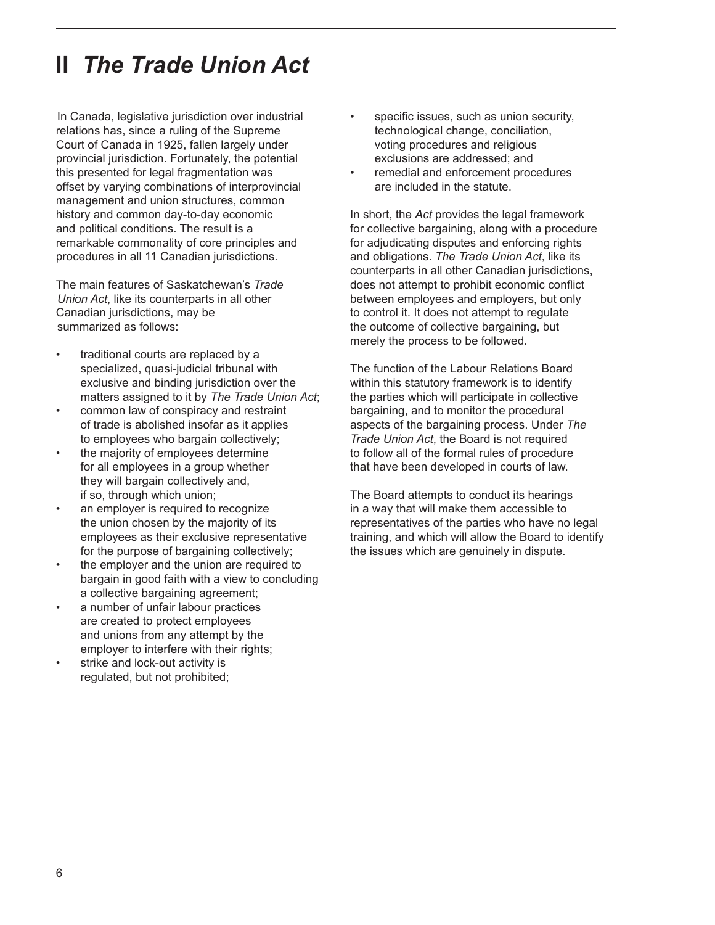# **II** *The Trade Union Act*

In Canada, legislative jurisdiction over industrial relations has, since a ruling of the Supreme Court of Canada in 1925, fallen largely under provincial jurisdiction. Fortunately, the potential this presented for legal fragmentation was offset by varying combinations of interprovincial management and union structures, common history and common day-to-day economic and political conditions. The result is a remarkable commonality of core principles and procedures in all 11 Canadian jurisdictions.

The main features of Saskatchewan's *Trade Union Act*, like its counterparts in all other Canadian jurisdictions, may be summarized as follows:

- traditional courts are replaced by a specialized, quasi-judicial tribunal with exclusive and binding jurisdiction over the matters assigned to it by *The Trade Union Act*;
- common law of conspiracy and restraint of trade is abolished insofar as it applies to employees who bargain collectively;
- the majority of employees determine for all employees in a group whether they will bargain collectively and, if so, through which union;
- an employer is required to recognize the union chosen by the majority of its employees as their exclusive representative for the purpose of bargaining collectively;
- the employer and the union are required to bargain in good faith with a view to concluding a collective bargaining agreement;
- a number of unfair labour practices are created to protect employees and unions from any attempt by the employer to interfere with their rights;
- strike and lock-out activity is regulated, but not prohibited;
- specific issues, such as union security, technological change, conciliation, voting procedures and religious exclusions are addressed; and
- remedial and enforcement procedures are included in the statute.

In short, the *Act* provides the legal framework for collective bargaining, along with a procedure for adjudicating disputes and enforcing rights and obligations. *The Trade Union Act*, like its counterparts in all other Canadian jurisdictions, does not attempt to prohibit economic conflict between employees and employers, but only to control it. It does not attempt to regulate the outcome of collective bargaining, but merely the process to be followed.

The function of the Labour Relations Board within this statutory framework is to identify the parties which will participate in collective bargaining, and to monitor the procedural aspects of the bargaining process. Under *The Trade Union Act*, the Board is not required to follow all of the formal rules of procedure that have been developed in courts of law.

The Board attempts to conduct its hearings in a way that will make them accessible to representatives of the parties who have no legal training, and which will allow the Board to identify the issues which are genuinely in dispute.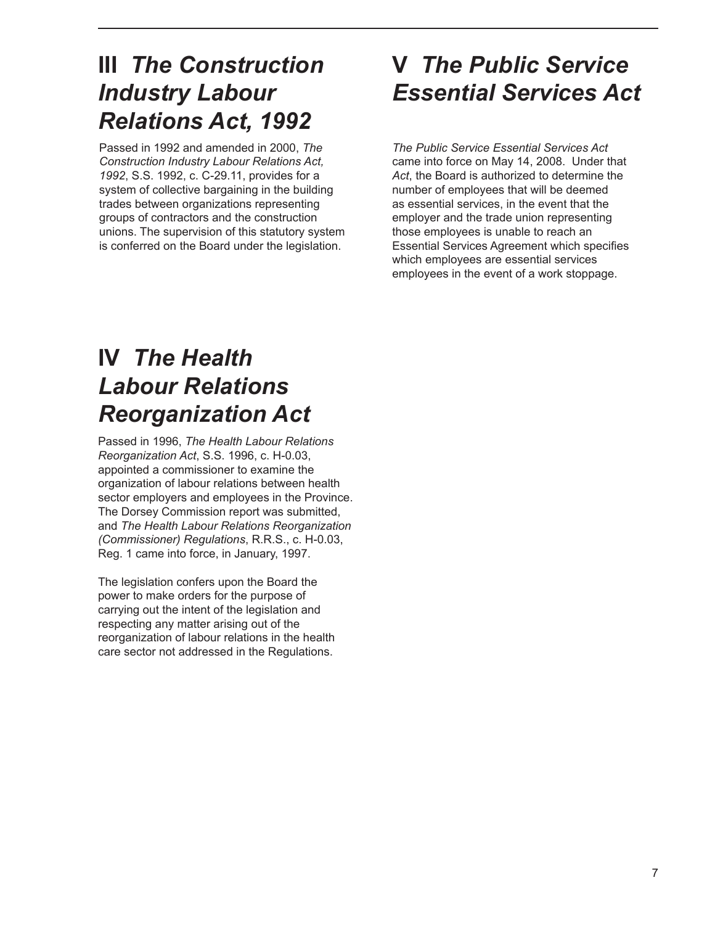## **III** *The Construction Industry Labour Relations Act, 1992*

Passed in 1992 and amended in 2000, *The Construction Industry Labour Relations Act, 1992*, S.S. 1992, c. C-29.11, provides for a system of collective bargaining in the building trades between organizations representing groups of contractors and the construction unions. The supervision of this statutory system is conferred on the Board under the legislation.

# **V** *The Public Service Essential Services Act*

*The Public Service Essential Services Act* came into force on May 14, 2008. Under that *Act*, the Board is authorized to determine the number of employees that will be deemed as essential services, in the event that the employer and the trade union representing those employees is unable to reach an Essential Services Agreement which specifies which employees are essential services employees in the event of a work stoppage.

# **IV** *The Health Labour Relations Reorganization Act*

Passed in 1996, *The Health Labour Relations Reorganization Act*, S.S. 1996, c. H-0.03, appointed a commissioner to examine the organization of labour relations between health sector employers and employees in the Province. The Dorsey Commission report was submitted, and *The Health Labour Relations Reorganization (Commissioner) Regulations*, R.R.S., c. H-0.03, Reg. 1 came into force, in January, 1997.

The legislation confers upon the Board the power to make orders for the purpose of carrying out the intent of the legislation and respecting any matter arising out of the reorganization of labour relations in the health care sector not addressed in the Regulations.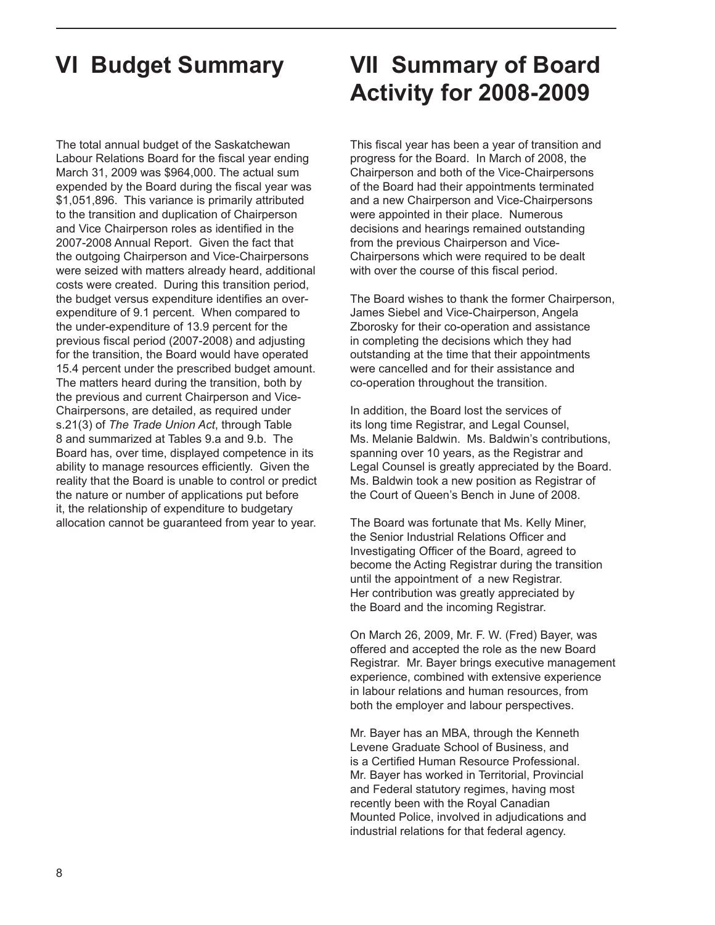The total annual budget of the Saskatchewan Labour Relations Board for the fiscal year ending March 31, 2009 was \$964,000. The actual sum expended by the Board during the fiscal year was \$1,051,896. This variance is primarily attributed to the transition and duplication of Chairperson and Vice Chairperson roles as identified in the 2007-2008 Annual Report. Given the fact that the outgoing Chairperson and Vice-Chairpersons were seized with matters already heard, additional costs were created. During this transition period, the budget versus expenditure identifies an overexpenditure of 9.1 percent. When compared to the under-expenditure of 13.9 percent for the previous fiscal period (2007-2008) and adjusting for the transition, the Board would have operated 15.4 percent under the prescribed budget amount. The matters heard during the transition, both by the previous and current Chairperson and Vice-Chairpersons, are detailed, as required under s.21(3) of *The Trade Union Act*, through Table 8 and summarized at Tables 9.a and 9.b. The Board has, over time, displayed competence in its ability to manage resources efficiently. Given the reality that the Board is unable to control or predict the nature or number of applications put before it, the relationship of expenditure to budgetary allocation cannot be guaranteed from year to year.

# **VI Budget Summary VII Summary of Board Activity for 2008-2009**

This fiscal year has been a year of transition and progress for the Board. In March of 2008, the Chairperson and both of the Vice-Chairpersons of the Board had their appointments terminated and a new Chairperson and Vice-Chairpersons were appointed in their place. Numerous decisions and hearings remained outstanding from the previous Chairperson and Vice-Chairpersons which were required to be dealt with over the course of this fiscal period.

The Board wishes to thank the former Chairperson, James Siebel and Vice-Chairperson, Angela Zborosky for their co-operation and assistance in completing the decisions which they had outstanding at the time that their appointments were cancelled and for their assistance and co-operation throughout the transition.

In addition, the Board lost the services of its long time Registrar, and Legal Counsel, Ms. Melanie Baldwin. Ms. Baldwin's contributions, spanning over 10 years, as the Registrar and Legal Counsel is greatly appreciated by the Board. Ms. Baldwin took a new position as Registrar of the Court of Queen's Bench in June of 2008.

The Board was fortunate that Ms. Kelly Miner, the Senior Industrial Relations Officer and Investigating Officer of the Board, agreed to become the Acting Registrar during the transition until the appointment of a new Registrar. Her contribution was greatly appreciated by the Board and the incoming Registrar.

On March 26, 2009, Mr. F. W. (Fred) Bayer, was offered and accepted the role as the new Board Registrar. Mr. Bayer brings executive management experience, combined with extensive experience in labour relations and human resources, from both the employer and labour perspectives.

Mr. Bayer has an MBA, through the Kenneth Levene Graduate School of Business, and is a Certified Human Resource Professional. Mr. Bayer has worked in Territorial, Provincial and Federal statutory regimes, having most recently been with the Royal Canadian Mounted Police, involved in adjudications and industrial relations for that federal agency.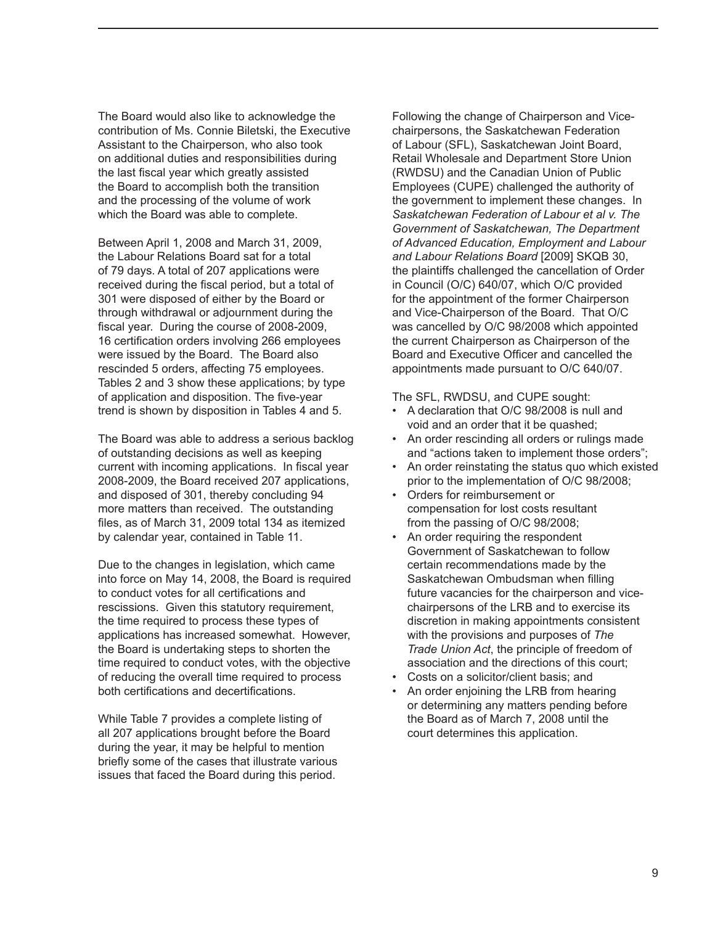The Board would also like to acknowledge the contribution of Ms. Connie Biletski, the Executive Assistant to the Chairperson, who also took on additional duties and responsibilities during the last fiscal year which greatly assisted the Board to accomplish both the transition and the processing of the volume of work which the Board was able to complete.

Between April 1, 2008 and March 31, 2009, the Labour Relations Board sat for a total of 79 days. A total of 207 applications were received during the fiscal period, but a total of 301 were disposed of either by the Board or through withdrawal or adjournment during the fiscal year. During the course of 2008-2009, 16 certification orders involving 266 employees were issued by the Board. The Board also rescinded 5 orders, affecting 75 employees. Tables 2 and 3 show these applications; by type of application and disposition. The five-year trend is shown by disposition in Tables 4 and 5.

The Board was able to address a serious backlog of outstanding decisions as well as keeping current with incoming applications. In fiscal year 2008-2009, the Board received 207 applications, and disposed of 301, thereby concluding 94 more matters than received. The outstanding files, as of March 31, 2009 total 134 as itemized by calendar year, contained in Table 11.

Due to the changes in legislation, which came into force on May 14, 2008, the Board is required to conduct votes for all certifications and rescissions. Given this statutory requirement, the time required to process these types of applications has increased somewhat. However, the Board is undertaking steps to shorten the time required to conduct votes, with the objective of reducing the overall time required to process both certifications and decertifications.

While Table 7 provides a complete listing of all 207 applications brought before the Board during the year, it may be helpful to mention briefly some of the cases that illustrate various issues that faced the Board during this period.

Following the change of Chairperson and Vicechairpersons, the Saskatchewan Federation of Labour (SFL), Saskatchewan Joint Board, Retail Wholesale and Department Store Union (RWDSU) and the Canadian Union of Public Employees (CUPE) challenged the authority of the government to implement these changes. In *Saskatchewan Federation of Labour et al v. The Government of Saskatchewan, The Department of Advanced Education, Employment and Labour and Labour Relations Board* [2009] SKQB 30, the plaintiffs challenged the cancellation of Order in Council (O/C) 640/07, which O/C provided for the appointment of the former Chairperson and Vice-Chairperson of the Board. That O/C was cancelled by O/C 98/2008 which appointed the current Chairperson as Chairperson of the Board and Executive Officer and cancelled the appointments made pursuant to O/C 640/07.

The SFL, RWDSU, and CUPE sought:

- • A declaration that O/C 98/2008 is null and void and an order that it be quashed;
- An order rescinding all orders or rulings made and "actions taken to implement those orders";
- An order reinstating the status quo which existed prior to the implementation of O/C 98/2008;
- Orders for reimbursement or compensation for lost costs resultant from the passing of O/C 98/2008;
- An order requiring the respondent Government of Saskatchewan to follow certain recommendations made by the Saskatchewan Ombudsman when filling future vacancies for the chairperson and vicechairpersons of the LRB and to exercise its discretion in making appointments consistent with the provisions and purposes of *The Trade Union Act*, the principle of freedom of association and the directions of this court;
- Costs on a solicitor/client basis; and
- An order enjoining the LRB from hearing or determining any matters pending before the Board as of March 7, 2008 until the court determines this application.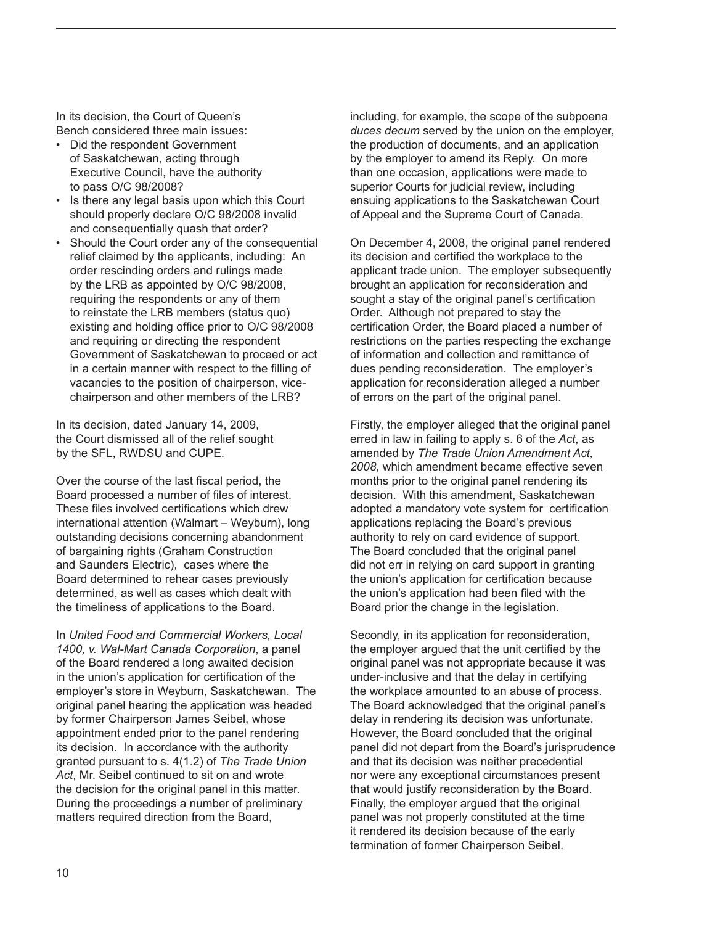In its decision, the Court of Queen's Bench considered three main issues:

- Did the respondent Government of Saskatchewan, acting through Executive Council, have the authority to pass O/C 98/2008?
- Is there any legal basis upon which this Court should properly declare O/C 98/2008 invalid and consequentially quash that order?
- Should the Court order any of the consequential relief claimed by the applicants, including: An order rescinding orders and rulings made by the LRB as appointed by O/C 98/2008, requiring the respondents or any of them to reinstate the LRB members (status quo) existing and holding office prior to O/C 98/2008 and requiring or directing the respondent Government of Saskatchewan to proceed or act in a certain manner with respect to the filling of vacancies to the position of chairperson, vicechairperson and other members of the LRB?

In its decision, dated January 14, 2009, the Court dismissed all of the relief sought by the SFL, RWDSU and CUPE.

Over the course of the last fiscal period, the Board processed a number of files of interest. These files involved certifications which drew international attention (Walmart – Weyburn), long outstanding decisions concerning abandonment of bargaining rights (Graham Construction and Saunders Electric), cases where the Board determined to rehear cases previously determined, as well as cases which dealt with the timeliness of applications to the Board.

In *United Food and Commercial Workers, Local 1400, v. Wal-Mart Canada Corporation*, a panel of the Board rendered a long awaited decision in the union's application for certification of the employer's store in Weyburn, Saskatchewan. The original panel hearing the application was headed by former Chairperson James Seibel, whose appointment ended prior to the panel rendering its decision. In accordance with the authority granted pursuant to s. 4(1.2) of *The Trade Union Act*, Mr. Seibel continued to sit on and wrote the decision for the original panel in this matter. During the proceedings a number of preliminary matters required direction from the Board,

including, for example, the scope of the subpoena *duces decum* served by the union on the employer, the production of documents, and an application by the employer to amend its Reply. On more than one occasion, applications were made to superior Courts for judicial review, including ensuing applications to the Saskatchewan Court of Appeal and the Supreme Court of Canada.

On December 4, 2008, the original panel rendered its decision and certified the workplace to the applicant trade union. The employer subsequently brought an application for reconsideration and sought a stay of the original panel's certification Order. Although not prepared to stay the certification Order, the Board placed a number of restrictions on the parties respecting the exchange of information and collection and remittance of dues pending reconsideration. The employer's application for reconsideration alleged a number of errors on the part of the original panel.

Firstly, the employer alleged that the original panel erred in law in failing to apply s. 6 of the *Act*, as amended by *The Trade Union Amendment Act, 2008*, which amendment became effective seven months prior to the original panel rendering its decision. With this amendment, Saskatchewan adopted a mandatory vote system for certification applications replacing the Board's previous authority to rely on card evidence of support. The Board concluded that the original panel did not err in relying on card support in granting the union's application for certification because the union's application had been filed with the Board prior the change in the legislation.

Secondly, in its application for reconsideration, the employer argued that the unit certified by the original panel was not appropriate because it was under-inclusive and that the delay in certifying the workplace amounted to an abuse of process. The Board acknowledged that the original panel's delay in rendering its decision was unfortunate. However, the Board concluded that the original panel did not depart from the Board's jurisprudence and that its decision was neither precedential nor were any exceptional circumstances present that would justify reconsideration by the Board. Finally, the employer argued that the original panel was not properly constituted at the time it rendered its decision because of the early termination of former Chairperson Seibel.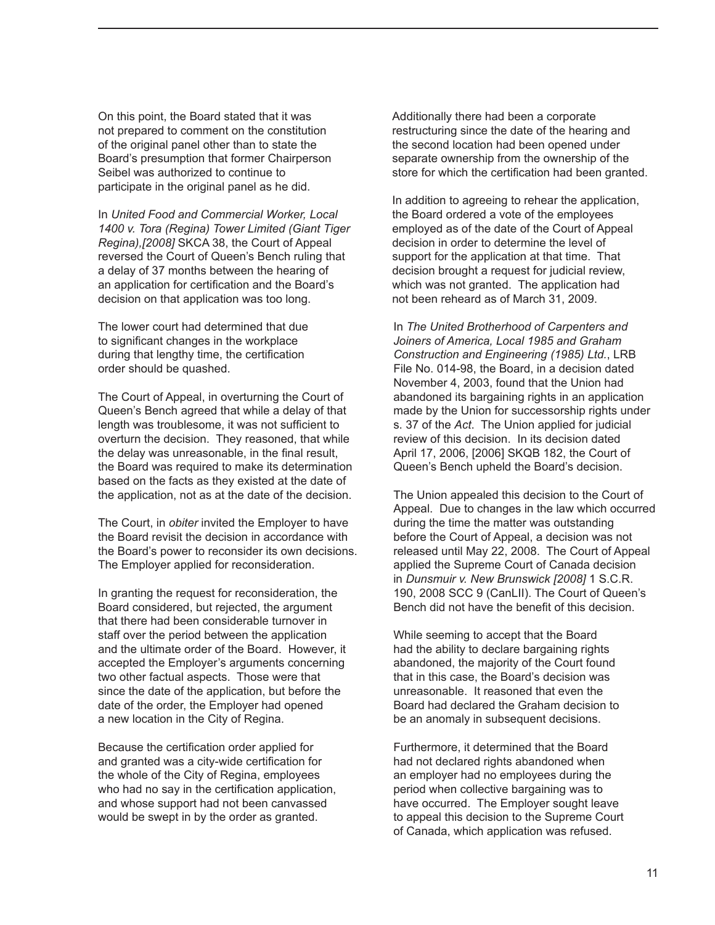On this point, the Board stated that it was not prepared to comment on the constitution of the original panel other than to state the Board's presumption that former Chairperson Seibel was authorized to continue to participate in the original panel as he did.

In *United Food and Commercial Worker, Local 1400 v. Tora (Regina) Tower Limited (Giant Tiger Regina),[2008]* SKCA 38, the Court of Appeal reversed the Court of Queen's Bench ruling that a delay of 37 months between the hearing of an application for certification and the Board's decision on that application was too long.

The lower court had determined that due to significant changes in the workplace during that lengthy time, the certification order should be quashed.

The Court of Appeal, in overturning the Court of Queen's Bench agreed that while a delay of that length was troublesome, it was not sufficient to overturn the decision. They reasoned, that while the delay was unreasonable, in the final result, the Board was required to make its determination based on the facts as they existed at the date of the application, not as at the date of the decision.

The Court, in *obiter* invited the Employer to have the Board revisit the decision in accordance with the Board's power to reconsider its own decisions. The Employer applied for reconsideration.

In granting the request for reconsideration, the Board considered, but rejected, the argument that there had been considerable turnover in staff over the period between the application and the ultimate order of the Board. However, it accepted the Employer's arguments concerning two other factual aspects. Those were that since the date of the application, but before the date of the order, the Employer had opened a new location in the City of Regina.

Because the certification order applied for and granted was a city-wide certification for the whole of the City of Regina, employees who had no say in the certification application, and whose support had not been canvassed would be swept in by the order as granted.

Additionally there had been a corporate restructuring since the date of the hearing and the second location had been opened under separate ownership from the ownership of the store for which the certification had been granted.

In addition to agreeing to rehear the application, the Board ordered a vote of the employees employed as of the date of the Court of Appeal decision in order to determine the level of support for the application at that time. That decision brought a request for judicial review, which was not granted. The application had not been reheard as of March 31, 2009.

In *The United Brotherhood of Carpenters and Joiners of America, Local 1985 and Graham Construction and Engineering (1985) Ltd.*, LRB File No. 014-98, the Board, in a decision dated November 4, 2003, found that the Union had abandoned its bargaining rights in an application made by the Union for successorship rights under s. 37 of the *Act*. The Union applied for judicial review of this decision. In its decision dated April 17, 2006, [2006] SKQB 182, the Court of Queen's Bench upheld the Board's decision.

The Union appealed this decision to the Court of Appeal. Due to changes in the law which occurred during the time the matter was outstanding before the Court of Appeal, a decision was not released until May 22, 2008. The Court of Appeal applied the Supreme Court of Canada decision in *Dunsmuir v. New Brunswick [2008]* 1 S.C.R. 190, 2008 SCC 9 (CanLII). The Court of Queen's Bench did not have the benefit of this decision.

While seeming to accept that the Board had the ability to declare bargaining rights abandoned, the majority of the Court found that in this case, the Board's decision was unreasonable. It reasoned that even the Board had declared the Graham decision to be an anomaly in subsequent decisions.

Furthermore, it determined that the Board had not declared rights abandoned when an employer had no employees during the period when collective bargaining was to have occurred. The Employer sought leave to appeal this decision to the Supreme Court of Canada, which application was refused.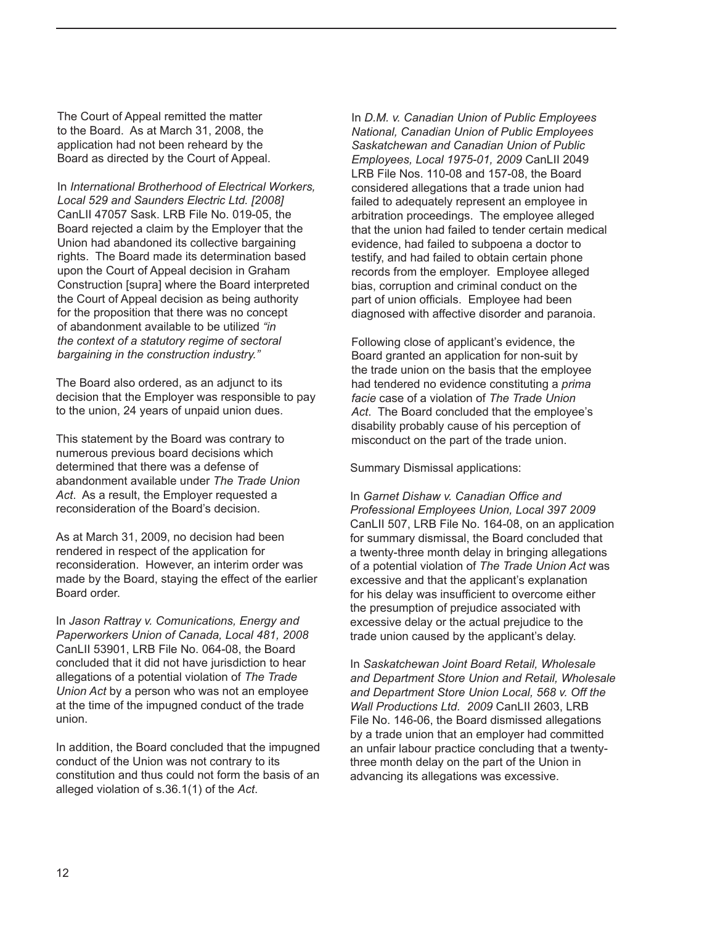The Court of Appeal remitted the matter to the Board. As at March 31, 2008, the application had not been reheard by the Board as directed by the Court of Appeal.

In *International Brotherhood of Electrical Workers, Local 529 and Saunders Electric Ltd. [2008]* CanLII 47057 Sask. LRB File No. 019-05, the Board rejected a claim by the Employer that the Union had abandoned its collective bargaining rights. The Board made its determination based upon the Court of Appeal decision in Graham Construction [supra] where the Board interpreted the Court of Appeal decision as being authority for the proposition that there was no concept of abandonment available to be utilized *"in the context of a statutory regime of sectoral bargaining in the construction industry."*

The Board also ordered, as an adjunct to its decision that the Employer was responsible to pay to the union, 24 years of unpaid union dues.

This statement by the Board was contrary to numerous previous board decisions which determined that there was a defense of abandonment available under *The Trade Union Act*. As a result, the Employer requested a reconsideration of the Board's decision.

As at March 31, 2009, no decision had been rendered in respect of the application for reconsideration. However, an interim order was made by the Board, staying the effect of the earlier Board order.

In *Jason Rattray v. Comunications, Energy and Paperworkers Union of Canada, Local 481, 2008* CanLII 53901, LRB File No. 064-08, the Board concluded that it did not have jurisdiction to hear allegations of a potential violation of *The Trade Union Act* by a person who was not an employee at the time of the impugned conduct of the trade union.

In addition, the Board concluded that the impugned conduct of the Union was not contrary to its constitution and thus could not form the basis of an alleged violation of s.36.1(1) of the *Act*.

In *D.M. v. Canadian Union of Public Employees National, Canadian Union of Public Employees Saskatchewan and Canadian Union of Public Employees, Local 1975-01, 2009* CanLII 2049 LRB File Nos. 110-08 and 157-08, the Board considered allegations that a trade union had failed to adequately represent an employee in arbitration proceedings. The employee alleged that the union had failed to tender certain medical evidence, had failed to subpoena a doctor to testify, and had failed to obtain certain phone records from the employer. Employee alleged bias, corruption and criminal conduct on the part of union officials. Employee had been diagnosed with affective disorder and paranoia.

Following close of applicant's evidence, the Board granted an application for non-suit by the trade union on the basis that the employee had tendered no evidence constituting a *prima facie* case of a violation of *The Trade Union Act*. The Board concluded that the employee's disability probably cause of his perception of misconduct on the part of the trade union.

Summary Dismissal applications:

In *Garnet Dishaw v. Canadian Office and Professional Employees Union, Local 397 2009* CanLII 507, LRB File No. 164-08, on an application for summary dismissal, the Board concluded that a twenty-three month delay in bringing allegations of a potential violation of *The Trade Union Act* was excessive and that the applicant's explanation for his delay was insufficient to overcome either the presumption of prejudice associated with excessive delay or the actual prejudice to the trade union caused by the applicant's delay.

In *Saskatchewan Joint Board Retail, Wholesale and Department Store Union and Retail, Wholesale and Department Store Union Local, 568 v. Off the Wall Productions Ltd. 2009* CanLII 2603, LRB File No. 146-06, the Board dismissed allegations by a trade union that an employer had committed an unfair labour practice concluding that a twentythree month delay on the part of the Union in advancing its allegations was excessive.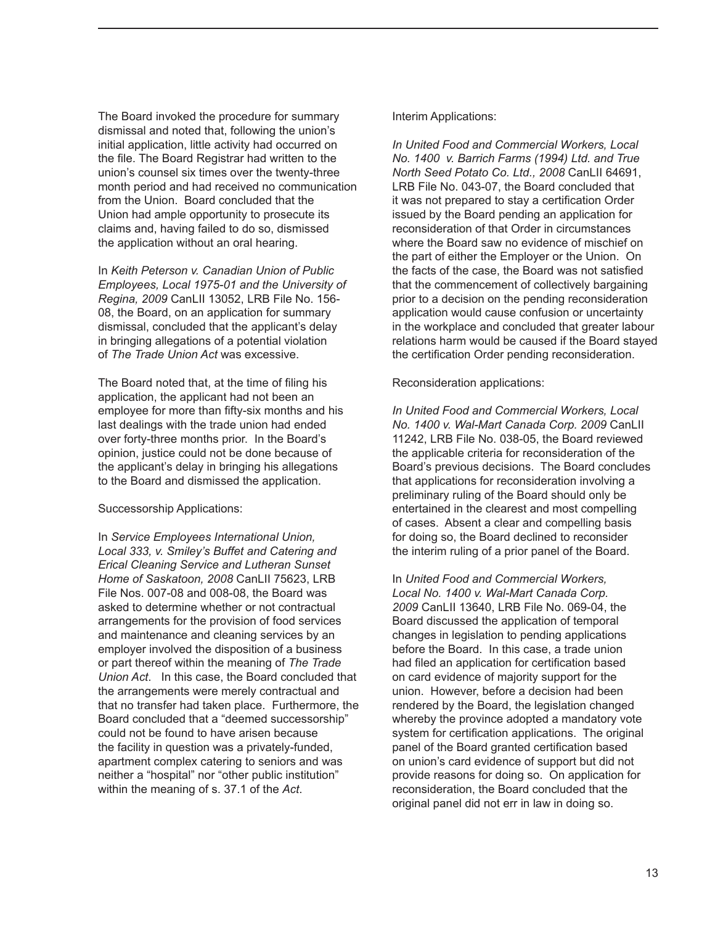The Board invoked the procedure for summary dismissal and noted that, following the union's initial application, little activity had occurred on the file. The Board Registrar had written to the union's counsel six times over the twenty-three month period and had received no communication from the Union. Board concluded that the Union had ample opportunity to prosecute its claims and, having failed to do so, dismissed the application without an oral hearing.

In *Keith Peterson v. Canadian Union of Public Employees, Local 1975-01 and the University of Regina, 2009* CanLII 13052, LRB File No. 156- 08, the Board, on an application for summary dismissal, concluded that the applicant's delay in bringing allegations of a potential violation of *The Trade Union Act* was excessive.

The Board noted that, at the time of filing his application, the applicant had not been an employee for more than fifty-six months and his last dealings with the trade union had ended over forty-three months prior. In the Board's opinion, justice could not be done because of the applicant's delay in bringing his allegations to the Board and dismissed the application.

#### Successorship Applications:

In *Service Employees International Union, Local 333, v. Smiley's Buffet and Catering and Erical Cleaning Service and Lutheran Sunset Home of Saskatoon, 2008* CanLII 75623, LRB File Nos. 007-08 and 008-08, the Board was asked to determine whether or not contractual arrangements for the provision of food services and maintenance and cleaning services by an employer involved the disposition of a business or part thereof within the meaning of *The Trade Union Act*. In this case, the Board concluded that the arrangements were merely contractual and that no transfer had taken place. Furthermore, the Board concluded that a "deemed successorship" could not be found to have arisen because the facility in question was a privately-funded, apartment complex catering to seniors and was neither a "hospital" nor "other public institution" within the meaning of s. 37.1 of the *Act*.

#### Interim Applications:

*In United Food and Commercial Workers, Local No. 1400 v. Barrich Farms (1994) Ltd. and True North Seed Potato Co. Ltd., 2008* CanLII 64691, LRB File No. 043-07, the Board concluded that it was not prepared to stay a certification Order issued by the Board pending an application for reconsideration of that Order in circumstances where the Board saw no evidence of mischief on the part of either the Employer or the Union. On the facts of the case, the Board was not satisfied that the commencement of collectively bargaining prior to a decision on the pending reconsideration application would cause confusion or uncertainty in the workplace and concluded that greater labour relations harm would be caused if the Board stayed the certification Order pending reconsideration.

Reconsideration applications:

*In United Food and Commercial Workers, Local No. 1400 v. Wal-Mart Canada Corp. 2009* CanLII 11242, LRB File No. 038-05, the Board reviewed the applicable criteria for reconsideration of the Board's previous decisions. The Board concludes that applications for reconsideration involving a preliminary ruling of the Board should only be entertained in the clearest and most compelling of cases. Absent a clear and compelling basis for doing so, the Board declined to reconsider the interim ruling of a prior panel of the Board.

In *United Food and Commercial Workers, Local No. 1400 v. Wal-Mart Canada Corp. 2009* CanLII 13640, LRB File No. 069-04, the Board discussed the application of temporal changes in legislation to pending applications before the Board. In this case, a trade union had filed an application for certification based on card evidence of majority support for the union. However, before a decision had been rendered by the Board, the legislation changed whereby the province adopted a mandatory vote system for certification applications. The original panel of the Board granted certification based on union's card evidence of support but did not provide reasons for doing so. On application for reconsideration, the Board concluded that the original panel did not err in law in doing so.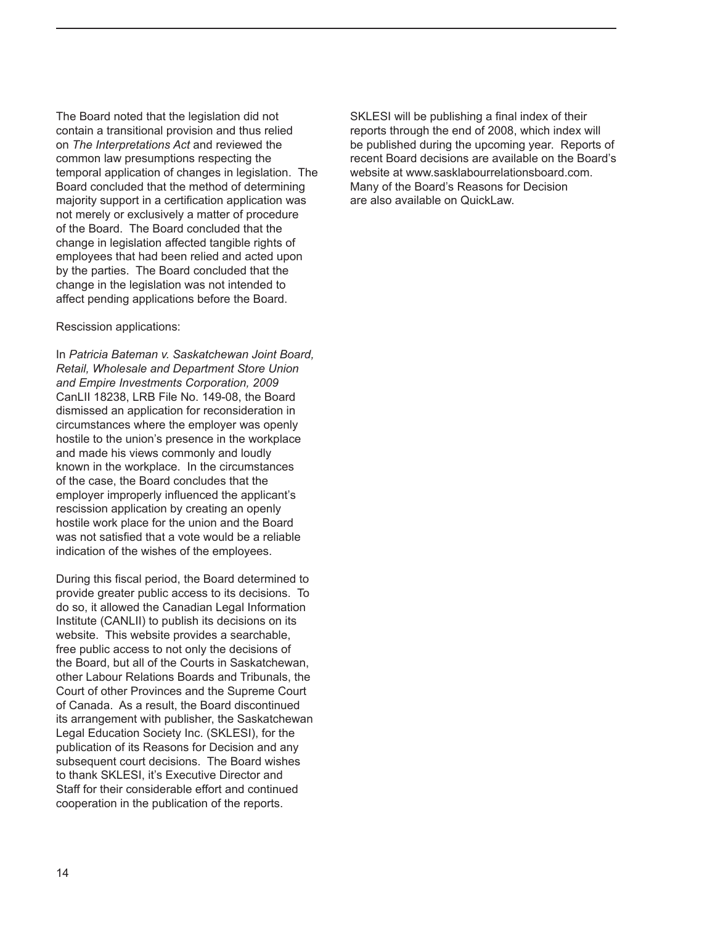The Board noted that the legislation did not contain a transitional provision and thus relied on *The Interpretations Act* and reviewed the common law presumptions respecting the temporal application of changes in legislation. The Board concluded that the method of determining majority support in a certification application was not merely or exclusively a matter of procedure of the Board. The Board concluded that the change in legislation affected tangible rights of employees that had been relied and acted upon by the parties. The Board concluded that the change in the legislation was not intended to affect pending applications before the Board.

#### Rescission applications:

In *Patricia Bateman v. Saskatchewan Joint Board, Retail, Wholesale and Department Store Union and Empire Investments Corporation, 2009* CanLII 18238, LRB File No. 149-08, the Board dismissed an application for reconsideration in circumstances where the employer was openly hostile to the union's presence in the workplace and made his views commonly and loudly known in the workplace. In the circumstances of the case, the Board concludes that the employer improperly influenced the applicant's rescission application by creating an openly hostile work place for the union and the Board was not satisfied that a vote would be a reliable indication of the wishes of the employees.

During this fiscal period, the Board determined to provide greater public access to its decisions. To do so, it allowed the Canadian Legal Information Institute (CANLII) to publish its decisions on its website. This website provides a searchable, free public access to not only the decisions of the Board, but all of the Courts in Saskatchewan, other Labour Relations Boards and Tribunals, the Court of other Provinces and the Supreme Court of Canada. As a result, the Board discontinued its arrangement with publisher, the Saskatchewan Legal Education Society Inc. (SKLESI), for the publication of its Reasons for Decision and any subsequent court decisions. The Board wishes to thank SKLESI, it's Executive Director and Staff for their considerable effort and continued cooperation in the publication of the reports.

SKLESI will be publishing a final index of their reports through the end of 2008, which index will be published during the upcoming year. Reports of recent Board decisions are available on the Board's website at www.sasklabourrelationsboard.com. Many of the Board's Reasons for Decision are also available on QuickLaw.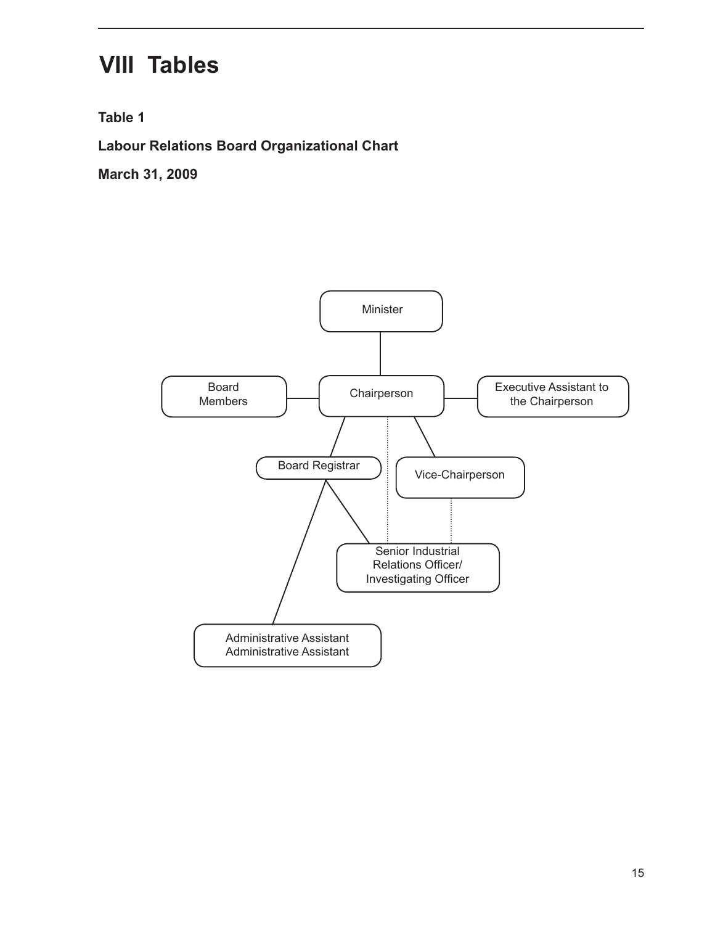## **VIII Tables**

**Table 1**

**Labour Relations Board Organizational Chart**

**March 31, 2009**

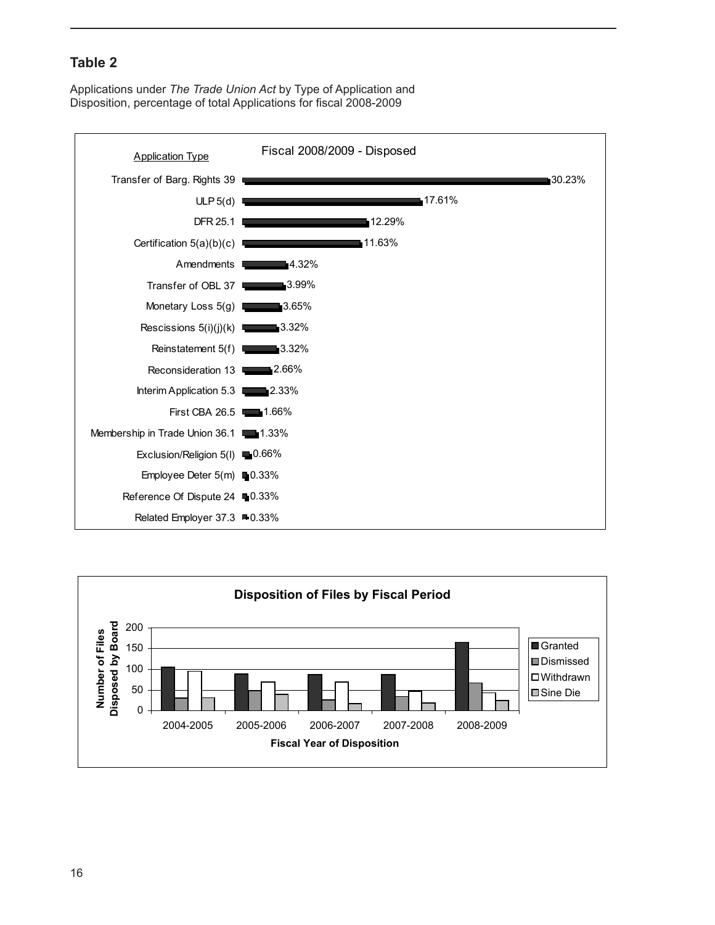Applications under *The Trade Union Act* by Type of Application and Disposition, percentage of total Applications for fiscal 2008-2009



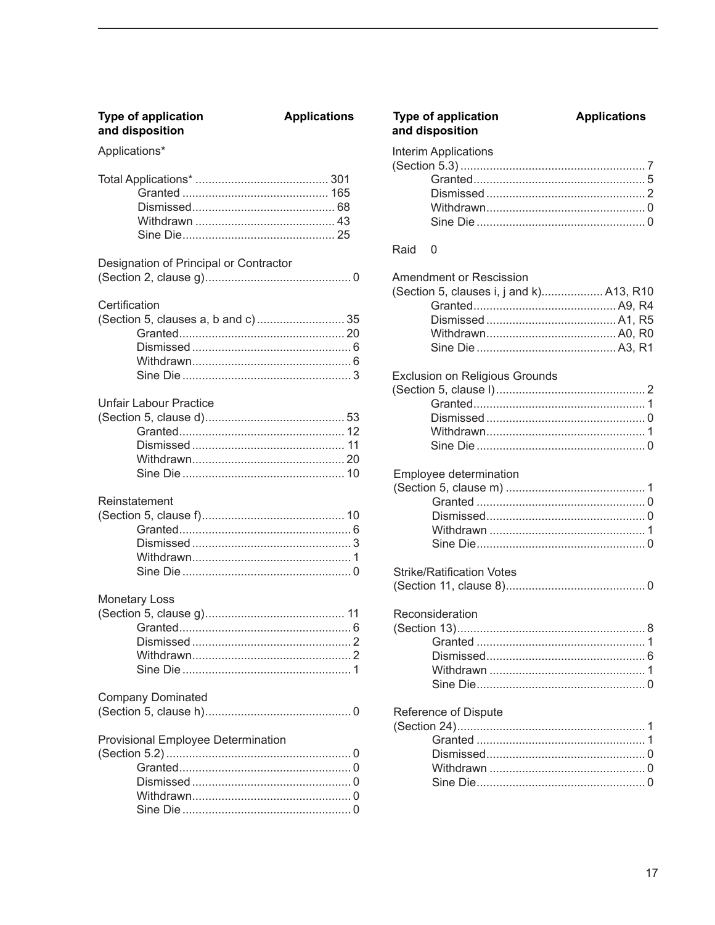| <b>Type of application</b><br>and disposition        | <b>Applications</b> |
|------------------------------------------------------|---------------------|
| Applications*                                        |                     |
|                                                      |                     |
| Designation of Principal or Contractor               |                     |
| Certification<br>(Section 5, clauses a, b and c)  35 |                     |
| <b>Unfair Labour Practice</b>                        |                     |
| Reinstatement                                        |                     |
| <b>Monetary Loss</b>                                 |                     |
| <b>Company Dominated</b>                             |                     |
| Provisional Employee Determination                   |                     |

|      | <b>Type of application</b><br>and disposition                       | <b>Applications</b> |
|------|---------------------------------------------------------------------|---------------------|
|      | <b>Interim Applications</b>                                         |                     |
| Raid | 0                                                                   |                     |
|      | Amendment or Rescission<br>(Section 5, clauses i, j and k) A13, R10 |                     |
|      | <b>Exclusion on Religious Grounds</b>                               |                     |
|      | Employee determination                                              |                     |
|      | <b>Strike/Ratification Votes</b>                                    |                     |
|      | Reconsideration                                                     |                     |
|      | Reference of Dispute                                                |                     |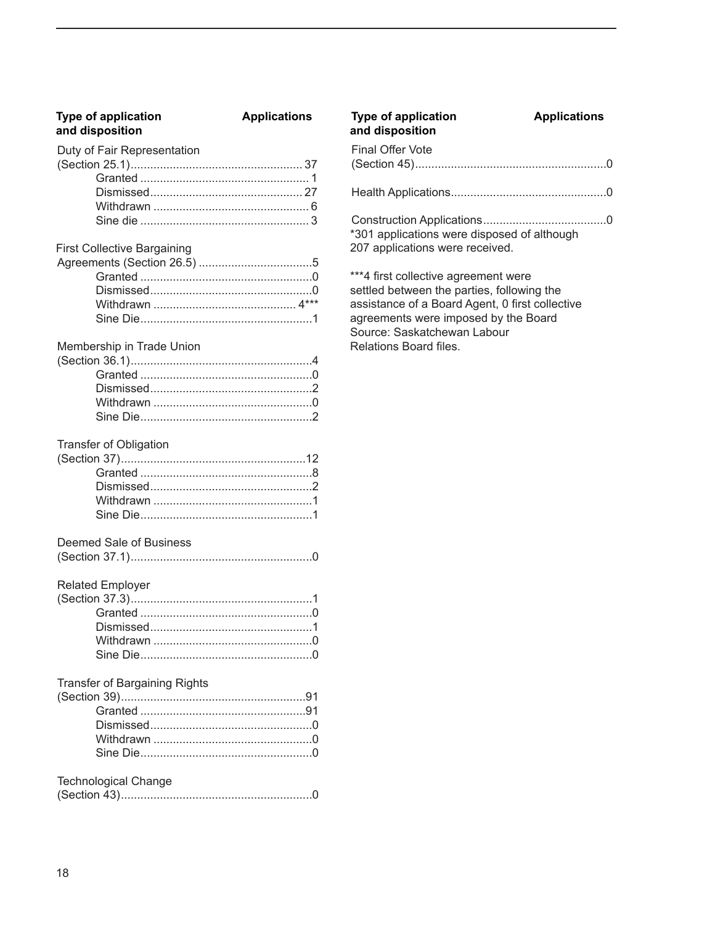## **and disposition and disposition**

#### Duty of Fair Representation

#### First Collective Bargaining

## Membership in Trade Union

| Sine Die 2 |  |
|------------|--|

#### Transfer of Obligation

#### Deemed Sale of Business

|--|--|--|

#### Related Employer

| $\frac{1}{2}$ |  |
|---------------|--|
|               |  |
|               |  |
|               |  |
|               |  |
|               |  |

#### Transfer of Bargaining Rights

#### Technological Change

|--|--|--|

### Final Offer Vote (Section 45)...........................................................0 **Type of application**  $\begin{array}{ccc}\n\bullet & A\n\end{array}$  **Applications**<br> **Application**<br> **Application**<br> **Application**<br> **Application**<br> **Application**

Health Applications................................................0

Construction Applications......................................0 \*301 applications were disposed of although 207 applications were received.

\*\*\*4 first collective agreement were settled between the parties, following the assistance of a Board Agent, 0 first collective agreements were imposed by the Board Source: Saskatchewan Labour Relations Board files.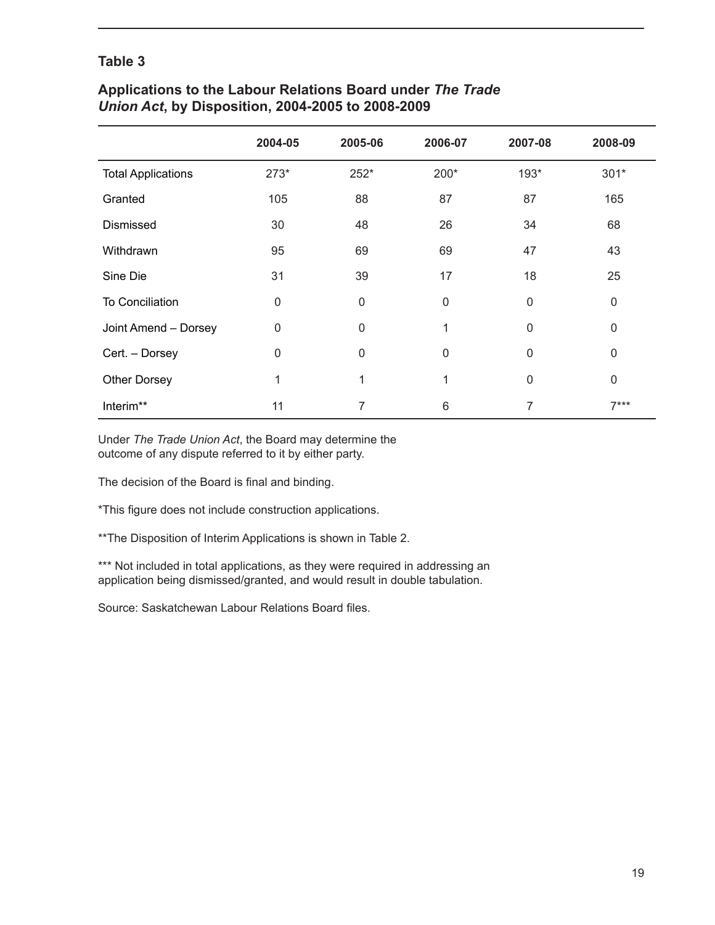#### **Applications to the Labour Relations Board under** *The Trade Union Act***, by Disposition, 2004-2005 to 2008-2009**

|                           | 2004-05      | 2005-06     | 2006-07     | 2007-08      | 2008-09      |
|---------------------------|--------------|-------------|-------------|--------------|--------------|
| <b>Total Applications</b> | $273*$       | 252*        | 200*        | 193*         | $301*$       |
| Granted                   | 105          | 88          | 87          | 87           | 165          |
| Dismissed                 | 30           | 48          | 26          | 34           | 68           |
| Withdrawn                 | 95           | 69          | 69          | 47           | 43           |
| Sine Die                  | 31           | 39          | 17          | 18           | 25           |
| <b>To Conciliation</b>    | $\mathsf 0$  | $\mathbf 0$ | $\mathsf 0$ | 0            | $\mathbf 0$  |
| Joint Amend - Dorsey      | 0            | $\mathbf 0$ | 1           | $\mathbf{0}$ | 0            |
| Cert. - Dorsey            | $\mathbf{0}$ | $\mathbf 0$ | $\mathbf 0$ | $\mathbf{0}$ | $\mathbf{0}$ |
| <b>Other Dorsey</b>       | 1            | 1           | 1           | $\mathbf 0$  | $\mathbf 0$  |
| Interim**                 | 11           | 7           | 6           | 7            | $7***$       |

Under *The Trade Union Act*, the Board may determine the outcome of any dispute referred to it by either party.

The decision of the Board is final and binding.

\*This figure does not include construction applications.

\*\*The Disposition of Interim Applications is shown in Table 2.

\*\*\* Not included in total applications, as they were required in addressing an application being dismissed/granted, and would result in double tabulation.

Source: Saskatchewan Labour Relations Board files.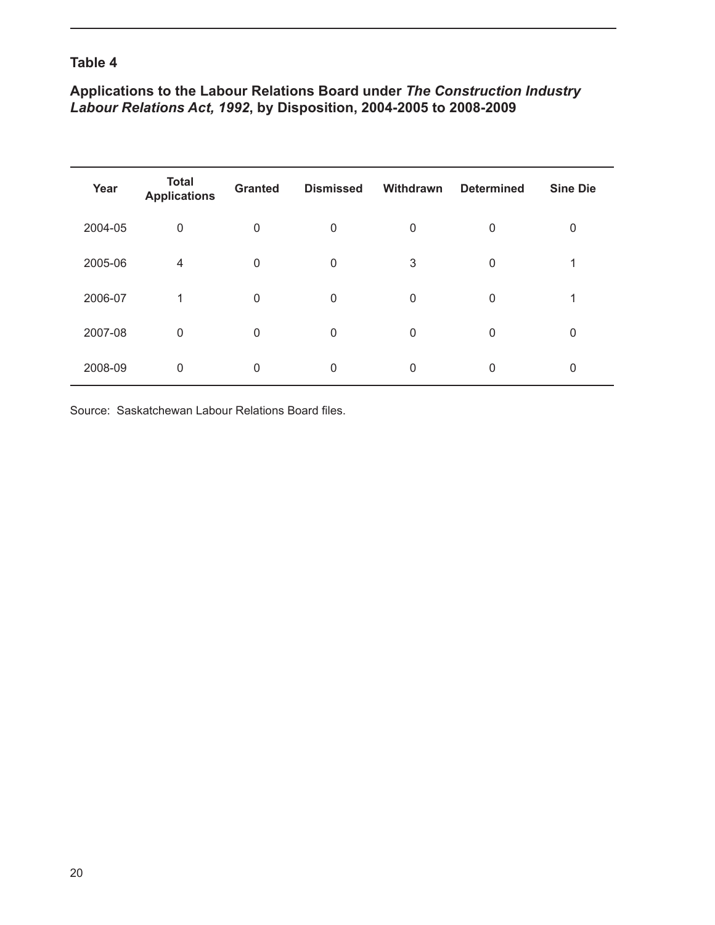### **Applications to the Labour Relations Board under** *The Construction Industry Labour Relations Act, 1992***, by Disposition, 2004-2005 to 2008-2009**

| Year    | <b>Total</b><br><b>Applications</b> | <b>Granted</b> | <b>Dismissed</b> | Withdrawn | <b>Determined</b> | <b>Sine Die</b> |
|---------|-------------------------------------|----------------|------------------|-----------|-------------------|-----------------|
| 2004-05 | 0                                   | $\mathbf 0$    | 0                | 0         | 0                 | 0               |
| 2005-06 | 4                                   | 0              | 0                | 3         | 0                 |                 |
| 2006-07 | 1                                   | 0              | 0                | 0         | 0                 |                 |
| 2007-08 | 0                                   | 0              | 0                | 0         | 0                 | 0               |
| 2008-09 | 0                                   | 0              | 0                | 0         | 0                 | 0               |

Source: Saskatchewan Labour Relations Board files.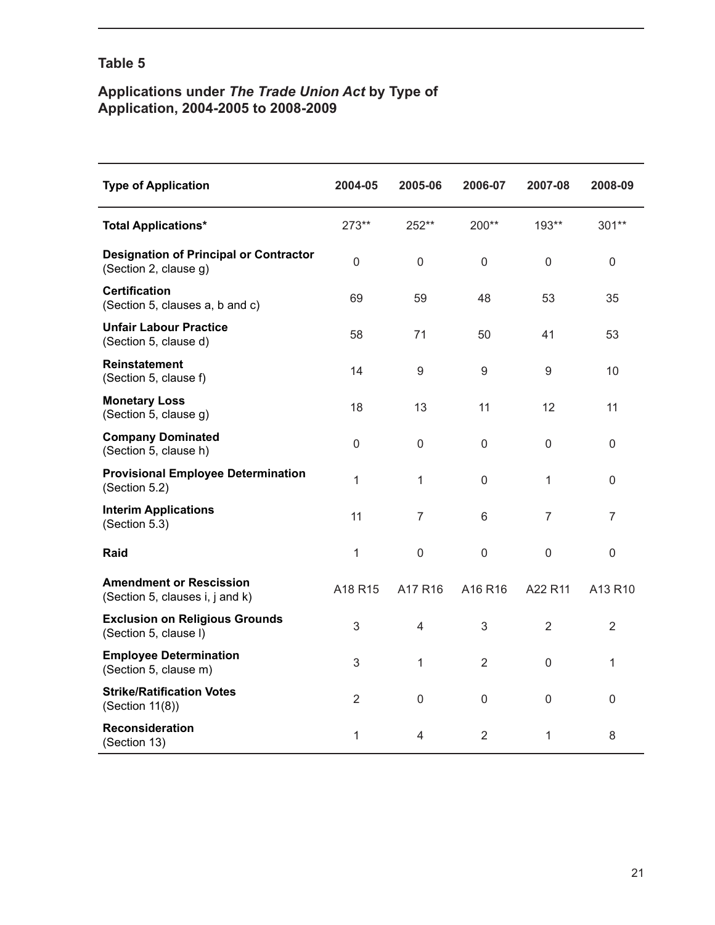#### **Applications under** *The Trade Union Act* **by Type of Application, 2004-2005 to 2008-2009**

| <b>Type of Application</b>                                             | 2004-05        | 2005-06             | 2006-07     | 2007-08        | 2008-09          |
|------------------------------------------------------------------------|----------------|---------------------|-------------|----------------|------------------|
| <b>Total Applications*</b>                                             | 273**          | 252**               | 200**       | 193**          | $301**$          |
| <b>Designation of Principal or Contractor</b><br>(Section 2, clause g) | 0              | $\mathbf 0$         | $\mathsf 0$ | $\mathbf 0$    | $\mathbf 0$      |
| <b>Certification</b><br>(Section 5, clauses a, b and c)                | 69             | 59                  | 48          | 53             | 35               |
| <b>Unfair Labour Practice</b><br>(Section 5, clause d)                 | 58             | 71                  | 50          | 41             | 53               |
| <b>Reinstatement</b><br>(Section 5, clause f)                          | 14             | 9                   | 9           | 9              | 10               |
| <b>Monetary Loss</b><br>(Section 5, clause g)                          | 18             | 13                  | 11          | 12             | 11               |
| <b>Company Dominated</b><br>(Section 5, clause h)                      | 0              | $\mathsf 0$         | $\Omega$    | 0              | $\boldsymbol{0}$ |
| <b>Provisional Employee Determination</b><br>(Section 5.2)             | 1              | 1                   | $\mathbf 0$ | 1              | 0                |
| <b>Interim Applications</b><br>(Section 5.3)                           | 11             | $\overline{7}$      | 6           | 7              | $\overline{7}$   |
| Raid                                                                   | 1              | $\mathsf{O}\xspace$ | $\mathsf 0$ | $\overline{0}$ | $\mathsf 0$      |
| <b>Amendment or Rescission</b><br>(Section 5, clauses i, j and k)      | A18 R15        | A17 R16             | A16 R16     | A22 R11        | A13 R10          |
| <b>Exclusion on Religious Grounds</b><br>(Section 5, clause I)         | 3              | $\overline{4}$      | 3           | $\overline{2}$ | $\overline{2}$   |
| <b>Employee Determination</b><br>(Section 5, clause m)                 | 3              | 1                   | 2           | 0              | 1                |
| <b>Strike/Ratification Votes</b><br>(Section 11(8))                    | $\overline{2}$ | $\mathsf 0$         | $\mathsf 0$ | $\mathbf 0$    | $\mathsf 0$      |
| <b>Reconsideration</b><br>(Section 13)                                 | 1              | 4                   | 2           | 1              | 8                |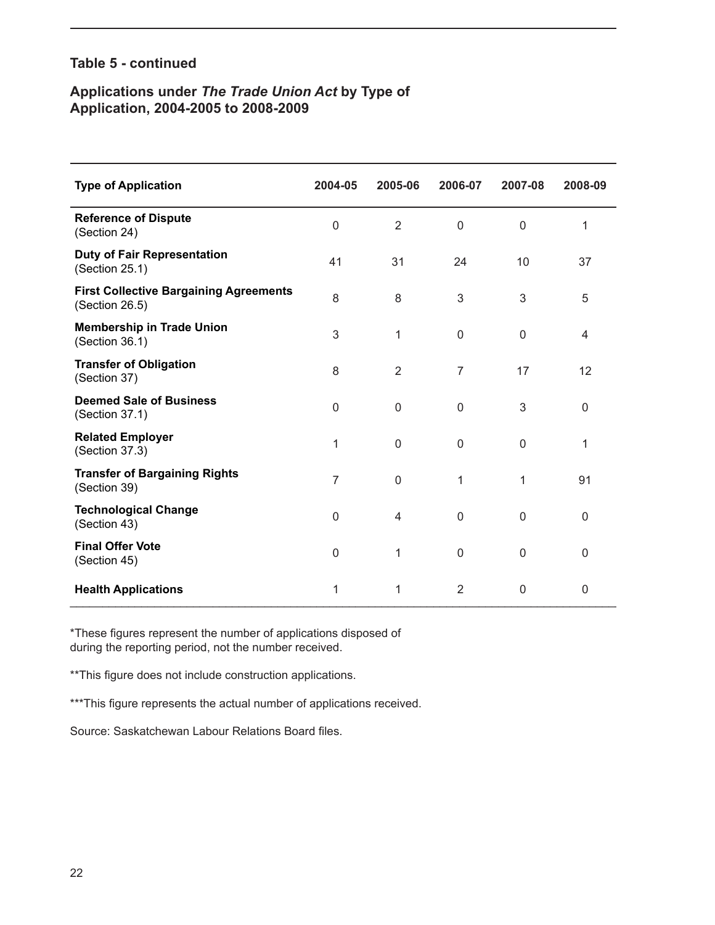#### **Table 5 - continued**

#### **Applications under** *The Trade Union Act* **by Type of Application, 2004-2005 to 2008-2009**

| <b>Type of Application</b>                                      | 2004-05        | 2005-06        | 2006-07        | 2007-08     | 2008-09     |
|-----------------------------------------------------------------|----------------|----------------|----------------|-------------|-------------|
| <b>Reference of Dispute</b><br>(Section 24)                     | $\mathbf{0}$   | $\overline{2}$ | $\mathbf 0$    | $\mathbf 0$ | 1           |
| <b>Duty of Fair Representation</b><br>(Section 25.1)            | 41             | 31             | 24             | 10          | 37          |
| <b>First Collective Bargaining Agreements</b><br>(Section 26.5) | 8              | 8              | 3              | 3           | 5           |
| <b>Membership in Trade Union</b><br>(Section 36.1)              | 3              | 1              | $\mathbf 0$    | $\mathbf 0$ | 4           |
| <b>Transfer of Obligation</b><br>(Section 37)                   | 8              | $\overline{2}$ | $\overline{7}$ | 17          | 12          |
| <b>Deemed Sale of Business</b><br>(Section 37.1)                | $\mathbf{0}$   | $\mathbf 0$    | $\Omega$       | 3           | 0           |
| <b>Related Employer</b><br>(Section 37.3)                       | 1              | $\mathbf 0$    | $\Omega$       | $\Omega$    | 1           |
| <b>Transfer of Bargaining Rights</b><br>(Section 39)            | $\overline{7}$ | $\mathsf 0$    | 1              | 1           | 91          |
| <b>Technological Change</b><br>(Section 43)                     | $\Omega$       | 4              | $\mathbf{0}$   | $\Omega$    | 0           |
| <b>Final Offer Vote</b><br>(Section 45)                         | 0              | 1              | $\mathbf 0$    | 0           | $\mathbf 0$ |
| <b>Health Applications</b>                                      | 1              | 1              | $\overline{2}$ | $\mathbf 0$ | 0           |

\*These figures represent the number of applications disposed of during the reporting period, not the number received.

\*\*This figure does not include construction applications.

\*\*\*This figure represents the actual number of applications received.

Source: Saskatchewan Labour Relations Board files.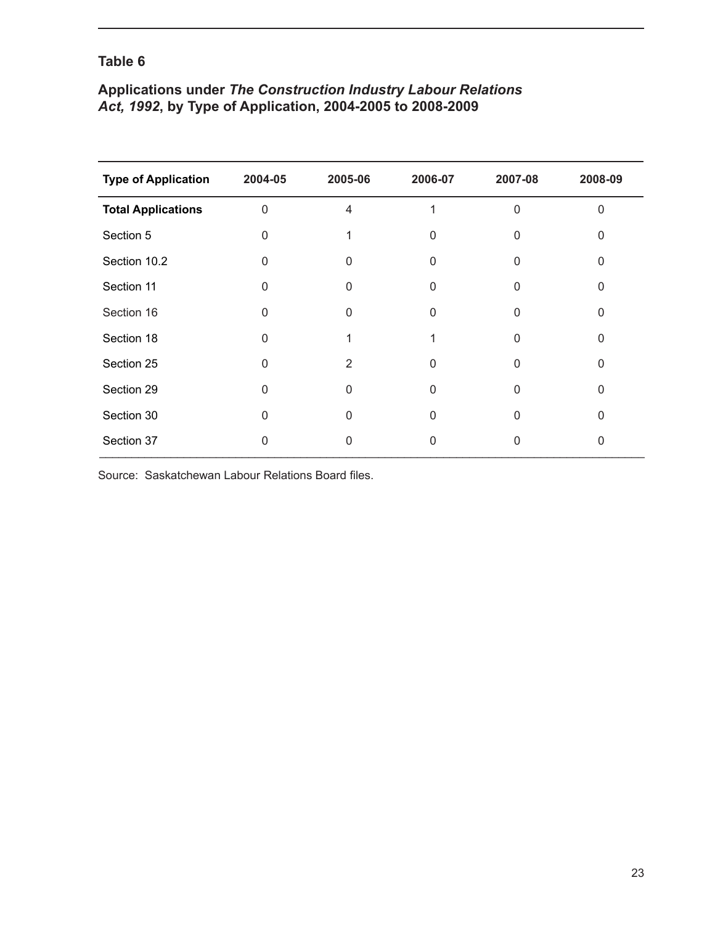### **Applications under** *The Construction Industry Labour Relations Act, 1992***, by Type of Application, 2004-2005 to 2008-2009**

| <b>Type of Application</b> | 2004-05        | 2005-06 | 2006-07  | 2007-08  | 2008-09 |
|----------------------------|----------------|---------|----------|----------|---------|
| <b>Total Applications</b>  | $\overline{0}$ | 4       |          | $\Omega$ | 0       |
| Section 5                  | $\Omega$       |         | O        | 0        |         |
| Section 10.2               | $\mathbf{0}$   | 0       | $\Omega$ | 0        | 0       |
| Section 11                 | 0              | 0       | 0        | 0        | N       |
| Section 16                 | 0              | 0       | U        | 0        | U       |
| Section 18                 | ∩              |         |          | U        | U       |
| Section 25                 | 0              | 2       | 0        | 0        | ი       |
| Section 29                 | $\Omega$       | 0       | $\Omega$ | 0        | 0       |
| Section 30                 | 0              | 0       | O        | 0        | ∩       |
| Section 37                 | 0              | O       | 0        | 0        | 0       |

Source: Saskatchewan Labour Relations Board files.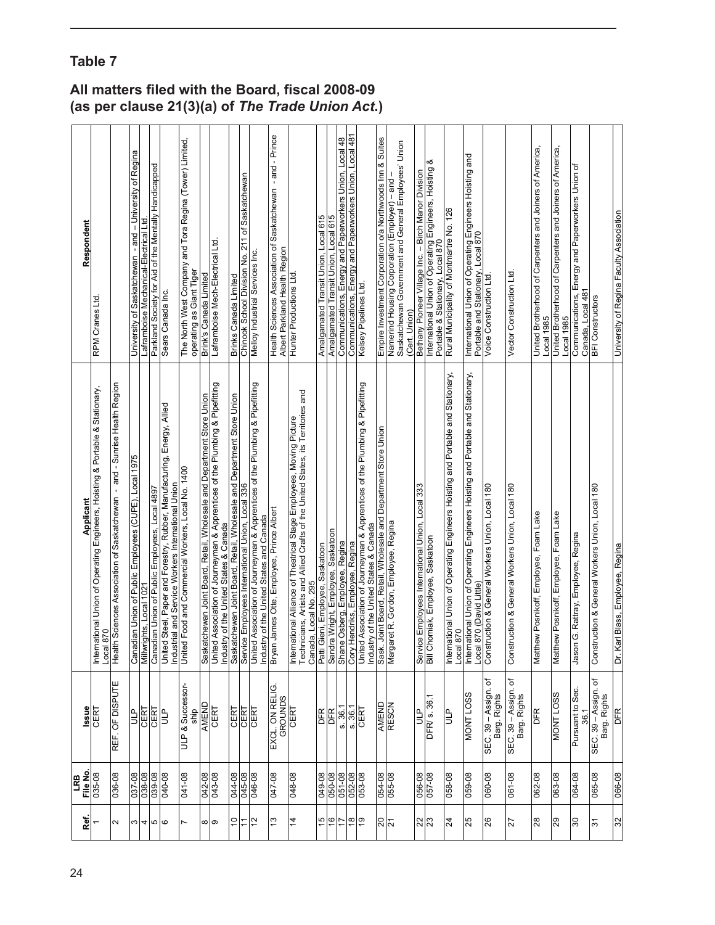|                    | LRB                   |                                      |                                                                                                                                                                                                     |                                                                                                                        |
|--------------------|-----------------------|--------------------------------------|-----------------------------------------------------------------------------------------------------------------------------------------------------------------------------------------------------|------------------------------------------------------------------------------------------------------------------------|
| Ref.               | File No.              | <b>Issue</b>                         | Applicant                                                                                                                                                                                           | Respondent                                                                                                             |
|                    | 035-08                | <b>CERT</b>                          | ional Union of Operating Engineers, Hoisting & Portable & Stationary,<br>0<br>Local 87<br>Internat                                                                                                  | RPM Cranes Ltd.                                                                                                        |
| 2                  | 036-08                | REF. OF DISPUTE                      | Health Sciences Association of Saskatchewan - and - Sunrise Health Region                                                                                                                           |                                                                                                                        |
| ω                  | 8<br>037-08<br>038-09 | CERT<br>e<br>Ju                      | Canadian Union of Public Employees (CUPE), Local 1975<br>Millwrights, Local 1021                                                                                                                    | University of Saskatchewan - and - University of Regina                                                                |
| 4<br>ю             | 039-08                | CERT                                 | Canadian Union of Public Employees, Local 4897                                                                                                                                                      | Parkland Society for Aid of the Mentally Handicapped<br>Laframboise Mechanical-Electrical Ltd.                         |
| $\circ$            | 040-08                | 9m                                   | United Steel, Paper and Forestry, Rubber, Manufacturing, Energy, Allied<br>Industrial and Service Workers International Union                                                                       | Sears Canada Inc.                                                                                                      |
|                    | 041-08                | <b>ULP &amp; Successor</b><br>ship   | United Food and Commercial Workers, Local No. 1400                                                                                                                                                  | The North West Company and Tora Regina (Tower) Limited,<br>operating as Giant Tiger                                    |
| ∞                  |                       | AMEND                                |                                                                                                                                                                                                     | Brink's Canada Limited                                                                                                 |
| တ                  | 8<br>042-08<br>043-08 | CERT                                 | Saskatchewan Joint Board, Retail, Wholesale and Department Store Union<br>United Association of Journeyman & Apprentices of the Plumbing & Pipefitting<br>of the United States & Canada<br>Industry | Laframboise Mech-Electrical Ltd.                                                                                       |
| $\overline{c}$     | 044-08                | CERT                                 | Saskatchewan Joint Board, Retail, Wholesale and Department Store Union                                                                                                                              | Brinks Canada Limited                                                                                                  |
| <u>:</u>           | 045-08                | <b>CERT</b><br>CERT                  | Employees International Union, Local 336<br>Service                                                                                                                                                 | Chinook School Division No. 211 of Saskatchewan                                                                        |
| $\overline{2}$     | 046-08                |                                      | United Association of Journeyman & Apprentices of the Plumbing & Pipefitting<br>of the United States and Canada<br>Industry                                                                         | Melloy Industrial Services Inc.                                                                                        |
| చ                  | 047-08                | EXCL. ON RELIG<br>GROUNDS            | Bryan James Otte, Employee, Prince Albert                                                                                                                                                           | - and - Prince<br>Health Sciences Association of Saskatchewan<br>Albert Parkland Health Region                         |
| 4                  | 80-810                | CERT                                 | International Alliance of Theatrical Stage Employees, Moving Picture<br>Technicians, Artists and Allied Crafts of the United States, its Territories and<br>Canada, Local No. 295                   | Hunter Productions Ltd.                                                                                                |
| 15                 | 049-08                | DFR                                  | Patti Gieni, Employee, Saskatoon                                                                                                                                                                    | Amalgamated Transit Union, Local 615                                                                                   |
|                    | 050-08                | DFR                                  | Wright, Employee, Saskatoon<br>Sandra                                                                                                                                                               | Amalgamated Transit Union, Local 615                                                                                   |
| $\overline{17}$    | 051-08                | s.36.1                               | Shane Osberg, Employee, Regina                                                                                                                                                                      | Communications, Energy and Paperworkers Union, Local 48                                                                |
| $\frac{\infty}{2}$ | 052-08<br>053-08      | s.36.1                               | Cory Hendriks, Employee, Regina                                                                                                                                                                     | Communications, Energy and Paperworkers Union, Local 481                                                               |
| စု                 |                       | CERT                                 | United Association of Journeyman & Apprentices of the Plumbing & Pipefitting<br>Industry of the United States & Canada                                                                              | Kelsey Pipelines Ltd.                                                                                                  |
| ន $\overline{5}$   | 054-08                | AMEND                                | Sask. Joint Board, Retail, Wholesale and Department Store Union                                                                                                                                     | Empire Investment Corporation o/a Northwoods Inn & Suites                                                              |
|                    | 055-08                | <b>RESCN</b>                         | Margaret R. Gordon, Employee, Regina                                                                                                                                                                | Saskatchewan Government and General Employees' Union<br>Namerind Housing Corporation (Employer) - and<br>(Cert. Union) |
| ន $\frac{1}{2}$    | 056-08<br>057-08      | e<br>J                               | Employees International Union, Local 333                                                                                                                                                            | Bethany Pioneer Village Inc. - Birch Manor Division                                                                    |
|                    |                       | DFR/ s. 36.1                         | Service Employees International Uni<br>Bill Chomiak, Employee, Saskatoon                                                                                                                            | య<br>International Union of Operating Engineers, Hoisting<br>Portable & Stationary, Local 870                          |
| $\overline{24}$    | 058-08                | ٩,                                   | international Union of Operating Engineers Hoisting and Portable and Stationary,<br>ō<br>Local 87                                                                                                   | Rural Municipality of Montmartre No. 126                                                                               |
| 25                 | 059-08                | <b>SSOT LNOW</b>                     | International Union of Operating Engineers Hoisting and Portable and Stationary,<br>Local 870 (David Little)                                                                                        | International Union of Operating Engineers Hoisting and<br>Portable and Stationary, Local 870                          |
| 26                 | 80-090                | SEC. 39 - Assign. of<br>Barg. Rights | Construction & General Workers Union, Local 180                                                                                                                                                     | <b>Voice Construction Ltd</b>                                                                                          |
| 12                 | 061-08                | SEC. 39 - Assign. of<br>Barg. Rights | Construction & General Workers Union, Local 180                                                                                                                                                     | Vector Construction Ltd.                                                                                               |
| 28                 | 062-08                | <b>DFR</b>                           | Matthew Posnikoff, Employee, Foam Lake                                                                                                                                                              | United Brotherhood of Carpenters and Joiners of America,<br>Local 1985                                                 |
| 29                 | 063-08                | <b>MONT LOSS</b>                     | Posnikoff, Employee, Foam Lake<br>Matthew                                                                                                                                                           | United Brotherhood of Carpenters and Joiners of America,<br>Local 1985                                                 |
| ႙                  | 064-08                | Pursuant to Sec.<br>36.1             | . Rattray, Employee, Regina<br>Jason G                                                                                                                                                              | Communications, Energy and Paperworkers Union of<br>Canada, Local 481                                                  |
| $\overline{5}$     | 065-08                | SEC. 39 - Assign. of<br>Barg. Rights | Construction & General Workers Union, Local 180                                                                                                                                                     | <b>BFI</b> Constructors                                                                                                |
| 32                 | 066-08                | DFR                                  | Blass, Employee, Regina<br>Dr. Karl                                                                                                                                                                 | University of Regina Faculty Association                                                                               |

### **All matters filed with the Board, fiscal 2008-09 (as per clause 21(3)(a) of** *The Trade Union Act***.)**

## **Table 7**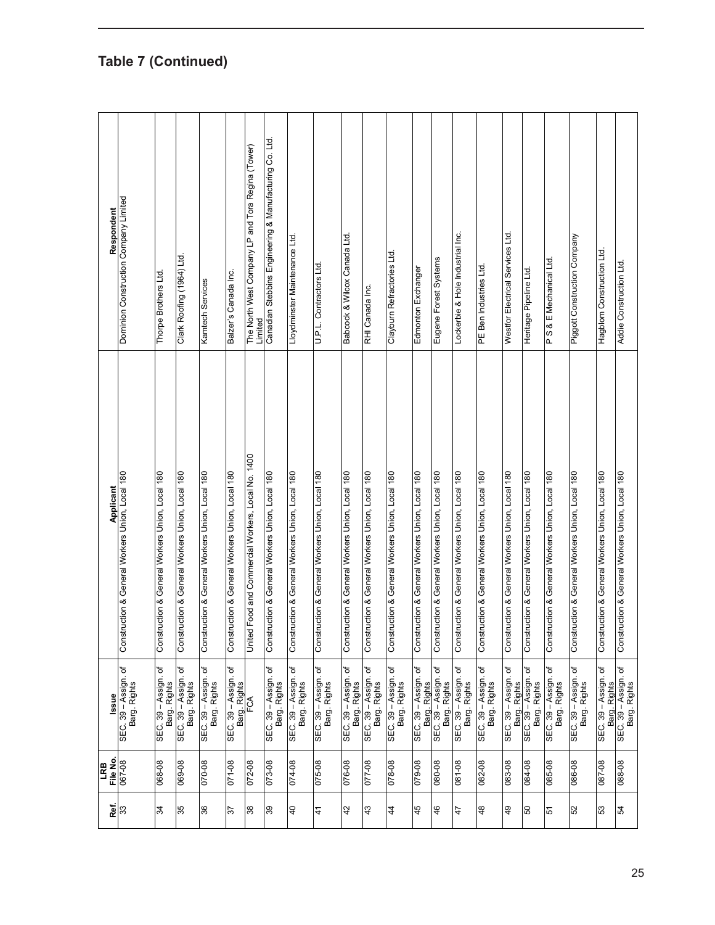| Respondent     | Dominion Construction Company Limited           | Thorpe Brothers Ltd.                            | Clark Roofing (1964) Ltd.                       | Kamtech Services                                | Balzer's Canada Inc.                            | The North West Company LP and Tora Regina (Tower)<br>Limited | Canadian Stebbins Engineering & Manufacturing Co. Ltd. | Lloydminster Maintenance Ltd.                   | U.P.L. Contractors Ltd.                         | Babcock & Wilcox Canada Ltd.                    | RHI Canada Inc.                                 | Claybum Refractories Ltd                        | Edmonton Exchanger                              | Eugene Forest Systems                           | Lockerbie & Hole Industrial Inc.                | PE Ben Industries Ltd.                          | Westfor Electrical Services Ltd.                | Heritage Pipeline Ltd.                               | PS& E Mechanical Ltd.                           |        | Piggott Construction Company                    | Hagblom Construction Ltd.                       |
|----------------|-------------------------------------------------|-------------------------------------------------|-------------------------------------------------|-------------------------------------------------|-------------------------------------------------|--------------------------------------------------------------|--------------------------------------------------------|-------------------------------------------------|-------------------------------------------------|-------------------------------------------------|-------------------------------------------------|-------------------------------------------------|-------------------------------------------------|-------------------------------------------------|-------------------------------------------------|-------------------------------------------------|-------------------------------------------------|------------------------------------------------------|-------------------------------------------------|--------|-------------------------------------------------|-------------------------------------------------|
| Applicant      | Construction & General Workers Union, Local 180 | Construction & General Workers Union, Local 180 | Construction & General Workers Union, Local 180 | Construction & General Workers Union, Local 180 | Construction & General Workers Union, Local 180 | United Food and Commercial Workers, Local No. 1400           | Construction & General Workers Union, Local 180        | Construction & General Workers Union, Local 180 | Construction & General Workers Union, Local 180 | Construction & General Workers Union, Local 180 | Construction & General Workers Union, Local 180 | Construction & General Workers Union, Local 180 | Construction & General Workers Union, Local 180 | Construction & General Workers Union, Local 180 | Construction & General Workers Union, Local 180 | Construction & General Workers Union, Local 180 | Construction & General Workers Union, Local 180 | Construction & General Workers Union, Local 180      | Construction & General Workers Union, Local 180 |        | Construction & General Workers Union, Local 180 | Construction & General Workers Union, Local 180 |
| lssue          | SEC. 39 - Assign. of<br>Barg. Rights            | SEC. 39 - Assign. of<br>Barg. Rights            | SEC. 39 - Assign. of<br>Barg. Rights            | SEC. 39 - Assign. of<br>Barg. Rights            | SEC. 39 - Assign. of                            | Barg. Rights                                                 | SEC. 39 - Assign. of<br>Barg. Rights                   | SEC. 39 – Assign. of<br>Barg. Rights            | SEC. 39 – Assign. of<br>Barg. Rights            | SEC. 39 - Assign. of<br>Barg. Rights            | SEC. 39 - Assign. of<br>Barg. Rights            | SEC. 39 - Assign. of<br>Barg. Rights            | SEC. 39 - Assign. of<br>Barg. Rights            | SEC. 39 - Assign. of<br>Barg. Rights            | SEC. 39 – Assign. of<br>Barg. Rights            | SEC. 39 - Assign. of<br>Barg. Rights            | SEC. 39 - Assign. of                            | Barg. Rights<br>SEC. 39 – Assign. of<br>Barg. Rights | SEC. 39 - Assign. of<br>Barg. Rights            |        | SEC. 39 – Assign. of<br>Barg. Rights            | SEC. 39 - Assign. of<br>Barg. Rights            |
| File No<br>LRB | 80-790                                          | 068-08                                          | 069-08                                          | 070-08                                          | 071-08                                          | 072-08                                                       | 073-08                                                 | 80-710                                          | 075-08                                          | 076-08                                          | 077-08                                          | 80-870                                          | 079-08                                          | 80-080                                          | 80-180                                          | 082-08                                          | 083-08                                          | 084-08                                               | 085-08                                          | 086-08 |                                                 | 087-08                                          |
| Ref.           | ွာ                                              | 34                                              | 35                                              | 36                                              | 57                                              | 38                                                           | 39                                                     | $\overline{a}$                                  | 41                                              | 42                                              | 43                                              | 44                                              | 45                                              | 46                                              | 47                                              | 48                                              | $\overline{6}$                                  | 50                                                   | 51                                              | 52     |                                                 | 53                                              |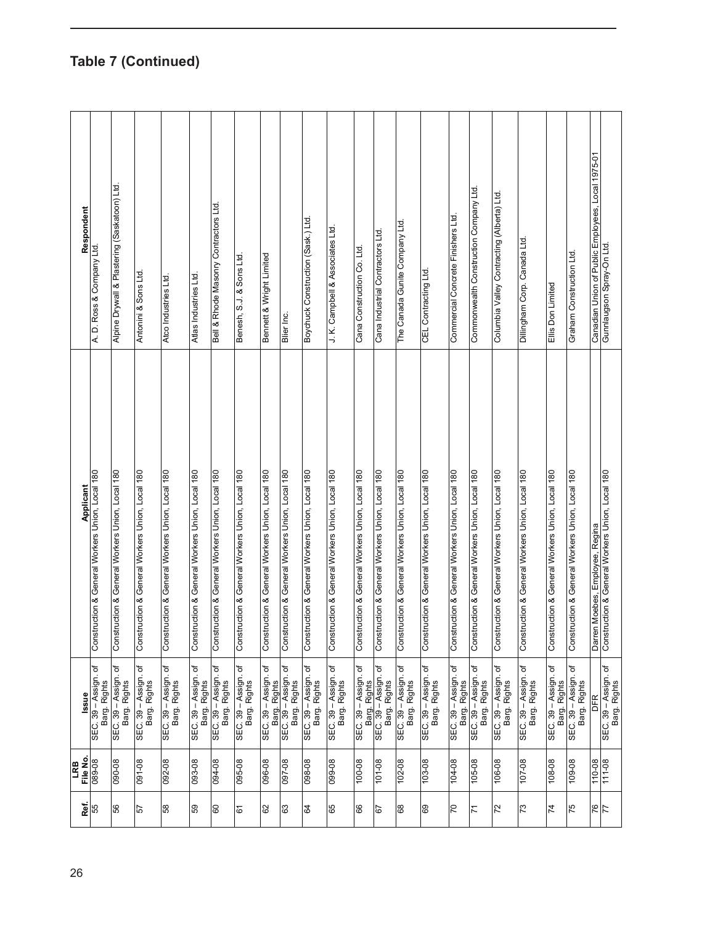| Respondent      | A. D. Ross & Company Ltd                                            | Alpine Drywall & Plastering (Saskatoon) Ltd     | Antonini & Sons Ltd                             | Atco Industries Ltd.                            | Atlas Industries Ltd.                           | Bell & Rhode Masonry Contractors Ltd.           | Benesh, S.J. & Sons Ltd.                        | Bennett & Wright Limited                        | Blier Inc.                                      | Boychuck Construction (Sask.) Ltd.              | J. K. Campbell & Associates Ltd                 | Cana Construction Co. Ltd.                      | Cana Industrial Contractors Ltd.                | The Canada Gunite Company Ltd                   | CEL Contracting Ltd.                            | Commercial Concrete Finishers Ltd.              | Commonwealth Construction Company Ltd           | Columbia Valley Contracting (Alberta) Ltd.      | Dillingham Corp. Canada Ltd.                    | Ellis Don Limited                               | Graham Construction Ltd.                        | Canadian Union of Public Employees, Local 1975-01 | Gunnlaugson Spray-On Ltd.                       |
|-----------------|---------------------------------------------------------------------|-------------------------------------------------|-------------------------------------------------|-------------------------------------------------|-------------------------------------------------|-------------------------------------------------|-------------------------------------------------|-------------------------------------------------|-------------------------------------------------|-------------------------------------------------|-------------------------------------------------|-------------------------------------------------|-------------------------------------------------|-------------------------------------------------|-------------------------------------------------|-------------------------------------------------|-------------------------------------------------|-------------------------------------------------|-------------------------------------------------|-------------------------------------------------|-------------------------------------------------|---------------------------------------------------|-------------------------------------------------|
|                 | <b>Applicant</b><br>Construction & General Workers Union, Local 180 | Construction & General Workers Union, Local 180 | Construction & General Workers Union, Local 180 | Construction & General Workers Union, Local 180 | Construction & General Workers Union, Local 180 | Construction & General Workers Union, Local 180 | Construction & General Workers Union, Local 180 | Construction & General Workers Union, Local 180 | Construction & General Workers Union, Local 180 | Construction & General Workers Union, Local 180 | Construction & General Workers Union, Local 180 | Construction & General Workers Union, Local 180 | Construction & General Workers Union, Local 180 | Construction & General Workers Union, Local 180 | Construction & General Workers Union, Local 180 | Construction & General Workers Union, Local 180 | Construction & General Workers Union, Local 180 | Construction & General Workers Union, Local 180 | Construction & General Workers Union, Local 180 | Construction & General Workers Union, Local 180 | Construction & General Workers Union, Local 180 | Darren Moebes, Employee, Regina                   | Construction & General Workers Union, Local 180 |
| lssue           | ৳<br>SEC. 39 - Assign.<br>Barg. Rights                              | đ<br>SEC. 39 - Assign.<br>Barg. Rights          | ō<br>SEC. 39 - Assign.<br>Barg. Rights          | SEC. 39 – Assign. of<br>Barg. Rights            | SEC. 39 - Assign. of<br>Barg. Rights            | SEC. 39 - Assign. of<br>Barg. Rights            | SEC. 39 - Assign. of<br>Barg. Rights            | SEC. 39 - Assign. of<br>Barg. Rights            | SEC. 39 - Assign. of<br>Barg. Rights            | SEC. 39 - Assign. of<br>Barg. Rights            | SEC. 39 – Assign. of<br>Barg. Rights            | SEC. 39 - Assign. of<br>Barg. Rights            | SEC. 39 - Assign. of<br>Barg. Rights            | ৳<br>SEC. 39 - Assign.<br>Barg. Rights          | SEC. 39 – Assign. of<br>Barg. Rights            | SEC. 39 - Assign. of<br>Barg. Rights            | SEC. 39 - Assign. of<br>Barg. Rights            | SEC. 39 - Assign. of<br>Barg. Rights            | đ<br>SEC. 39 – Assign. c<br>Barg. Rights        | SEC. 39 - Assign. of<br>Barg. Rights            | SEC. 39 - Assign. of<br>Barg. Rights            | DFR                                               | SEC. 39 – Assign. of<br>Barg. Rights            |
| File No.<br>LRB | 80-680                                                              | 090-08                                          | 091-08                                          | 092-08                                          | 093-08                                          | 80-160                                          | 095-08                                          | 096-08                                          | 80-760                                          | 80-860                                          | 80-660                                          | 100-08                                          | 80-101                                          | 102-08                                          | 103-08                                          | 104-08                                          | 105-08                                          | 80-901                                          | 107-08                                          | 108-08                                          | 109-08                                          | 110-08                                            | 111-08                                          |
| æ.              | 55                                                                  | 56                                              | 57                                              | 58                                              | 65                                              | <b>S</b>                                        | 61                                              | 62                                              | යි                                              | S4                                              | 65                                              | 8                                               | 79                                              | 68                                              | 69                                              | 20                                              | $\overline{7}$                                  | $\overline{2}$                                  | $\overline{73}$                                 | $\overline{7}$                                  | 75                                              | 76                                                | $\overline{7}$                                  |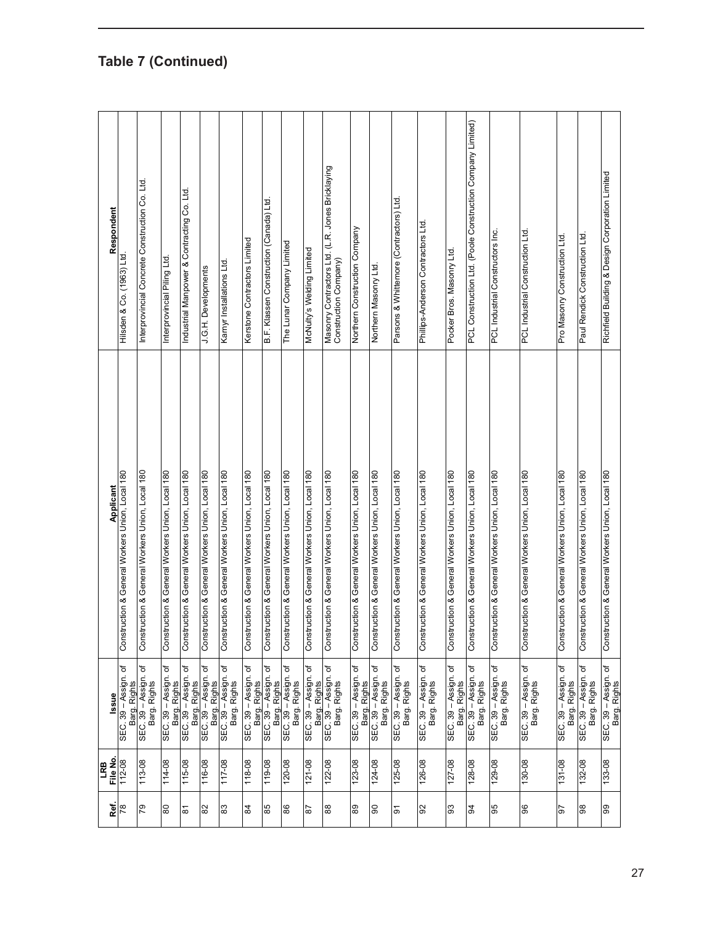| Respondent       | Hilsden & Co. (1963) Ltd.                       | Interprovincial Concrete Construction Co. Ltd.  | Interprovincial Piling Ltd                      | Industrial Manpower & Contracting Co. Ltd.           | J.G.H. Developments                             | Karnyr Installations Ltd.                       | Kerstone Contractors Limited                    | B.F. Klassen Construction (Canada) Ltd.         | The Lunar Company Limited                            | McNulty's Welding Limited                       | Masonry Contractors Ltd. (L.R. Jones Bricklaying<br>Construction Company) | Northern Construction Company                                | Northern Masonry Ltd                            | Parsons & Whittemore (Contractors) Ltd.         | Phillips-Anderson Contractors Ltd               | Pocker Bros. Masonry Ltd.                       | PCL Construction Ltd. (Poole Construction Company Limited) | PCL Industrial Constructors Inc.                | PCL Industrial Construction Ltd.                | Pro Masonry Construction Ltd.                   | Paul Rendick Construction Ltd.                  | Richfield Building & Design Corporation Limited |
|------------------|-------------------------------------------------|-------------------------------------------------|-------------------------------------------------|------------------------------------------------------|-------------------------------------------------|-------------------------------------------------|-------------------------------------------------|-------------------------------------------------|------------------------------------------------------|-------------------------------------------------|---------------------------------------------------------------------------|--------------------------------------------------------------|-------------------------------------------------|-------------------------------------------------|-------------------------------------------------|-------------------------------------------------|------------------------------------------------------------|-------------------------------------------------|-------------------------------------------------|-------------------------------------------------|-------------------------------------------------|-------------------------------------------------|
| <b>Applicant</b> | Construction & General Workers Union, Local 180 | Construction & General Workers Union, Local 180 | Construction & General Workers Union, Local 180 | Construction & General Workers Union, Local 180      | Construction & General Workers Union, Local 180 | Construction & General Workers Union, Local 180 | Construction & General Workers Union, Local 180 | Construction & General Workers Union, Local 180 | Construction & General Workers Union, Local 180      | Construction & General Workers Union, Local 180 | Construction & General Workers Union, Local 180                           | Construction & General Workers Union, Local 180              | Construction & General Workers Union, Local 180 | Construction & General Workers Union, Local 180 | Construction & General Workers Union, Local 180 | Construction & General Workers Union, Local 180 | Construction & General Workers Union, Local 180            | Construction & General Workers Union, Local 180 | Construction & General Workers Union, Local 180 | Construction & General Workers Union, Local 180 | Construction & General Workers Union, Local 180 | Construction & General Workers Union, Local 180 |
| lssue            | SEC. 39 - Assign. of<br>Barg. Rights            | SEC. 39 - Assign. of<br>Barg. Rights            | SEC. 39 - Assign. of                            | Barg. Rights<br>SEC. 39 – Assign. of<br>Barg. Rights | SEC. 39 - Assign. of<br>Barg. Rights            | SEC. 39 - Assign. of<br>Barg. Rights            | SEC. 39 - Assign. of                            | Barg. Rights<br>SEC. 39 – Assign. of            | Barg. Rights<br>SEC. 39 – Assign. of<br>Barg. Rights | SEC. 39 - Assign. of<br>Barg. Rights            | SEC. 39 - Assign. of<br>Barg. Rights                                      | SEC. 39 - Assign. of<br>Barg. Rights<br>SEC. 39 – Assign. of | Barg. Rights                                    | SEC. 39 - Assign. of<br>Barg. Rights            | SEC. 39 – Assign. of<br>Barg. Rights            | SEC. 39 - Assign. of<br>Barg. Rights            | SEC. 39 - Assign. of<br>Barg. Rights                       | SEC. 39 - Assign. of<br>Barg. Rights            | SEC. 39 – Assign. of<br>Barg. Rights            | SEC. 39 - Assign. of<br>Barg. Rights            | SEC. 39 - Assign. of<br>Barg. Rights            | SEC. 39 – Assign. of<br>Barg. Rights            |
| File No<br>LRB   | 112-08                                          | 113-08                                          | 114-08                                          | 115-08                                               | 116-08                                          | 117-08                                          | 118-08                                          | 119-08                                          | 120-08                                               | $121 - 08$                                      | 122-08                                                                    | 123-08                                                       | 124-08                                          | 125-08                                          | 126-08                                          | $127 - 08$                                      | 128-08                                                     | 129-08                                          | 130-08                                          | $131 - 08$                                      | 132-08                                          | 133-08                                          |
| Ref.             | $\frac{8}{18}$                                  | <b>67</b>                                       | 80                                              | $\overline{8}$                                       | 82                                              | 83                                              | $\frac{4}{3}$                                   | 85                                              | 86                                                   | 28                                              | 88                                                                        | 89                                                           | 90                                              | $\overline{6}$                                  | 92                                              | 93                                              | 34                                                         | 95                                              | 96                                              | 50                                              | 88                                              | 99                                              |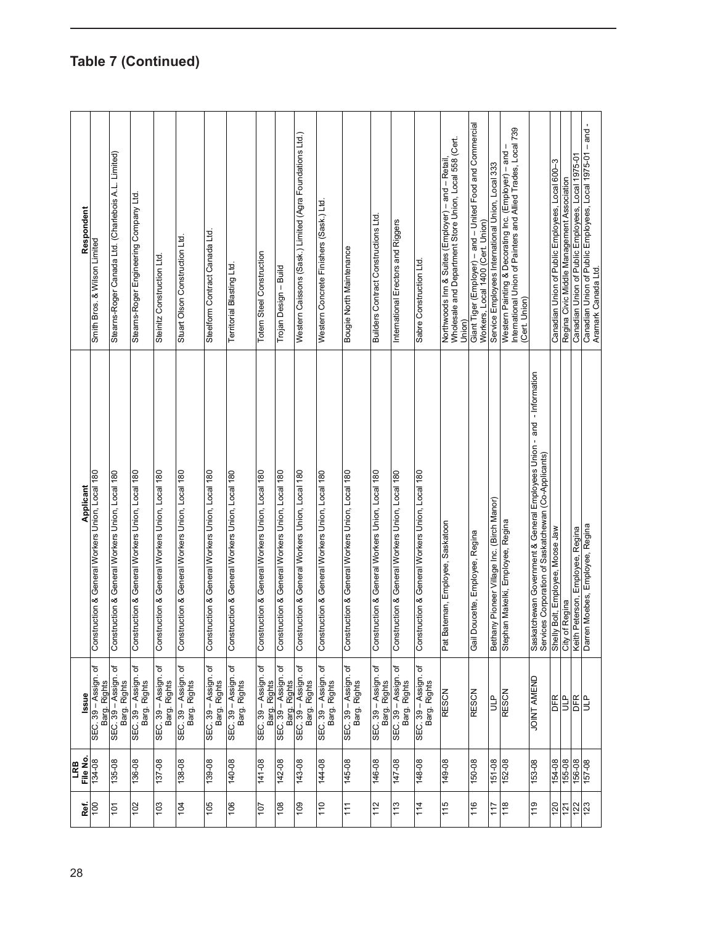| Respondent      | Smith Bros. & Wilson Limited                         | Stearns-Roger Canada Ltd. (Charlebois A.L. Limited) | Stearns-Roger Engineering Company Ltd.               | Steinitz Construction Ltd.                      | Stuart Olson Construction Ltd.                  | Steelform Contract Canada Ltd.                  | <b>Territorial Blasting Ltd</b>                 | <b>Totem Steel Construction</b>                 | Trojan Design - Build                                | Western Caissons (Sask.) Limited (Agra Foundations Ltd.) | Western Concrete Finishers (Sask.) Ltd.         | Bougie North Maintenance                          | <b>Builders Contract Constructions Ltd</b>      | International Erectors and Riggers              | Sabre Construction Ltd.                         | Wholesale and Department Store Union, Local 558 (Cert.<br>Northwoods Inn & Suites (Employer) - and - Retail<br>Union | Giant Tiger (Employer) – and – United Food and Commercial<br>Workers, Local 1400 (Cert. Union) | Service Employees International Union, Local 333 | Western Painting & Decorating Inc. (Employer) – and –<br>International Union of Painters and Allied Trades, Local 739<br>(Cert. Union) |                                                                                                                                | Canadian Union of Public Employees, Local 600-3 | Regina Civic Middle Management Association | Canadian Union of Public Employees, Local 1975-01 - and -<br>Canadian Union of Public Employees, Local 1975-01<br>Aramark Canada Ltd. |
|-----------------|------------------------------------------------------|-----------------------------------------------------|------------------------------------------------------|-------------------------------------------------|-------------------------------------------------|-------------------------------------------------|-------------------------------------------------|-------------------------------------------------|------------------------------------------------------|----------------------------------------------------------|-------------------------------------------------|---------------------------------------------------|-------------------------------------------------|-------------------------------------------------|-------------------------------------------------|----------------------------------------------------------------------------------------------------------------------|------------------------------------------------------------------------------------------------|--------------------------------------------------|----------------------------------------------------------------------------------------------------------------------------------------|--------------------------------------------------------------------------------------------------------------------------------|-------------------------------------------------|--------------------------------------------|---------------------------------------------------------------------------------------------------------------------------------------|
| Applicant       | struction & General Workers Union, Local 180<br>Cons | Construction & General Workers Union, Local 180     | struction & General Workers Union, Local 180<br>Čong | Construction & General Workers Union, Local 180 | Construction & General Workers Union, Local 180 | Construction & General Workers Union, Local 180 | Construction & General Workers Union, Local 180 | Construction & General Workers Union, Local 180 | Construction & General Workers Union, Local 180      | Construction & General Workers Union, Local 180          | Construction & General Workers Union, Local 180 | struction & General Workers Union, Local 180<br>Ğ | Construction & General Workers Union, Local 180 | Construction & General Workers Union, Local 180 | Construction & General Workers Union, Local 180 | Bateman, Employee, Saskatoon<br>Pat I                                                                                | Doucette, Employee, Regina<br>Gail                                                             | Bethany Pioneer Village Inc. (Birch Manor)       | Stephan Makelki, Employee, Regina                                                                                                      | Saskatchewan Government & General Employees Union - and  - Information<br>Services Corporation of Saskatchewan (Co-Applicants) | Shelly Bolt, Employee, Moose Jaw                | of Regina<br>City                          | Darren Moebes, Employee, Regina<br>Keith Peterson, Employee, Regina                                                                   |
| lssue           | SEC. 39 - Assign. of<br>Barg. Rights                 | SEC. 39 – Assign. of<br>Barg. Rights                | SEC. 39 – Assign. of<br>Barg. Rights                 | SEC. 39 - Assign. of<br>Barg. Rights            | SEC. 39 – Assign. of<br>Barg. Rights            | SEC. 39 - Assign. of<br>Barg. Rights            | SEC. 39 – Assign. of<br>Barg. Rights            | SEC. 39 - Assign. of                            | Barg. Rights<br>SEC. 39 – Assign. of<br>Barg. Rights | SEC. 39 – Assign. of<br>Barg. Rights                     | SEC. 39 – Assign. of<br>Barg. Rights            | SEC. 39 – Assign. of<br>Barg. Rights              | SEC. 39 - Assign. of<br>Barg. Rights            | SEC. 39 - Assign. of<br>Barg. Rights            | SEC. 39 – Assign. of<br>Barg. Rights            | <b>RESCN</b>                                                                                                         | <b>RESCN</b>                                                                                   | a<br>B                                           | RESCN                                                                                                                                  | <b>JOINT AMEND</b>                                                                                                             | ER<br>UP                                        |                                            | DER<br>ULP                                                                                                                            |
| File No.<br>LRB | 134-08                                               | 135-08                                              | 136-08                                               | 137-08                                          | 138-08                                          | 139-08                                          | 140-08                                          | $141 - 08$                                      | 142-08                                               | 143-08                                                   | 144-08                                          | 145-08                                            | 146-08                                          | 80-741                                          | 148-08                                          | 80-671                                                                                                               | 150-08                                                                                         | 151-08                                           | 152-08                                                                                                                                 | 153-08                                                                                                                         | 154-08                                          | 155-08                                     | 156-08<br>157-08                                                                                                                      |
| Ref.            | $\frac{100}{2}$                                      | 101                                                 | 102                                                  | 103                                             | <b>FOL</b>                                      | 105                                             | 90                                              | 107                                             | 80                                                   | 60                                                       | 110                                             | 111                                               | 112                                             | 113                                             | 114                                             | 115                                                                                                                  | 116                                                                                            | 117                                              | 118                                                                                                                                    | 119                                                                                                                            | 120                                             |                                            | 123<br>122                                                                                                                            |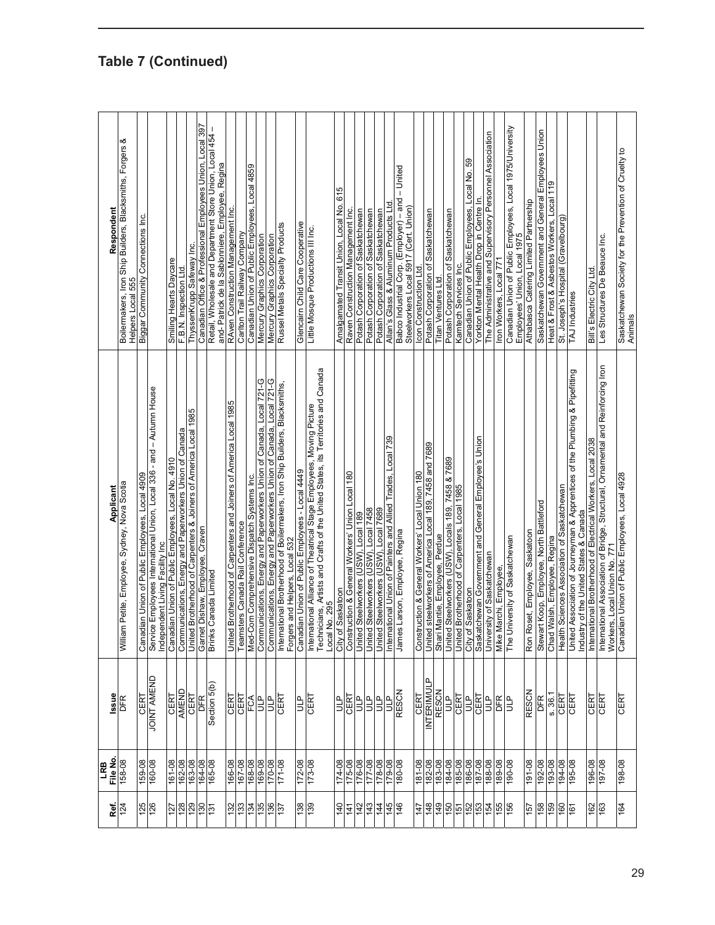| Canadian Union of Public Employees, Local 4909<br>William Petite, Employee, Sydney, Nova Scotia<br>Issue<br>CERT<br><b>DFR</b><br>File No.<br>158-08              | Applicant                                                                        | య<br>Boilermakers, Iron Ship Builders, Blacksmiths, Forgers<br>Respondent<br>Biggar Community Connections Inc.<br>555<br>Helpers Local |
|-------------------------------------------------------------------------------------------------------------------------------------------------------------------|----------------------------------------------------------------------------------|----------------------------------------------------------------------------------------------------------------------------------------|
| Canadian Union of Public Employees, Local No. 4910<br>Independent Living Facility Inc<br><b>JOINT AMEND</b><br><b>CERT</b>                                        | Service Employees International Union, Local 336 - and - Autumn House            | Smiling Hearts Daycare                                                                                                                 |
| Communications, Energy and Paperworkers Union of Canada<br>United Brotherhood of Carpenters & Joiners of America Local 1985<br>AMEND<br>CERT                      |                                                                                  | ThyssenKrupp Safeway Inc.<br>F.B.N. Inspection Ltd.                                                                                    |
| Garnet Dishaw, Employee, Craven<br><b>Brinks Canada Limited</b><br>Section 5(b)<br>DFR                                                                            |                                                                                  | Canadian Office & Professional Employees Union, Local 397<br>Retail, Wholesale and Department Store Union, Local 454 -                 |
| United Brotherhood of Carpenters and Joiners of America Local 1985                                                                                                |                                                                                  | and- Patrick de la Sablonniere, Employee, Regina<br>RAven Construction Management Inc.                                                 |
| Teamsters Canada Rail Conference<br>$rac{\overline{\text{CERT}}}{\overline{\text{CERT}}}$                                                                         |                                                                                  | Carlton Trail Railway Company                                                                                                          |
| Med-Com Comprehensive Dispatch Systems Inc.<br>FCA                                                                                                                |                                                                                  | Canadian Union of Public Employees, Local 4859                                                                                         |
| Communications, Energy and Paperworkers Union of Canada, Local 721-G<br>Communications, Energy and Paperworkers Union of Canada, Local 721-G<br><b>dTD</b><br>dTn |                                                                                  | Mercury Graphics Corporation<br>Mercury Graphics Corporation                                                                           |
| International Brotherhood of Boilermakers, Iron Ship Builders, Blacksmiths,<br>Forgers and Helpers, Local 532<br><b>CERT</b>                                      |                                                                                  | Russel Metals Specialty Products                                                                                                       |
| Canadian Union of Public Employees - Local 4449<br>ÈБ                                                                                                             |                                                                                  | Glencaim Child Care Cooperative                                                                                                        |
| International Alliance of Theatrical Stage Employees, Moving Picture<br>Technicians, Artists and Crafts of the United States, its Territories and Canada<br>CERT  |                                                                                  | Little Mosque Productions III Inc.                                                                                                     |
| Local No. 295<br>City of Saskatoon<br>ÈЬ                                                                                                                          |                                                                                  | Amalgamated Transit Union, Local No. 615                                                                                               |
| Construction & General Workers' Union Local 180<br>United Steelworkers (USW), Local 189<br><b>LA30</b>                                                            |                                                                                  | Raven Construction Management Inc.                                                                                                     |
| ЦP                                                                                                                                                                |                                                                                  | Potash Corporation of Saskatchewan                                                                                                     |
| United Steelworkers (USW), Local 7458<br>일리                                                                                                                       |                                                                                  | Potash Corporation of Saskatchewan                                                                                                     |
| International Union of Painters and Allied Trades, Local 739<br>United Steelworkers (USW), Local 7689<br>$\overline{L}$                                           |                                                                                  | Allan's Glass & Aluminum Products Ltd<br>Potash Corporation of Saskatchewan                                                            |
| James Larson, Employee, Regina<br><b>RESCN</b>                                                                                                                    |                                                                                  | Babco Industrial Corp. (Employer) - and - United<br>Steelworkers Local 5917 (Cert. Union)                                              |
| Construction & General Workers' Local Union 180<br>United steelworkers of America Local 189, 7458 and 7689<br>CERT                                                |                                                                                  | Icon Construction Ltd.                                                                                                                 |
| Shari Mantie, Employee, Perdue<br><b>INTERIM/ULP</b><br><b>RESCN</b>                                                                                              |                                                                                  | Potash Corporation of Saskatchewan<br>Titan Ventures Ltd.                                                                              |
| ۹<br>ئا                                                                                                                                                           |                                                                                  | Potash Corporation of Saskatchewan                                                                                                     |
| United Steelworkers (USW), Locals 189, 7458 & 7689<br>United Brotherhood of Carpenters, Local 1985<br>CERT                                                        |                                                                                  | Kamtech Services Inc.                                                                                                                  |
| CERT<br><b>ATD</b>                                                                                                                                                |                                                                                  | Canadian Union of Public Employees, Local No. 59<br>Yorkton Mental Health Drop in Centre In.                                           |
| a<br>3                                                                                                                                                            |                                                                                  | The Administrative and Supervisory Personnel Association                                                                               |
| University of Saskatchewan<br>Mike Marchi, Employee,<br>EB                                                                                                        |                                                                                  | Iron Workers, Local 771                                                                                                                |
| University of Saskatchewan<br>The                                                                                                                                 |                                                                                  | Canadian Union of Public Employees, Local 1975/University<br>Employees' Union, Local 197                                               |
| Ron Roset, Employee, Saskatoon<br><b>RESCN</b>                                                                                                                    |                                                                                  | Athabasca Catering Limited Partnership                                                                                                 |
| Stewart Koop, Employee, North Battleford<br>DFR                                                                                                                   |                                                                                  | Saskatchewan Government and General Employees Union                                                                                    |
| Chad Walsh, Employee, Regina<br>8.36.1                                                                                                                            |                                                                                  | Heat & Frost & Asbestos Workers, Local 119                                                                                             |
| Health Sciences Association of Saskatchewan<br>CERT                                                                                                               |                                                                                  | St. Joseph's Hospital (Gravelbourg)                                                                                                    |
| Industry of the United States & Canada<br>CERT                                                                                                                    | Duited Association of Journeyman & Apprentices of the Plumbing & Pipefitting     | TAJ Industries                                                                                                                         |
| International Brotherhood of Electrical Workers, Local 2038<br><b>LA30</b>                                                                                        |                                                                                  | Bill's Electric City Ltd                                                                                                               |
| CERT                                                                                                                                                              | International Association of Bridge, Structural, Ornamental and Reinforcing Iron | Les Structures De Beauce Inc.                                                                                                          |
| Workers, Local Union No. 771<br>Canadian Union of Public Employees, Local 4928<br>CERT                                                                            |                                                                                  | Saskatchewan Society for the Prevention of Cruelty to<br>Animals                                                                       |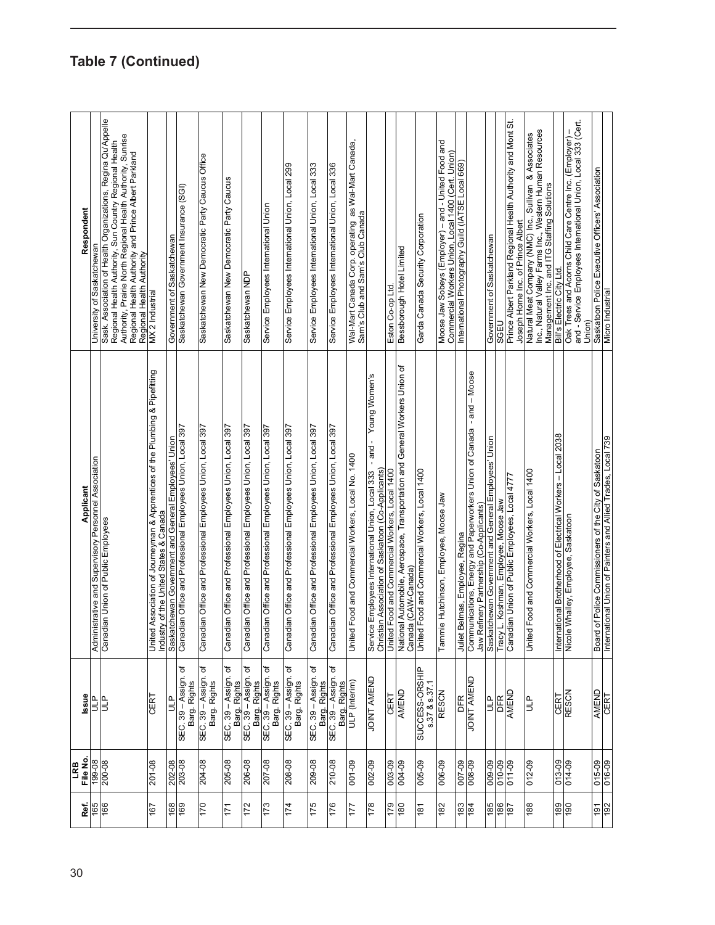| 30 | Ref.              | File No.<br>LRB | Issue                                                | Applicant                                                                                                                        | Respondent                                                                                                                                                                                                                                                                 |
|----|-------------------|-----------------|------------------------------------------------------|----------------------------------------------------------------------------------------------------------------------------------|----------------------------------------------------------------------------------------------------------------------------------------------------------------------------------------------------------------------------------------------------------------------------|
|    | 165               | 80-661          | qтn                                                  | inistrative and Supervisory Personnel Association<br>Admi                                                                        | University of Saskatchewan                                                                                                                                                                                                                                                 |
|    | 166               | 200-08          | ۹u                                                   | Canadian Union of Public Employees                                                                                               | Sask. Association of Health Organizations, Regina Qu'Appelle<br>Authority, Prairie North Regional Health Authority, Sunrise<br>Regional Health Authority, Sun Country Regional Health<br>Regional Health Authority and Prince Albert Parkland<br>Regional Health Authority |
|    | 167               | 201-08          | CERT                                                 | United Association of Journeyman & Apprentices of the Plumbing & Pipefitting<br>Industry of the United States & Canada           | MX 2 Industrial                                                                                                                                                                                                                                                            |
|    | 168               | 202-08          | 9HD                                                  | Saskatchewan Government and General Employees' Union                                                                             | Government of Saskatchewan                                                                                                                                                                                                                                                 |
|    | 169               | 203-08          | SEC. 39 - Assign. of<br>Barg. Rights                 | Canadian Office and Professional Employees Union, Local 397                                                                      | Saskatchewan Government Insurance (SGI)                                                                                                                                                                                                                                    |
|    | 041               | 204-08          | SEC. 39 - Assign. of<br>Barg. Rights                 | Canadian Office and Professional Employees Union, Local 397                                                                      | Saskatchewan New Democratic Party Caucus Office                                                                                                                                                                                                                            |
|    | 171               | 205-08          | SEC. 39 - Assign. of<br>Barg. Rights                 | Canadian Office and Professional Employees Union, Local 397                                                                      | Saskatchewan New Democratic Party Caucus                                                                                                                                                                                                                                   |
|    | 172               | 206-08          | SEC. 39 - Assign. of                                 | Canadian Office and Professional Employees Union, Local 397                                                                      | Saskatchewan NDP                                                                                                                                                                                                                                                           |
|    | 173               | 207-08          | Barg. Rights<br>SEC. 39 – Assign. of<br>Barg. Rights | Canadian Office and Professional Employees Union, Local 397                                                                      | Service Employees International Union                                                                                                                                                                                                                                      |
|    | 174               | 208-08          | SEC. 39 – Assign. of<br>Barg. Rights                 | Canadian Office and Professional Employees Union, Local 397                                                                      | Service Employees International Union, Local 299                                                                                                                                                                                                                           |
|    | <b>SZL</b>        | 209-08          | SEC. 39 - Assign. of<br>Barg. Rights                 | Canadian Office and Professional Employees Union, Local 397                                                                      | Service Employees International Union, Local 333                                                                                                                                                                                                                           |
|    | 176               | 210-08          | SEC. 39 - Assign. of<br>Barg. Rights                 | Canadian Office and Professional Employees Union, Local 397                                                                      | Service Employees International Union, Local 336                                                                                                                                                                                                                           |
|    | 177               | 001-09          | ULP (Interim)                                        | United Food and Commercial Workers, Local No. 1400                                                                               | Wal-Mart Canada Corp. operating_as Wal-Mart Canada,<br>Sam's Club and Sam's Club Canada                                                                                                                                                                                    |
|    | 178               | 002-09          | <b>JOINT AMEND</b>                                   | Young Women's<br>-and-<br>Service Employees International Union, Local 333<br>Christian Association of Saskatoon (Co-Applicants) |                                                                                                                                                                                                                                                                            |
|    | 179               | 003-09          | CERT                                                 | United Food and Commercial Workers, Local 1400                                                                                   | Eston Co-op Ltd.                                                                                                                                                                                                                                                           |
|    | 081               | 004-09          | AMEND                                                | National Automobile, Aerospace, Transportation and General Workers Union of<br>Canada (CAW-Canada)                               | Bessborough Hotel Limited                                                                                                                                                                                                                                                  |
|    | 181               | 005-09          | SUCCESS-ORSHIP<br>s.37 & s.37.1                      | United Food and Commercial Workers, Local 1400                                                                                   | Garda Canada Security Corporation                                                                                                                                                                                                                                          |
|    | 182               | 006-09          | <b>RESCN</b>                                         | Tammie Hutchinson, Employee, Moose Jaw                                                                                           | Moose Jaw Sobeys (Employer) - and - United Food and<br>Commercial Workers Union, Local 1400 (Cert. Union)                                                                                                                                                                  |
|    | $\frac{183}{84}$  | 60-200          | <b>DFR</b>                                           | Juliet Belmas, Employee, Regina                                                                                                  | International Photography Guild (IATSE Local 669)                                                                                                                                                                                                                          |
|    |                   | 008-09          | JOINT AMEND                                          | Communications, Energy and Paperworkers Union of Canada - and - Moose<br>Jaw Refinery Partnership (Co-Applicants)                |                                                                                                                                                                                                                                                                            |
|    | <b>981</b>        | 009-09          | È                                                    | Saskatchewan Government and General Employees' Union                                                                             | Government of Saskatchewan                                                                                                                                                                                                                                                 |
|    | 187               | 010-09          | DFR                                                  | Tracy L. Koshman, Employee, Moose Jaw                                                                                            | <b>SGEU</b>                                                                                                                                                                                                                                                                |
|    |                   | $011 - 09$      | AMEND                                                | Canadian Union of Public Employees, Local 4777                                                                                   | Prince Albert Parkland Regional Health Authority and Mont St.<br>Joseph Home Inc. of Prince Albert                                                                                                                                                                         |
|    | 188               | $012 - 09$      | å                                                    | United Food and Commercial Workers, Local 1400                                                                                   | Inc., Natural Valley Farms Inc., Western Human Resources<br>Natural Meat Company (NMC) Inc., Sullivan & Associates<br>Management Inc. and ITG Staffing Solutions                                                                                                           |
|    | $\frac{180}{190}$ | 013-09          | <b>CERT</b>                                          | International Brotherhood of Electrical Workers - Local 2038                                                                     | Bill's Electric City Ltd.                                                                                                                                                                                                                                                  |
|    |                   | 014-09          | <b>RESCN</b>                                         | Nicole Whalley, Employee, Saskatoon                                                                                              | and - Service Employees International Union, Local 333 (Cert.<br>Oak Trees and Acoms Child Care Centre Inc. (Employer)<br>Union)                                                                                                                                           |
|    | $rac{191}{192}$   | 015-09          | AMEND                                                | Board of Police Commissioners of the City of Saskatoon                                                                           | Saskatoon Police Executive Officers' Association                                                                                                                                                                                                                           |
|    |                   | 016-09          | <b>CERT</b>                                          | International Union of Painters and Allied Trades, Local 739                                                                     | Micro Industrial                                                                                                                                                                                                                                                           |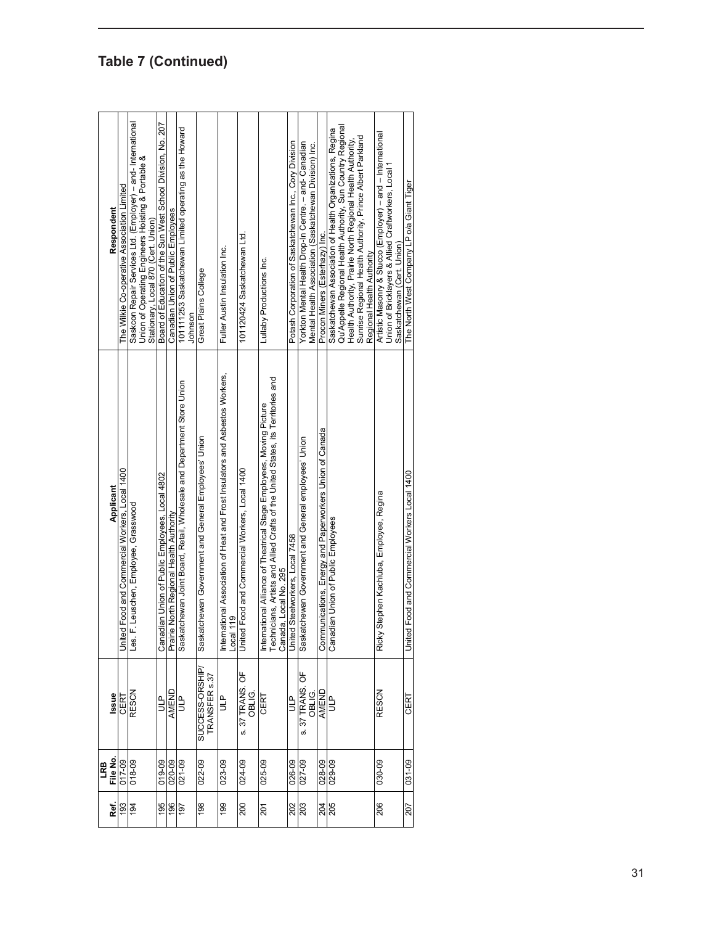|                   | LRB      |                                 |                                                                                                                                                                                                                                                      |                                                                                                                                                                                                                                                                                |
|-------------------|----------|---------------------------------|------------------------------------------------------------------------------------------------------------------------------------------------------------------------------------------------------------------------------------------------------|--------------------------------------------------------------------------------------------------------------------------------------------------------------------------------------------------------------------------------------------------------------------------------|
| Ref.              | File No. | Issue                           | Applicant                                                                                                                                                                                                                                            | Respondent                                                                                                                                                                                                                                                                     |
| 193               | 017-09   | CERT                            | United Food and Commercial Workers, Local 1400                                                                                                                                                                                                       | The Wilkie Co-operative Association Limited                                                                                                                                                                                                                                    |
| 194               | 018-09   | <b>RESCN</b>                    | F. Leuschen, Employee, Grasswood<br>Les.                                                                                                                                                                                                             | Saskcon Repair Services Ltd. (Employer) - and- International<br>Union of Operating Engineers Hoisting & Portable &<br>Stationary, Local 870 (Cert. Union)                                                                                                                      |
| 195               | 019-09   |                                 | Canadian Union of Public Employees, Local 4802                                                                                                                                                                                                       | Board of Education of the Sun West School Division, No. 207                                                                                                                                                                                                                    |
| 196               | 020-09   | AMEND                           | ie North Regional Health Authority<br>Prair                                                                                                                                                                                                          | Canadian Union of Public Employees                                                                                                                                                                                                                                             |
| 161               | 021-09   | еп                              | Saskatchewan Joint Board, Retail, Wholesale and Department Store Union                                                                                                                                                                               | 101111253 Saskatchewan Limited operating as the Howard<br>Johnson                                                                                                                                                                                                              |
| 198               | 022-09   | SUCCESS-ORSHIP<br>TRANSFER s.37 | Saskatchewan Government and General Employees' Union                                                                                                                                                                                                 | Great Plains College                                                                                                                                                                                                                                                           |
| 199               | 023-09   | ٩<br>ات                         | national Association of Heat and Frost Insulators and Asbestos Workers,<br>  119<br>Intern<br>Local                                                                                                                                                  | Fuller Austin Insulation Inc.                                                                                                                                                                                                                                                  |
| 200               | 024-09   | s. 37 TRANS. OF<br>OBLIG.       | United Food and Commercial Workers, Local 1400                                                                                                                                                                                                       | 101120424 Saskatchewan Ltd.                                                                                                                                                                                                                                                    |
| 201               | 025-09   | CERT                            | International Alliance of Theatrical Stage Employees, Moving Picture<br>Technicians, Artists and Allied Crafts of the United States, its Territories and<br>national Alliance of Theatrical Stage Employees, Moving Picture<br>Canada, Local No. 295 | Lullaby Productions Inc.                                                                                                                                                                                                                                                       |
| 202               | 026-09   | $\frac{P}{\Box}$                | United Steelworkers, Local 7458                                                                                                                                                                                                                      | Potash Corporation of Saskatchewan Inc., Cory Division                                                                                                                                                                                                                         |
| 203               | 027-09   | s. 37 TRANS. OF<br>OBLIG.       | Saskatchewan Government and General employees' Union                                                                                                                                                                                                 | Yorkton Mental Health Drop-In Centre. - and- Canadian<br>Mental Health Association (Saskatchewan Division) Inc.                                                                                                                                                                |
|                   | 028-09   | AMEND                           | Communications, Energy and Paperworkers Union of Canada                                                                                                                                                                                              | Procon Miners (Esterhazy) Inc.                                                                                                                                                                                                                                                 |
| $\frac{204}{205}$ | 029-09   |                                 | Canadian Union of Public Employees                                                                                                                                                                                                                   | Qu'Appelle Regional Health Authority, Sun Country Regional<br>Saskatchewan Association of Health Organizations, Regina<br>Sunrise Regional Health Authority, Prince Albert Parkland<br>Health Authority, Prairie North Regional Health Authority,<br>Regional Health Authority |
| 206               | 030-09   | <b>RESCN</b>                    | / Stephen Kachluba, Employee, Regina<br>Ricky                                                                                                                                                                                                        | Artistic Masonry & Stucco (Employer) - and - International<br>Union of Bricklayers & Allied Craftworkers, Local 1<br>Saskatchewan (Cert. Union)                                                                                                                                |
| 207               | 031-09   | CERT                            | United Food and Commercial Workers Local 1400                                                                                                                                                                                                        | The North West Company LP o/a Giant Tiger                                                                                                                                                                                                                                      |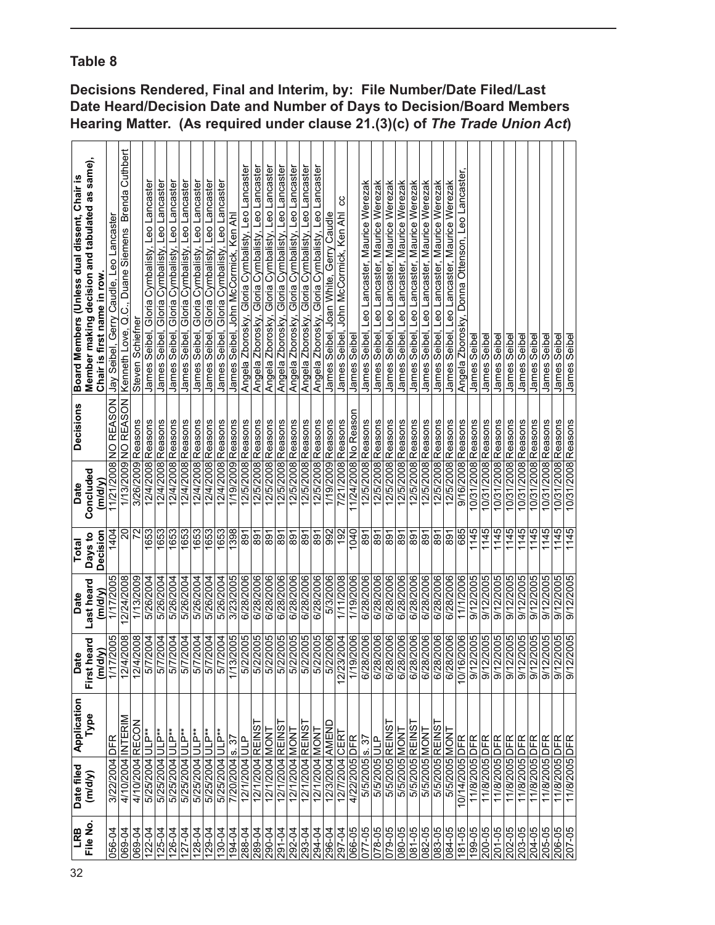|                                              | Hearing Matter. (As required under clause 21.(3)(c) of The Trade Union Act) |                            |                                         |                                                   |                      |                                                |                                                |                                                |                                                   |                                                      |                                                |                                                |                                       |                                                   |                                                      |                                                      |                                                   |                                                   |                                                      |                                                   |                                        |                                              |                     |                                                 |                                              |                                              |                                              |                                              |                                              |                                              |                                              |                                                |                    |                    |                    |                    |                    |                    |                    |                          |                    |
|----------------------------------------------|-----------------------------------------------------------------------------|----------------------------|-----------------------------------------|---------------------------------------------------|----------------------|------------------------------------------------|------------------------------------------------|------------------------------------------------|---------------------------------------------------|------------------------------------------------------|------------------------------------------------|------------------------------------------------|---------------------------------------|---------------------------------------------------|------------------------------------------------------|------------------------------------------------------|---------------------------------------------------|---------------------------------------------------|------------------------------------------------------|---------------------------------------------------|----------------------------------------|----------------------------------------------|---------------------|-------------------------------------------------|----------------------------------------------|----------------------------------------------|----------------------------------------------|----------------------------------------------|----------------------------------------------|----------------------------------------------|----------------------------------------------|------------------------------------------------|--------------------|--------------------|--------------------|--------------------|--------------------|--------------------|--------------------|--------------------------|--------------------|
| Board Members (Unless dual dissent, Chair is | Member making decision and tabulated as same),                              | Chair is first name in row | Jay Seibel, Gerry Caudle, Leo Lancaster | Kenneth Love, Q.C., Duane Siemens Brenda Cuthbert | Steven Schiefner     | James Seibel, Gloria Cymbalisty, Leo Lancaster | James Seibel, Gloria Cymbalisty, Leo Lancaster | James Seibel, Gloria Cymbalisty, Leo Lancaster | Gloria Cymbalisty, Leo Lancaster<br>James Seibel, | Leo Lancaster<br>Gloria Cymbalisty,<br>James Seibel. | James Seibel, Gloria Cymbalisty, Leo Lancaster | James Seibel, Gloria Cymbalisty, Leo Lancaster | James Seibel, John McCormick, Ken Ahl | Angela Zborosky, Gloria Cymbalisty, Leo Lancaster | Gloria Cymbalisty, Leo Lancaster<br>Angela Zborosky, | Gloria Cymbalisty, Leo Lancaster<br>Angela Zborosky, | Angela Zborosky, Gloria Cymbalisty, Leo Lancaster | Angela Zborosky, Gloria Cymbalisty, Leo Lancaster | Gloria Cymbalisty, Leo Lancaster<br>Angela Zborosky, | Angela Zborosky, Gloria Cymbalisty, Leo Lancaster | James Seibel, Joan White, Gerry Caudle | ပ္ပ<br>James Seibel, John McCormick, Ken Ahl | James Seibel        | Leo Lancaster, Maurice Werezak<br>James Seibel, | James Seibel, Leo Lancaster, Maurice Werezak | James Seibel, Leo Lancaster, Maurice Werezak | James Seibel, Leo Lancaster, Maurice Werezak | James Seibel, Leo Lancaster, Maurice Werezak | James Seibel, Leo Lancaster, Maurice Werezak | James Seibel, Leo Lancaster, Maurice Werezak | James Seibel, Leo Lancaster, Maurice Werezak | Angela Zborosky, Donna Ottenson, Leo Lancaster | James Seibe        | James Seibel       | James Seibel       | James Seibel       | James Seibel       | James Seibel       | James Seibel       | James Seibel             | James Seibel       |
| <b>Decisions</b>                             |                                                                             |                            | 11/21/2008 NO REASON                    | 1/13/2009 NO REASON                               | Reasons<br>3/26/2009 | 12/4/2008 Reasons                              | 12/4/2008 Reasons                              | 12/4/2008 Reasons                              | 12/4/2008 Reasons                                 | 12/4/2008 Reasons                                    | 12/4/2008 Reasons                              | 12/4/2008 Reasons                              | 1/19/2009 Reasons                     | 12/5/2008 Reasons                                 | 12/5/2008 Reasons                                    | 12/5/2008 Reasons                                    | 12/5/2008 Reasons                                 | 12/5/2008 Reasons                                 | 12/5/2008 Reasons                                    | 12/5/2008 Reasons                                 | 1/19/2009 Reasons                      | 7/21/2008 Reasons                            | 11/24/2008 No Reaso | 12/5/2008 Reasons                               | 2/5/2008 Reasons                             | 12/5/2008 Reasons                            | 12/5/2008 Reasons                            | 12/5/2008 Reasons                            | 12/5/2008 Reasons                            | 12/5/2008 Reasons                            | 12/5/2008 Reasons                            | 9/16/2008 Reasons                              | 10/31/2008 Reasons | 10/31/2008 Reasons | 10/31/2008 Reasons | 10/31/2008 Reasons | 10/31/2008 Reasons | 10/31/2008 Reasons | 10/31/2008 Reasons | 10/31/2008 Reasons       | 10/31/2008 Reasons |
| <b>Date</b>                                  | Concluded                                                                   | (m/d/v)                    |                                         |                                                   |                      |                                                |                                                |                                                |                                                   |                                                      |                                                |                                                |                                       |                                                   |                                                      |                                                      |                                                   |                                                   |                                                      |                                                   |                                        |                                              |                     |                                                 |                                              |                                              |                                              |                                              |                                              |                                              |                                              |                                                |                    |                    |                    |                    |                    |                    |                    |                          |                    |
| Total                                        | Days to                                                                     | Decision                   | 1404                                    | ຊ                                                 | 72                   | 1653                                           | 1653                                           | 1653                                           | 1653                                              | 1653                                                 | 1653                                           | 1653                                           | 1398                                  | 891                                               | 891                                                  | န္တြန္စြ                                             |                                                   | 168                                               | 891                                                  | 891                                               | 992                                    | 192                                          | 1040                | 891                                             | 168                                          | <b>L68</b>                                   | 891                                          | $\frac{168}{168}$                            |                                              | $\frac{891}{891}$                            |                                              | 685                                            | 1145               | 1145               | 1145               | 1145               | 1145               | 1145               | 1145               | 1145                     | 1145               |
| Date                                         | Last heard                                                                  | (m/d/y)                    | 1/17/2005                               | 2/24/2008                                         | 1/13/2009            | 5/26/2004                                      | 5/26/2004                                      | 5/26/2004                                      | 5/26/2004                                         | 5/26/2004                                            | 5/26/2004                                      | 5/26/2004                                      | 3/23/2005                             | 6/28/2006                                         | 6/28/2006                                            | 6/28/2006                                            | 6/28/2006                                         | 6/28/2006                                         | 6/28/2006                                            | 6/28/2006                                         | 5/3/2006                               | 1/11/2008                                    | 1/19/2006           | 6/28/2006                                       | 6/28/2006                                    | 6/28/2006                                    | 6/28/2006                                    | 6/28/2006                                    | 6/28/2006                                    | 6/28/2006                                    | 6/28/2006                                    | 11/1/2006                                      | 9/12/2005          | 9/12/2005          | 9/12/2005          | 9/12/2005          | 9/12/2005          | 9/12/2005          | 9/12/2005          | 9/12/2005                | 9/12/2005          |
| Date                                         | First heard                                                                 | (m/d/y)                    | 1/17/2005                               | 12/4/2008                                         | 12/4/2008            | 5/7/2004                                       | 5/7/2004                                       | 5/7/2004                                       | 5/7/2004                                          | 5/7/2004                                             | 5/7/2004                                       | 5/7/2004                                       | 1/13/2005                             | 5/2/2005                                          | 5/2/2005                                             | 5/2/2005                                             | 5/2/2005                                          | 5/2/2005                                          | 5/2/2005                                             | 5/2/2005                                          | 5/2/2006                               | 12/23/2004                                   | 1/19/2006           | 6/28/2006                                       | 6/28/2006                                    | 6/28/2006                                    | 6/28/2006                                    | 6/28/2006                                    | 6/28/2006                                    | 6/28/2006                                    | 6/28/2006                                    | 10/16/2006                                     | 9/12/2005          | 9/12/2005          | 9/12/2005          | 9/12/2005          | 9/12/2005          | 9/12/2005          | 9/12/2005          | 8002/21/16<br>9002/21/16 |                    |
|                                              | Application<br>Type                                                         |                            | <b>DFR</b>                              |                                                   |                      |                                                |                                                |                                                | JLP**                                             | <b>ULP**</b>                                         | IULP**                                         |                                                |                                       | $\overline{5}$                                    |                                                      |                                                      |                                                   |                                                   |                                                      |                                                   |                                        |                                              |                     | 5.8                                             |                                              |                                              |                                              |                                              |                                              |                                              |                                              |                                                |                    |                    |                    |                    |                    |                    |                    |                          |                    |
| Date filed                                   | (m/d/y)                                                                     |                            | 3/22/2004                               | 4/10/2004 INTERIM                                 | 4/10/2004 RECON      | 5/25/2004 ULP**                                | 5/25/2004 ULP**                                | 5/25/2004 ULP**                                | 5/25/2004                                         | 5/25/2004                                            | 5/25/2004                                      | 5/25/2004 ULP**                                | 7/20/2004 s. 37                       | 12/1/2004                                         | 12/1/2004 REINS                                      | 12/1/2004 MONT                                       | 12/1/2004 REINS                                   | 12/1/2004 MONT                                    | 12/1/2004 REINS                                      | 12/1/2004 MONT                                    | 12/3/2004 AMEND                        | 12/7/2004 CER                                | 4/22/2005 DFR       | 5/5/2005                                        | 5/5/2005 ULP                                 | 5/5/2005 REINS                               | 5/5/2005 MON                                 | 5/5/2005 REINS                               | 5/5/2005 MONT                                | 5/5/2005 REINS                               | 5/5/2005 MONT                                | 10/14/2005 DFR                                 | 11/8/2005 DFR      | 11/8/2005 DFR      | 11/8/2005 DFR      | 11/8/2005 DFR      | 11/8/2005 DFR      | 11/8/2005 DFR      | 11/8/2005 DFR      | 11/8/2005 DFR            | 11/8/2005 DFR      |
| LRB                                          | File No.                                                                    |                            | 056-04                                  | 069-04                                            | 069-04               | 122-04                                         | $125 - 04$                                     | 126-04                                         | $127 - 04$                                        | 128-04                                               | 129-04                                         | 130-04                                         | 194-04                                | 288-04                                            | 289-04                                               | 290-04                                               | $291 - 04$                                        | 292-04                                            | 293-04                                               | 294-04                                            | 296-04                                 | 297-04                                       | 066-05              | 077-05                                          | 078-05                                       | 079-05                                       | 080-05                                       | 081-05                                       | 082-05                                       | 083-05                                       | 084-05                                       | 181-05                                         | 199-05             | 200-05             | $201 - 05$         | 202-05             | 203-05             | 204-05             | 205-05             | 206-05                   | 207-05             |

**Decisions Rendered, Final and Interim, by: File Number/Date Filed/Last Date Heard/Decision Date and Number of Days to Decision/Board Members** 

### **Table 8**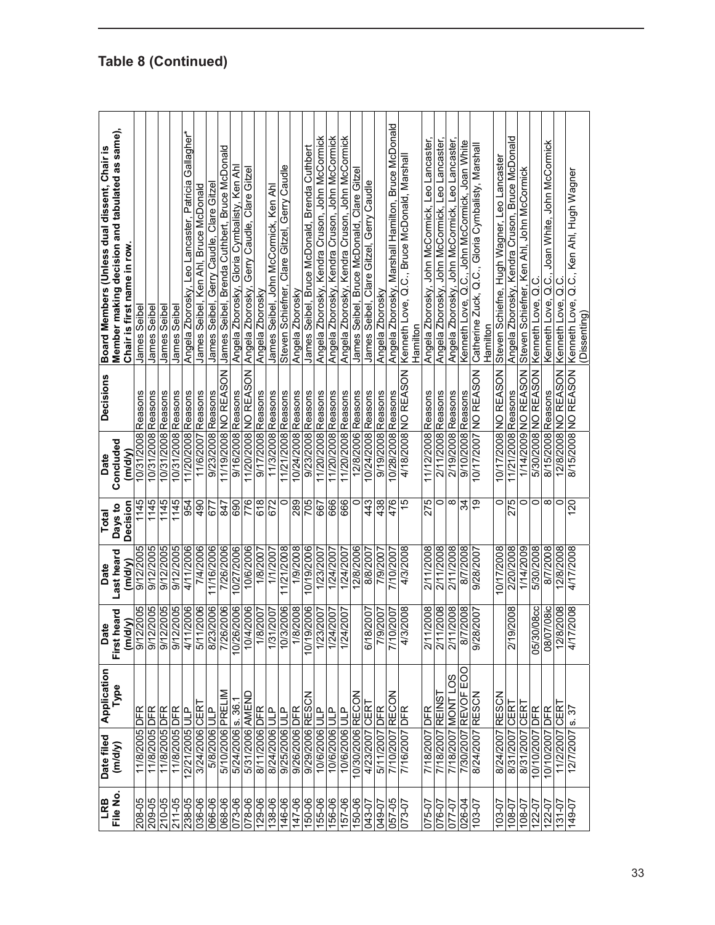| Board Members (Unless dual dissent, Chair is | Member making decision and tabulated as same),<br>Chair is first name in row | James Seibel       | James Seibel       | James Seibel       | James Seibel       | Gallagher*<br>Angela Zborosky, Leo Lancaster, Patricia | James Seibel, Ken Ahl, Bruce McDonald | James Seibel, Gerry Caudle, Clare Gitzer | James Seibel, Brenda Cuthbert, Bruce McDonald | Angela Zborosky, Gloria Cymbalisty, Ken Ahl | Angela Zborosky, Gerry Caudle, Clare Gitzel | Angela Zborosky   | James Seibel, John McCormick, Ken Ahl | Gerry Caudle<br>Steven Schiefner, Clare Gitzel, | Angela Zborosky    | James Seibel, Bruce McDonald, Brenda Cuthbert | Angela Zborosky, Kendra Cruson, John McCormick | Angela Zborosky, Kendra Cruson, John McCormick | Angela Zborosky, Kendra Cruson, John McCormick | James Seibel, Bruce McDonald, Clare Gitzel | James Seibel, Clare Gitzel, Gerry Caudle | Angela Zborosky   | Angela Zborosky, Marshall Hamilton, Bruce McDonald | Kenneth Love, Q.C., Bruce McDonald, Marshal | Hamilton | Angela Zborosky, John McCormick, Leo Lancaster, | Angela Zborosky, John McCormick, Leo Lancaster | Angela Zborosky, John McCormick, Leo Lancaster | Kenneth Love, Q.C., John McCormick, Joan White | Catherine Zuck, Q.C., Gloria Cymbalisty, Marshal | Hamilton | Steven Schiefne, Hugh Wagner, Leo Lancaster | Angela Zborosky, Kendra Cruson, Bruce McDonald | Steven Schiefner, Ken Ahl, John McCormick | Kenneth Love, Q.C   | Kenneth Love, Q.C., Joan White, John McCormick | 12/8/2008 NO REASON Kenneth Love, Q.C | Q.C., Ken Ahl, Hugh Wagner<br>(Dissenting) |
|----------------------------------------------|------------------------------------------------------------------------------|--------------------|--------------------|--------------------|--------------------|--------------------------------------------------------|---------------------------------------|------------------------------------------|-----------------------------------------------|---------------------------------------------|---------------------------------------------|-------------------|---------------------------------------|-------------------------------------------------|--------------------|-----------------------------------------------|------------------------------------------------|------------------------------------------------|------------------------------------------------|--------------------------------------------|------------------------------------------|-------------------|----------------------------------------------------|---------------------------------------------|----------|-------------------------------------------------|------------------------------------------------|------------------------------------------------|------------------------------------------------|--------------------------------------------------|----------|---------------------------------------------|------------------------------------------------|-------------------------------------------|---------------------|------------------------------------------------|---------------------------------------|--------------------------------------------|
| <b>Decisions</b>                             |                                                                              | 10/31/2008 Reasons | 10/31/2008 Reasons | 10/31/2008 Reasons | 10/31/2008 Reasons | Reasons                                                | Reasons                               | 9/23/2008 Reasons                        | 1/19/2008 NO REASON                           | 9/16/2008 Reasons                           | 11/20/2008 NO REASON                        | 9/17/2008 Reasons | 11/3/2008 Reasons                     | 11/21/2008 Reasons                              | 10/24/2008 Reasons | 9/23/2008 Reasons                             | 11/20/2008 Reasons                             | 11/20/2008 Reasons                             | 11/20/2008 Reasons                             | 12/8/2006 Reasons                          | 0/24/2008 Reasons                        | 9/19/2008 Reasons | 10/28/2008 Reasons                                 | 4/18/2008 NO REASON                         |          | 11/12/2008 Reasons                              | 2/11/2008 Reasons                              | 2/19/2008 Reasons                              | 9/10/2008 Reasons                              | NOSVEN ON                                        |          | 10/17/2008 NO REASON                        | 11/21/2008 Reasons                             | 1/14/2009 NO REASON                       | 5/30/2008 NO REASON | 8/15/2008 Reasons                              |                                       | 8/15/2008 NO REASON Kenneth Love,          |
| Date                                         | Concluded<br>(m/d/v)                                                         |                    |                    |                    |                    | 11/20/2008                                             | 11/6/2007                             |                                          |                                               |                                             |                                             |                   |                                       |                                                 |                    |                                               |                                                |                                                |                                                |                                            |                                          |                   |                                                    |                                             |          |                                                 |                                                |                                                |                                                | 0/17/2007                                        |          |                                             |                                                |                                           |                     |                                                |                                       |                                            |
| Total                                        | Decision<br>Days to                                                          | 1145               | 1145               | 1145               | 1145               | 954                                                    | $\frac{1}{26}$                        | 677                                      | 847                                           | 690                                         | 776                                         | 618               | 672                                   | $\circ$                                         | 289                | 705                                           | 667                                            | 666                                            | 666                                            | 0                                          | 443                                      | 438               | 476                                                | 15                                          |          | 275                                             | 0                                              | $\infty$                                       | 있는                                             |                                                  |          | 0                                           | 275                                            | 0                                         | 0                   | $^\infty$                                      | 0                                     | <b>20</b>                                  |
| Date                                         | Last heard<br>(m/dv)                                                         | 9/12/2005          | 9/12/2005          | 9/12/2005          | 9/12/2005          | 4/11/2006                                              | 7/4/2006                              | 11/16/2006                               | 7/26/2006                                     | 10/27/2006                                  | 10/6/2006                                   | 1/8/2007          | 1/1/2007                              | 11/21/2008                                      | 1/9/2008           | 10/19/2006                                    | 1/23/2007                                      | 1/24/2007                                      | 1/24/2007                                      | 12/8/2006                                  | 8/8/2007                                 | 7/9/2007          | 7/10/2007                                          | 4/3/2008                                    |          | 2/11/2008                                       | 2/11/2008                                      | 2/11/2008                                      | 8/7/2008                                       | 9/28/2007                                        |          | 0/17/2008                                   | 2/20/2008                                      | 1/14/2009                                 | 5/30/2008           | 8/7/2008                                       | 12/8/2008                             | 4/17/2008                                  |
| <b>Date</b>                                  | leard<br>Σ<br>First h<br>m/d                                                 | 9/12/2005          | /2005<br>9/12      | /2005<br>9/12      | 9/12/2005          | 1/2006<br>4/11                                         | 1/2006<br>5/11                        | 8/23/2006                                | 7/26/2006                                     | 12006<br>10/26/                             | 10/4/2006                                   | 1/8/2007          | 1/31/2007                             | 10/3/2006                                       | 1/8/2008           | 0/2006<br>$\sqrt{6101}$                       | 1/23/2007                                      | 1/24/2007                                      | 1/24/2007                                      |                                            | /2007<br>6/18                            | /2007<br>7/9,     | 7/10/2007                                          | /2008<br>4/3                                |          | 8002/<br>211                                    | /2008<br>2/11                                  | 2/11/2008                                      | 72008<br>8/7                                   | /2007<br>9/28                                    |          |                                             | /2008<br>219                                   |                                           | 05/30/08cc          | 08/07/08ic                                     | /2008<br>12/8                         | (2008)<br>4/17                             |
| Application                                  | Type                                                                         |                    |                    |                    |                    | م<br>بال                                               |                                       |                                          |                                               |                                             |                                             |                   |                                       |                                                 |                    |                                               | م<br>تا                                        | م<br>بال                                       |                                                |                                            |                                          |                   |                                                    |                                             |          |                                                 |                                                | 7/18/2007 MONT LOS                             | EOO                                            |                                                  |          |                                             | <b>ICER</b>                                    |                                           |                     |                                                |                                       |                                            |
| Date filed                                   | (m/d/y)                                                                      | 11/8/2005 DFR      | 11/8/2005 DFR      | 11/8/2005 DFR      | 11/8/2005 DFR      | 12/21/2005                                             | 3/24/2006 CER                         | 5/8/2006 ULP                             | 5/10/2006 PRELIM                              | 5/24/2006 s. 36.                            | 5/31/2006 AMEND                             | 8/11/2006 DFR     | 8/24/2006 ULP                         | 9/25/2006 ULP                                   | 9/26/2006 DFR      | 9/29/2006 RESCN                               | 10/6/2006                                      | 10/6/2006                                      | 10/6/2006 ULP                                  | 0/30/2006 RECON                            | 4/23/2007 CER                            | 5/11/2007 DFR     | 7/10/2007 RECON                                    | 7/16/2007 DFR                               |          | 7/18/2007 DFR                                   | 7/18/2007 REINS                                |                                                | 7/30/2007 REVOF                                | 8/24/2007 RESCN                                  |          | 8/24/2007 RESCN                             | 8/31/2007                                      | 8/31/2007 CER                             | 10/10/2007 DFR      | 10/10/2007 DFR                                 | 11/2/2007 CER                         | 12/7/2007 s. 37                            |
| LRB                                          | File No.                                                                     | 208-05             | 209-05             | 210-05             | $211 - 05$         | 238-05                                                 | 036-06                                | 066-06                                   | 068-06                                        | 073-06                                      | 078-06                                      | 129-06            | 138-06                                | 146-06                                          | 147-06             | 150-06                                        | 155-06                                         | 156-06                                         | 157-06                                         | 150-06                                     | 043-07                                   | 049-07            | 057-05                                             | 073-07                                      |          | 075-07                                          | 076-07                                         | 077-07                                         | 026-04                                         | 103-07                                           |          | 103-07                                      | 10-801                                         | 10-807                                    | 122-07              | 122-07                                         | $131 - 07$                            | 149-07                                     |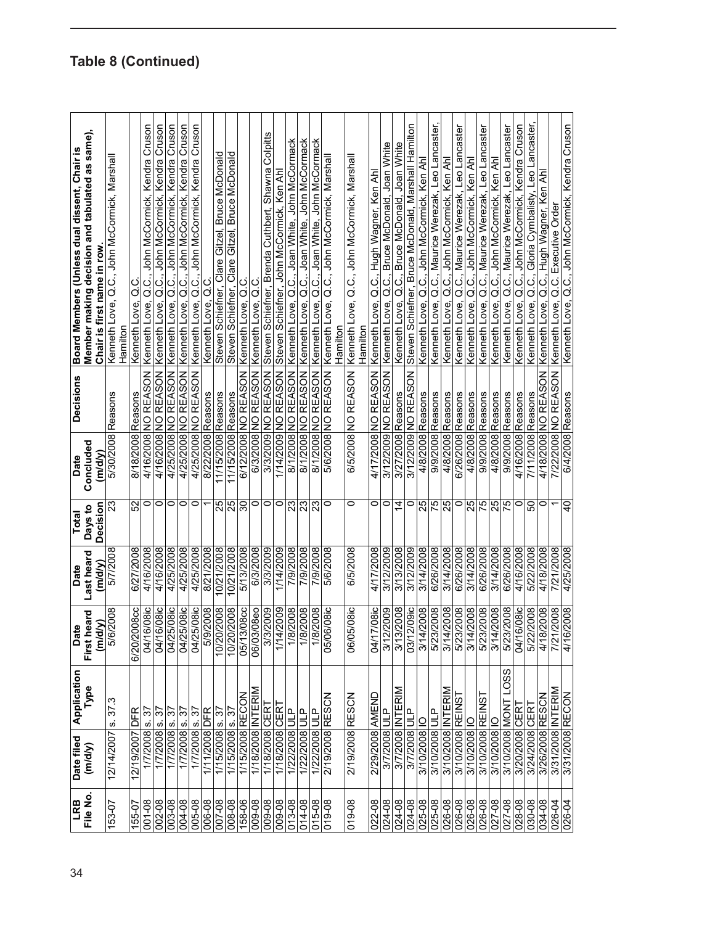| 34 | LRB              | Date filed                            | Application       | Date                                             | Date       | Total           | <b>Decisions</b><br>Date   | Board Members (Unless dual dissent, Chair is                 |
|----|------------------|---------------------------------------|-------------------|--------------------------------------------------|------------|-----------------|----------------------------|--------------------------------------------------------------|
|    | File No.         | (m/d/y)                               | Type              | First heard                                      | Last heard | Days to         | Concluded                  | Member making decision and tabulated as same),               |
|    |                  |                                       |                   | (m/d/y)                                          | (m/d/y)    | Decision        | (m/d/y)                    | Chair is first name in row                                   |
|    | 153-07           | 8.37.3<br>12/14/2007                  |                   | 5/6/2008                                         | 5/7/2008   | 23              | Reasons<br>5/30/2008       | Kenneth Love, Q.C., John McCormick, Marshal<br>Hamilton      |
|    | 155-07           | DFR<br>12/19/2007                     |                   | 6/20/2008cc                                      | 6/27/2008  | 52              | Reasons<br>8/18/2008       | ں<br>$\vec{o}$<br>Kenneth Love,                              |
|    | 001-08           | 2<br><u>vi</u><br>1/7/2008            |                   | 16/08ic<br>04/7                                  | 4/16/2008  | $\circ$         | 4/16/2008 NO REASON        | Q.C., John McCormick, Kendra Cruson<br>Kenneth Love,         |
|    | 002-08           | 1/7/2008 s. 37                        |                   | 16/08ic<br>04/1                                  | 4/16/2008  | 0               | 4/16/2008 NO REASON        | Kenneth Love, Q.C., John McCormick, Kendra Cruson            |
|    | 003-08           | $1/7/2008$ s. 37                      |                   | 25/08ic<br>04/2                                  | 4/25/2008  | $\circ$         | 4/25/2008 NO REASON        | Kenneth Love, Q.C., John McCormick, Kendra Cruson            |
|    | 004-08           | 52<br>$1/7/2008$ s.                   |                   | 04/25/08ic                                       | 4/25/2008  | $\circ$         | 4/25/2008 NO REASON        | Kenneth Love, Q.C., John McCormick, Kendra Cruson            |
|    | 005-08           | 57<br>$\dot{\bm{\omega}}$<br>1/7/2008 |                   | 04/25/08ic                                       | 4/25/2008  | $\circ$         | 4/25/2008 NO REASON        | John McCormick, Kendra Cruson<br>:<br>Ö<br>Kenneth Love,     |
|    | 006-08           | 1/11/2008 DFR                         |                   | 5/9/2008                                         | 8/21/2008  |                 | 8/22/2008 Reasons          | Kenneth Love, Q.C                                            |
|    | 007-08           | 1/15/2008 s.37                        |                   | 10/20/2008                                       | 10/21/2008 |                 | 1/15/2008 Reasons          | Steven Schiefner, Clare Gitzel, Bruce McDonald               |
|    | 008-08           | 1/15/2008 s. 37                       |                   | 10/20/2008                                       | 10/21/2008 | 25              | 11/15/2008 Reasons         | Steven Schiefner, Clare Gitzel, Bruce McDonald               |
|    | 158-06           | 1/15/2008 RECON                       |                   | 3/08cc<br>05/1                                   | 5/13/2008  | $\overline{30}$ | 6/12/2008 NO REASON        | ပ<br>c<br>Kenneth Love,                                      |
|    | 009-08           | 1/18/2008 INTERIM                     |                   | 06/03/08eo                                       | 6/3/2008   | 0               | 6/3/2008 NO REASON         | ن<br>Ö<br>Kenneth Love,                                      |
|    | 009-08           | 1/18/2008 CER                         |                   | 3/3/2009                                         | 3/3/2009   | $\circ$         | 3/3/2009 NO REASON         | Colpitts<br>Steven Schiefner, Brenda Cuthbert, Shawna        |
|    | 009-08           | 1/18/2008 CER                         |                   | 1/14/2009                                        | 1/14/2009  | 0               | <b>I/14/2009 NO REASON</b> | Steven Schiefner, John McCormick, Ken Ah                     |
|    | 013-08           | 1/22/2008 ULP                         |                   | 1/8/2008                                         | 7/9/2008   |                 | 8/1/2008 NO REASON         | Kenneth Love, Q.C., Joan White, John McCormack               |
|    | 014-08           | 1/22/2008 ULP                         |                   | 1/8/2008                                         | 7/9/2008   | ន $\frac{3}{2}$ | 8/1/2008 NO REASON         | Kenneth Love, Q.C,. Joan White, John McCormack               |
|    | $015 - 08$       | 1/22/2008 ULP                         |                   | 1/8/2008                                         | 7/9/2008   |                 | 8/1/2008 NO REASON         | Q.C., Joan White, John McCormack<br>Kenneth Love,            |
|    | 019-08           | 2/19/2008 RESCN                       |                   | <b>D6/08ic</b><br>05/0                           | 5/6/2008   | $\circ$         | 5/6/2008 NO REASON         | Kenneth Love, Q.C., John McCormick, Marshal                  |
|    |                  |                                       |                   |                                                  |            |                 |                            | Hamilton                                                     |
|    | 019-08           | 2/19/2008 RESCN                       |                   | <b>J5/08ic</b><br>06(                            | 6/5/2008   | 0               | 6/5/2008 NO REASON         | Kenneth Love, Q.C., John McCormick, Marshall<br>damilton     |
|    | $022 - 08$       | 2/29/2008 AMEND                       |                   | <b>17/08ic</b><br>डें                            | 4/17/2008  | 0               | 4/17/2008 NO REASON        | Kenneth Love, Q.C., Hugh Wagner, Ken Ah                      |
|    | 024-08           | 3/7/2008 ULP                          |                   | 3/12/2009                                        | 3/12/2009  | 0               | 3/12/2009 NO REASON        | Kenneth Love, Q.C., Bruce McDonald, Joan White               |
|    | 024-08           | INTERIM<br>3/7/2008                   |                   | 3/13/2008                                        | 3/13/2008  | $\overline{4}$  | 3/27/2008 Reasons          | Kenneth Love, Q.C., Bruce McDonald, Joan White               |
|    | 024-08           | a<br>Ju<br>3/7/2008                   |                   | <b>12/09ic</b><br>180                            | 3/12/2009  | $\circ$         | 3/12/2009 NO REASON        | Steven Schiefner, Bruce McDonald, Marshall Hamilton          |
|    | 025-08           | OI 800Z/01/E                          |                   | 3/14/2008                                        | 3/14/2008  | 25              | 4/8/2008 Reasons           | Kenneth Love, Q.C., John McCormick, Ken Ahl                  |
|    | 025-08           | 3/10/2008 ULP                         |                   |                                                  | 6/26/2008  | 75              | 9/9/2008 Reasons           | Kenneth Love, Q.C., Maurice Werezak, Leo Lancaster           |
|    | 026-08           | 3/10/2008 INTERIM                     |                   |                                                  | 3/14/2008  | 57              | 4/8/2008 Reasons           | Kenneth Love, Q.C., John McCormick, Ken Ahl                  |
|    | 80-920<br>80-920 | 3/10/2008 REINST                      |                   | 5/23/2008<br>3/14/2008<br>5/23/2008<br>3/14/2008 | 6/26/2008  | 0               | 6/26/2008 Reasons          | Q.C., Maurice Werezak, Leo Lancaster<br>Kenneth Love,        |
|    |                  | $\subseteq$<br>3/10/2008              |                   |                                                  | 3/14/2008  | 25              | 4/8/2008 Reasons           | Q.C., John McCormick, Ken Ahl<br>Kenneth Love,               |
|    | 026-08           | 3/10/2008 REINST                      |                   | 5/23/2008                                        | 6/26/2008  |                 | 9/9/2008 Reasons           | Q.C., Maurice Werezak, Leo Lancaster<br>Kenneth Love,        |
|    | 027-08           | 3/10/2008 IC                          |                   | 3/14/2008                                        | 3/14/2008  | <b>25</b>       | 4/8/2008 Reasons           | Kenneth Love, Q.C., John McCormick, Ken Ahl                  |
|    | 027-08           | 3/10/2008 MONT                        | LO <sub>S</sub> S | 5/23/2008                                        | 6/26/2008  |                 | 9/9/2008 Reasons           | Kenneth Love, Q.C., Maurice Werezak, Leo Lancaster           |
|    | $0.8 - 0.8$      | 3/20/2008 CER                         |                   | 04/16/08ic                                       | 4/16/2008  | $\circ$         | 4/16/2008 Reasons          | John McCormick, Kendra Cruson<br>C.<br>Q.C.<br>Kenneth Love, |
|    | 030-08           | 3/24/2008 CERT                        |                   | 5/22/2008                                        | 5/22/2008  | င္တ             | 7/11/2008 Reasons          | Lancaster<br>Gloria Cymbalisty, Leo<br>Kenneth Love, Q.C.,   |
|    | 034-08           | 3/26/2008 RESCN                       |                   | 4/18/2008                                        | 4/18/2008  | 0               | 4/18/2008 NO REASON        | Hugh Wagner, Ken Ah<br>Kenneth Love, Q.C.,                   |
|    | 026-04           | 3/31/2008 INTERIM                     |                   | 7/21/2008                                        | 7/21/2008  |                 | 7/22/2008 NO REASON        | Kenneth Love, Q.C. Executive Order                           |
|    | 026-04           | 3/31/2008 RECON                       |                   |                                                  | 4/25/2008  | ទ               | 6/4/2008 Reasons           | Kenneth Love, Q.C., John McCormick, Kendra Cruson            |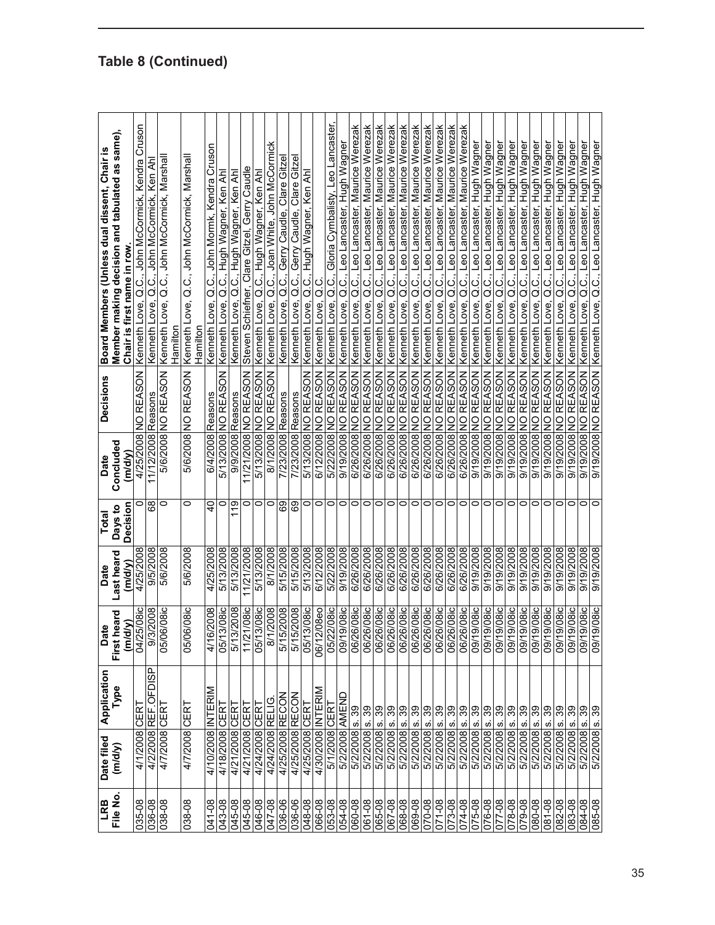| <b>ERL</b> | Date filed        | Application                | <b>Date</b>                 | Date                  | Total                      | Date                | <b>Decisions</b>             | Board Members (Unless dual dissent, Chair is                                 |
|------------|-------------------|----------------------------|-----------------------------|-----------------------|----------------------------|---------------------|------------------------------|------------------------------------------------------------------------------|
| File No.   | (m/d/y)           | Type                       | heard<br>(m/d/y)<br>First I | Last heard<br>(m/d/y) | <b>Decision</b><br>Days to | Concluded<br>(m/dv) |                              | Member making decision and tabulated as same),<br>Chair is first name in row |
| 035-08     | 4/1/2008          | CERT                       |                             | 4/25/2008             | 0                          |                     | 4/25/2008 NO REASON          | Kenneth Love, Q.C., John McCormick, Kendra Cruson                            |
| 036-08     |                   | 4/2/2008 REF.OFDISP        | 04/25/08ic                  | 9/5/2008              | 89                         | 11/12/2008 Reasons  |                              | Kenneth Love, Q.C., John McCormick, Ken Ah                                   |
| 038-08     | 4/7/2008 CERT     |                            | <b>06/08ic</b><br>05/0      | 5/6/2008              | 0                          |                     | 5/6/2008 NO REASON           | Kenneth Love, Q.C., John McCormick, Marshal<br>Hamilton                      |
| 038-08     | 4/7/2008          | <b>CER</b>                 | <b>06/08ic</b><br>05/0      | 5/6/2008              | 0                          |                     | 5/6/2008 NO REASON           | Q.C., John McCormick, Marsha<br>Kenneth Love,<br><b>Hamilton</b>             |
| 041-08     | 4/10/2008         | INTERIM                    | 4/16/2008                   | 4/25/2008             | $\overline{a}$             | 6/4/2008            | Reasons                      | John Mormk, Kendra Cruson<br>a.c.<br>Kenneth Love,                           |
| 043-08     | 4/18/2008 CERT    |                            | 3/08ic<br>05/1              | 5/13/2008             | $\circ$                    |                     | <b>NOSV33 ON 800Z/SL/S</b>   | Q.C., Hugh Wagner, Ken Ahl<br>Kenneth Love,                                  |
| 045-08     | 4/21/2008 CERT    |                            | 5/13/2008                   | 5/13/2008             | 119                        | 9/9/2008 Reasons    |                              | Kenneth Love, Q.C., Hugh Wagner, Ken Ahl                                     |
| 045-08     | 4/21/2008 CERT    |                            | 21/08ic<br>11/2             | 11/21/2008            | 0                          |                     | 11/21/2008 NO REASON         | Steven Schiefner, Clare Gitzel, Gerry Caudle                                 |
| 046-08     | 4/24/2008 CERT    |                            | 3/08ic<br>05/1              | 5/13/2008             | 0                          |                     | 5/13/2008 NO REASON          | Kenneth Love, Q.C., Hugh Wagner, Ken Ahl                                     |
| 047-08     | 4/24/2008 RELIG   |                            | 1/2008<br>$\approx$         | 8/1/2008              | $\circ$                    | 8/1/2008            | NO REASON                    | Q.C., Joan White, John McCormick<br>Kenneth Love,                            |
| 036-06     | 4/25/2008 RECON   |                            | 5/15/2008                   | 5/15/2008             | 89                         | 7/23/2008           | Reasons                      | Clare Gitze<br>Gerry Caudle,<br>ن<br>Ö<br>Kenneth Love,                      |
| 036-06     | 4/25/2008 RECON   |                            | 5/15/2008                   | 5/15/2008             | 89                         | 7/23/2008 Reasons   |                              | Gerry Caudle, Clare Gitze<br>Kenneth Love, Q.C.                              |
| 80-810     | 4/25/2008 CERT    |                            | 3/08ic<br>05/1              | 5/13/2008             | $\circ$                    |                     | 5/13/2008 NO REASON          | Kenneth Love, Q.C., Hugh Wagner, Ken Ahl                                     |
| 066-08     | 4/30/2008 INTERIM |                            | 06/12/08eo                  | 6/12/2008             | $\circ$                    |                     | 6/12/2008 NO REASON          | 0.<br>Ö<br>Kenneth Love,                                                     |
| 053-08     | 5/1/2008 CERT     |                            | 22/08ic<br>05/2             | 5/22/2008             | $\circ$                    |                     | 5/22/2008 NO REASON          | Gloria Cymbalisty, Leo Lancaster,<br>Kenneth Love, Q.C.,                     |
| 054-08     | 5/2/2008 AMEND    |                            | 9/08ic<br>09/1              | 800Z/61/6             | $\circ$                    |                     | <b>NOSY3N ON 800Z/61/6</b>   | Kenneth Love, Q.C., Leo Lancaster, Hugh Wagner                               |
| 060-08     | 5/2/2008 s. 39    |                            | <b>2180/92</b><br>06/2      | 6/26/2008             | $\circ$                    |                     | <b>6/26/29 NO REASON</b>     | Kenneth Love, Q.C., Leo Lancaster, Maurice Werezak                           |
| 061-08     | 5/2/2008 s.       | 39                         | 26/08ic<br>06/2             | 6/26/2008             | $\circ$                    | 6/26/2008 NO        | REASON                       | Q.C., Leo Lancaster, Maurice Werezak<br>Kenneth Love,                        |
| 065-08     | 5/2/2008 s.       | 86                         | <b>26/08ic</b><br>06/2      | 6/26/2008             | $\circ$                    | 6/26/2008           | REASON<br>$\trianglerighteq$ | Maurice Werezak<br>Leo Lancaster,<br>:<br>ن<br>Kenneth Love,                 |
| 067-08     | 5/2/2008          | $\frac{8}{3}$<br><u>ທ່</u> | 06/26/08ic                  | 6/26/2008             | $\circ$                    |                     | 6/26/2008 NO REASON          | Kenneth Love, Q.C., Leo Lancaster, Maurice Werezak                           |
| 068-08     | 5/2/2008 s.       | 86                         | $26/08$ ic<br>06/2          | 6/26/2008             | $\circ$                    |                     | 6/26/2008 NO REASON          | Kenneth Love, Q.C., Leo Lancaster, Maurice Werezak                           |
| 069-08     | 5/2/2008 s.       | 89                         | 26/08ic<br>06/2             | 6/26/2008             | $\circ$                    |                     | 6/26/2008 NO REASON          | Kenneth Love, Q.C., Leo Lancaster, Maurice Werezak                           |
| 070-08     | 5/2/2008 s.       | $\frac{8}{3}$              | 26/08ic<br>06/2             | 6/26/2008             | $\circ$                    |                     | 6/26/2008 NO REASON          | Q.C., Leo Lancaster, Maurice Werezak<br>Kenneth Love,                        |
| 071-08     | 5/2/2008          | <u>ທ່</u>                  | 06/26/08ic                  | 6/26/2008             | $\circ$                    |                     | 6/26/2008 NO REASON          | Kenneth Love, Q.C., Leo Lancaster, Maurice Werezak                           |
| 073-08     | 5/2/2008 s.       | $\frac{8}{3}$              | 06/26/08ic                  | 6/26/2008             | $\circ$                    |                     | <b>NOSV3N ON 800Z/9Z/9</b>   | Maurice Werezak<br>Kenneth Love, Q.C., Leo Lancaster,                        |
| 074-08     | 5/2/2008 s.       | 86                         | <b>26/08ic</b><br>06/2      | 6/26/2008             | $\circ$                    |                     | <b>NOSV3N ON 8002/92/9</b>   | Kenneth Love, Q.C., Leo Lancaster, Maurice Werezak                           |
| 80-920     | 5/2/2008 s.       | 39                         | 9/08ic<br>09/1              | 9/19/2008             | $\circ$                    | 9/19/2008 NO        | REASON                       | Q.C., Leo Lancaster, Hugh Wagner<br>Kenneth Love,                            |
| 076-08     | 5/2/2008 s.       | က္က                        | 9/08 c <br>1/60             | 800Z/61/6             | $\circ$                    |                     | 9/19/2008 NO REASON          | Leo Lancaster, Hugh Wagner<br>Q.C<br>Kenneth Love,                           |
| 077-08     | 5/2/2008          | <u>ທ່</u>                  | 9/08 c <br>-/60             | 9/19/2008             | $\circ$                    |                     | 9/19/2008 NO REASON          | Kenneth Love, Q.C., Leo Lancaster, Hugh Wagner                               |
| 078-08     | 5/2/2008 s.       | ခြွစ္တ                     | 9/08ic<br>$\overline{0}$    | 9/19/2008             | $\circ$                    |                     | 9/19/2008 NO REASON          | Kenneth Love, Q.C., Leo Lancaster, Hugh Wagner                               |
| 079-08     | 5/2/2008 s.       |                            | 9/08ic<br>$\frac{5}{2}$     | 9/19/2008             | $\circ$                    |                     | 9/19/2008 NO REASON          | Kenneth Love, Q.C., Leo Lancaster, Hugh Wagner                               |
| 080-08     | 5/2/2008 s.       | $\frac{8}{3}$              | $9/08$ ic<br>$\frac{5}{2}$  | 9/19/2008             | $\circ$                    |                     | 9/19/2008 NO REASON          | Hugh Wagner<br>Q.C., Leo Lancaster,<br>Kenneth Love,                         |
| 081-08     | 5/2/2008          | <u>ທ່</u>                  | 9/08ic<br>09/1              | 9/19/2008             | $\circ$                    |                     | <b>NOSV33 ON 800Z/61/6</b>   | Hugh Wagner<br>Leo Lancaster,<br>Kenneth Love, Q.C.,                         |
| 082-08     | 5/2/2008 s.       | 39                         | 9/08ic<br>$\overline{9}$    | 8002/61/6             | $\circ$                    |                     | <b>NOSVEN ON 800Z/61/6</b>   | Kenneth Love, Q.C., Leo Lancaster, Hugh Wagner                               |
| 083-08     | 5/2/2008 s.       | <b>BS</b>                  | 9/08ic<br>ò                 | 9/19/2008             | 0                          |                     | NOSVEN ON 800Z/61/6          | Kenneth Love, Q.C., Leo Lancaster, Hugh Wagner                               |
| 084-08     | 5/2/2008 s.       | 39                         | 9/08ic<br>$\overline{60}$   | 9/19/2008             | 0                          |                     | 9/19/2008 NO REASON          | Q.C., Leo Lancaster, Hugh Wagner<br>Kenneth Love,                            |
| 085-08     | 5/2/2008 s.       | 89                         | 9/08ic<br>$-601$            | 800Z/61/6             | 0                          |                     |                              | 9/19/2008 NO REASON   Kenneth Love, Q.C., Leo Lancaster, Hugh Wagner         |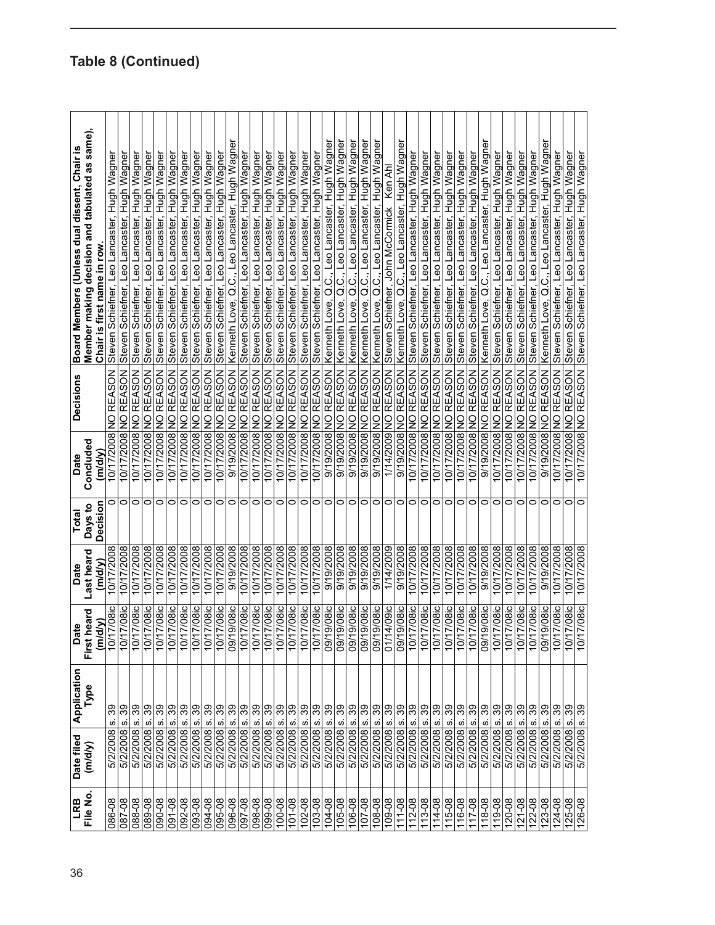| 36                  | $\overline{LRB}$ | Application<br>Date filed                                | <b>Date</b>                           | Date       | <b>Total</b> | <b>Decisions</b><br>Date                     | Board Members (Unless dual dissent, Chair is          |
|---------------------|------------------|----------------------------------------------------------|---------------------------------------|------------|--------------|----------------------------------------------|-------------------------------------------------------|
|                     | File No.         | Type<br>(m/dy)                                           | heard<br><b>First</b>                 | Last heard | Days to      | Concluded                                    | Member making decision and tabulated as same),        |
|                     |                  |                                                          | (m/d/y)                               | (m/d/v)    | Decision     | (m/d/V)                                      | Chair is first name in row                            |
| 086-08              |                  | ທ່<br>5/2/2008                                           | 17/08ic<br>10/1                       | 10/17/2008 | 0            | <b>REASON</b><br>$\frac{1}{2}$<br>10/17/2008 | Steven Schiefner, Leo Lancaster, Hugh Wagner          |
| 087-08              |                  | 39<br><u>က်</u><br>5/2/2008                              | <b>7/08ic</b><br>10/1                 | 10/17/2008 | 0            | REASON<br>$\trianglerighteq$<br>10/17/2008   | Steven Schiefner, Leo Lancaster, Hugh Wagner          |
| 088-08              |                  | 39<br>ω<br>5/2/2008                                      | 7/08ic<br>$\frac{1}{2}$               | 10/17/2008 | 0            | REASON<br>$\frac{1}{2}$<br>10/17/2008        | Steven Schiefner, Leo Lancaster, Hugh Wagner          |
| 089-08              |                  | 89<br><u>ທ່</u><br>5/2/2008                              | 7/08ic<br>ģ                           | 10/17/2008 | 0            | REASON<br>$\frac{1}{2}$<br>10/17/2008        | Steven Schiefner, Leo Lancaster, Hugh Wagner          |
| 090-08              |                  | 89<br>5/2/2008 s.                                        | 7/08ic<br>10/1                        | 10/17/2008 | $\circ$      | REASON<br>$\overline{2}$<br>10/17/2008       | Steven Schiefner, Leo Lancaster, Hugh Wagner          |
| 091-08              |                  | es<br>$\dot{\bm{\omega}}$<br>5/2/2008                    | <b>17/08ic</b><br>10/1                | 10/17/2008 | 0            | <b>REASON</b><br>$\frac{0}{2}$<br>10/17/2008 | Steven Schiefner, Leo Lancaster, Hugh Wagner          |
| 092-08              |                  | 89<br>5/2/2008 s.                                        | 7/08ic<br>$\frac{1}{2}$               | 10/17/2008 | O            | 10/17/2008 NO REASON                         | Steven Schiefner, Leo Lancaster, Hugh Wagner          |
| 093-08              |                  | 89<br>5/2/2008 s.                                        | <b>17/08ic</b><br>$\frac{1}{2}$       | 10/17/2008 | $\circ$      | <b>NOSVER ON 800Z/21/01</b>                  | Steven Schiefner, Leo Lancaster, Hugh Wagner          |
| 094-08              |                  | 89<br>5/2/2008 s.<br>5/2/2008 s.                         | 17/08ic<br>$\overline{5}$             | 10/17/2008 | $\circ$      | REASON<br>$\mathsf{S}$<br>10/17/2008         | Steven Schiefner, Leo Lancaster, Hugh Wagner          |
| 095-08              |                  | 39                                                       | <b>7/08ic</b><br>10/7                 | 10/17/2008 | $\circ$      | 10/17/2008 NO REASON                         | Steven Schiefner, Leo Lancaster, Hugh Wagner          |
| 096-08              |                  | $80^{\circ}$<br>5/2/2008 s.                              | 9/08ic<br>60'                         | 9/19/2008  | $\circ$      | <b>REASON</b><br>9/19/2008 NO                | Kenneth Love, Q.C., Leo Lancaster, Hugh Wagner        |
| 80-760              |                  | 88<br>$\dot{\omega}$<br>5/2/2008                         | $\overline{7/08}$ ic<br>é             | 10/17/2008 | $\circ$      | REASON<br>10/17/2008 NO                      | Steven Schiefner, Leo Lancaster, Hugh Wagner          |
| 098-08              |                  | 86<br><u>ທ່</u><br>5/2/2008                              | 17/08ic<br>$\overline{5}$             | 10/17/2008 | 0            | REASON<br>$\frac{1}{2}$<br>10/17/2008        | Steven Schiefner, Leo Lancaster, Hugh Wagner          |
| 09-08               |                  | 89<br>$\dot{\bm{\omega}}$<br>5/2/2008                    | 7/08ic<br>10/7                        | 10/17/2008 | $\circ$      | <b>NOSVER ON 800Z/11/01</b>                  | Steven Schiefner, Leo Lancaster, Hugh Wagner          |
| 100-08              |                  | 89<br>5/2/2008 s.                                        | 7/08ic<br>ģ                           | 10/17/2008 | $\circ$      | 10/17/2008 NO REASON                         | Steven Schiefner, Leo Lancaster, Hugh Wagner          |
| 101-08              |                  | $\frac{8}{3}$<br>$\dot{\rm o}$<br>5/2/2008               | <b>7/08ic</b><br>$\frac{1}{2}$        | 10/17/2008 | $\circ$      | REASON<br>$\frac{8}{2}$<br>10/17/2008        | Steven Schiefner, Leo Lancaster, Hugh Wagner          |
| 102-08              |                  | $\dot{\bm{\omega}}$<br>5/2/2008                          | <b>7/08ic</b><br>10/7                 | 10/17/2008 | 0            | <b>REASON</b><br>$\frac{1}{2}$<br>10/17/2008 | Steven Schiefner, Leo Lancaster, Hugh Wagner          |
| 103-08              |                  | ခ္ကြန္က<br>$\dot{\bm{\omega}}$<br>5/2/2008               | $\overline{7/08}$ ic<br>$\frac{1}{2}$ | 10/17/2008 | 0            | <b>NO REASON</b><br>10/17/2008               | Steven Schiefner, Leo Lancaster, Hugh Wagner          |
| 104-08              |                  | 5/2/2008 s.                                              | 9/08ic<br>$\overline{5}$              | 9/19/2008  | $\circ$      | 9/19/2008 NO REASON                          | Kenneth Love, Q.C., Leo Lancaster, Hugh Wagner        |
| 105-08              |                  | ္ကာ<br>5/2/2008 s.                                       | 19/08ic<br>09/1                       | 9/19/2008  | $\circ$      | <b>NO REASON</b><br>9/19/2008                | Leo Lancaster, Hugh Wagner<br>Kenneth Love, Q.C.,     |
| 106-08              |                  | <u>vi</u><br>5/2/2008                                    | 19/08ic<br>160                        | 9/19/2008  | $\circ$      | <b>NOSV33 ON 800Z/61/6</b>                   | Kenneth Love, Q.C., Leo Lancaster, Hugh Wagner        |
| $107 - 08$          |                  | 89<br>5/2/2008 s.                                        | 19/08ic<br>ģò                         | 9/19/2008  | $\circ$      | 9/19/2008 NO REASON                          | Leo Lancaster, Hugh Wagner<br>Kenneth Love, Q.C.,     |
| 80-801              |                  | 89<br>5/2/2008 s.                                        | $9/08$ ic<br>$\overline{60}$          | 9/19/2008  | $\circ$      | <b>REASON</b><br>9/19/2008 NO                | Kenneth Love, Q.C., Leo Lancaster, Hugh Wagner        |
| 80-601              |                  | 86<br>$\dot{\bm{\omega}}$<br>5/2/2008                    | 4/09ic<br><b>D170</b>                 | 1/14/2009  | 0            | <b>REASON</b><br>$\frac{1}{2}$<br>1/14/2009  | Ken Ahl<br>Steven Schiefner, John McCormick           |
| 111-08              |                  | $80^{\circ}$<br>ω<br>5/2/2008                            | <b>OI80/61</b><br>1/60                | 800Z/61/6  | 0            | <b>NOSVEN ON 800Z/61/6</b>                   | Kenneth Love, Q.C., Leo Lancaster, Hugh Wagner        |
| 112-08              |                  | $\mathcal{S}^{\circ}$<br>$\dot{\bm{\omega}}$<br>5/2/2008 | 7/08ic<br>ģ                           | 10/17/2008 | $\circ$      | REASON<br>10/17/2008 NO                      | Steven Schiefner, Leo Lancaster, Hugh Wagner          |
| 113-08              |                  | 66<br><u>vi</u><br>5/2/2008                              | $\overline{17/08}$ ic<br>$\sim$       | 10/17/2008 | $\circ$      | REASON<br>$\frac{1}{2}$<br>10/17/2008        | Steven Schiefner, Leo Lancaster, Hugh Wagner          |
| 114-08              |                  | ႙ၟ<br>$\dot{\bm{\omega}}$<br>5/2/2008                    | $\overline{17/08}$ ic<br>10/1         | 10/17/2008 | 0            | <b>REASON</b><br>$\frac{1}{2}$<br>10/17/2008 | Steven Schiefner, Leo Lancaster, Hugh Wagner          |
| 115-08              |                  | 89<br>$\dot{\bm{\omega}}$<br>5/2/2008                    | 7/08ic<br>ó                           | 10/17/2008 | $\circ$      | REASON<br>$\frac{8}{5}$<br>10/17/2008        | Steven Schiefner, Leo Lancaster, Hugh Wagner          |
| 116-08              |                  | ఇ<br><u>ທ່</u><br>5/2/2008                               | 7/08ic<br>ʻio                         | 10/17/2008 | $\circ$      | <b>REASON</b><br>10/17/2008 NO               | Leo Lancaster, Hugh Wagner<br>Steven Schiefner,       |
| 117-08              |                  | 88<br>5/2/2008 s.                                        | $7/08$ ic<br>10/1                     | 10/17/2008 | 0            | REASON<br>$\overline{2}$<br>10/17/2008       | Steven Schiefner, Leo Lancaster, Hugh Wagner          |
| 118-08              |                  | 86<br><u>ທ່</u><br>5/2/2008                              | $9/08$ ic<br>500 <sub>7</sub>         | 9/19/2008  | 0            | REASON<br>$\frac{1}{2}$<br>9/19/2008         | Kenneth Love, Q.C., Leo Lancaster, Hugh Wagner        |
| 119-08              |                  | 89<br><u>ທ່</u><br>5/2/2008                              | 7/08ic<br>$\frac{1}{2}$               | 10/17/2008 | $\circ$      | <b>NO REASON</b><br>10/17/2008               | Steven Schiefner, Leo Lancaster, Hugh Wagner          |
| $120 - 08$          |                  | 89<br>5/2/2008 s.                                        | 7/08ic<br>é                           | 10/17/2008 | $\circ$      | 10/17/2008 NO REASON                         | Steven Schiefner, Leo Lancaster, Hugh Wagner          |
| $121 - 08$          |                  | 88<br><u>vi</u><br>5/2/2008                              | <b>7/08ic</b><br>$\overline{5}$       | 10/17/2008 | 0            | REASON<br>$\trianglerighteq$<br>10/17/2008   | Steven Schiefner, Leo Lancaster, Hugh Wagner          |
| $122 - 08$          |                  | 89<br>$\dot{\rm o}$<br>5/2/2008                          | $\overline{7/08}$ ic<br>ģ             | 10/17/2008 | $\circ$      | <b>NOSVER ON 800Z/11/01</b>                  | Steven Schiefner, Leo Lancaster, Hugh Wagner          |
| $\overline{123-08}$ |                  | 39<br>5/2/2008 s.                                        | 9/08ic<br>09'                         | 9/19/2008  | $\circ$      | <b>REASON</b><br>9/19/2008 NO                | Kenneth Love, Q.C., Leo Lancaster, Hugh Wagner        |
| $124 - 08$          |                  | 89<br><u>ທ່</u><br>5/2/2008                              | $7/08$ ic<br>$\frac{1}{2}$            | 10/17/2008 | $\circ$      | <b>REASON</b><br>$\mathsf{S}$<br>10/17/2008  | Leo Lancaster, Hugh Wagner<br>Steven Schiefner,       |
| $125 - 08$          |                  | 89<br>$\dot{\mathfrak{G}}$<br>5/2/2008                   | 7/08ic<br>10/1                        | 10/17/2008 | 0            | REASON<br>$\frac{1}{2}$<br>10/17/2008        | Hugh Wagner<br>Leo Lancaster,<br>Schiefner,<br>Steven |
| 126-08              |                  | <b>BS</b><br>$\dot{\bm{\omega}}$<br>5/2/2008             | 7/08ic<br>ģ                           | 10/17/2008 |              | <b>REASON</b><br>10/17/2008 NO               | Steven Schiefner, Leo Lancaster, Hugh Wagner          |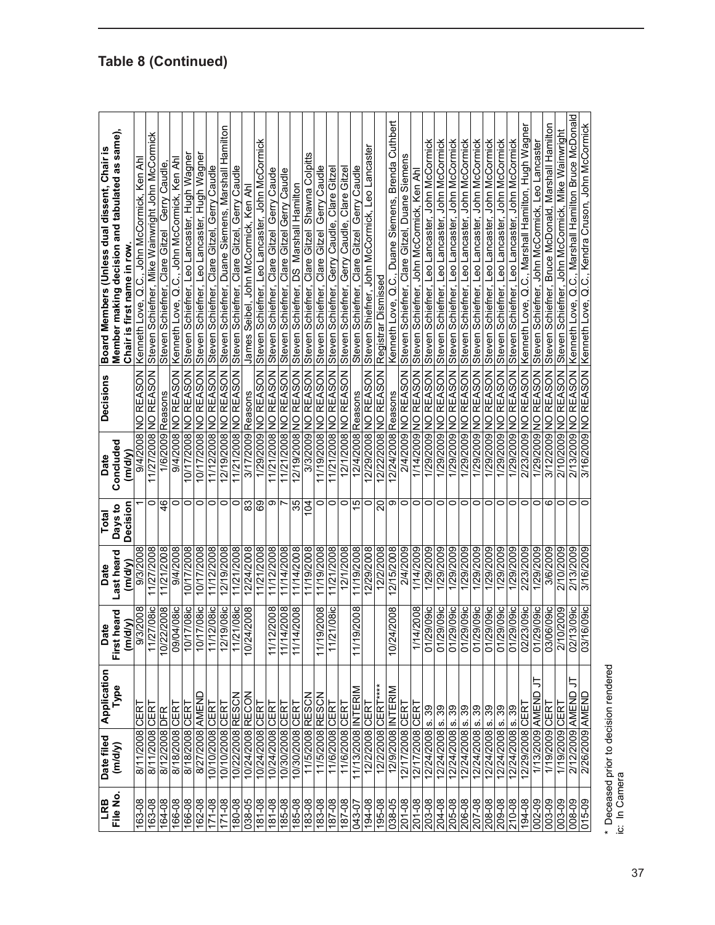| LRB                | Date filed         | Application               | <b>Date</b>                  | Date                  | Total               | <b>Decisions</b><br>Date                    | Board Members (Unless dual dissent, Chair is                                 |
|--------------------|--------------------|---------------------------|------------------------------|-----------------------|---------------------|---------------------------------------------|------------------------------------------------------------------------------|
| File No.           | (m/d/y)            | Type                      | heard<br>(m/d/y)<br>First I  | Last heard<br>(m/d/y) | Decision<br>Days to | Concluded<br>(m/d/y)                        | Member making decision and tabulated as same),<br>Chair is first name in row |
| 163-08             | 8/11/2008          | CERT                      | 9/3/2008                     | 9/3/2008              |                     | 9/4/2008 NO REASON                          | Kenneth Love, Q.C., John McCormick, Ken Ah                                   |
| 163-08             | 8/11/2008 CER      |                           | 11/27/08ic                   | 11/27/2008            | 0                   | 11/27/2008 NO REASON                        | Steven Schiefner, Mike Wainwright John McCormick                             |
| 164-08             | 8/12/2008 DFR      |                           | 10/22/2008                   | 11/21/2008            | $\frac{4}{6}$       | 1/6/2009 Reasons                            | Gerry Caudle<br>Steven Schiefner, Clare Gitzel                               |
| 166-08             | 8/18/2008          | CERT                      | 04/08ic<br>$\frac{50}{20}$   | 9/4/2008              | 0                   | NO REASON<br>9/4/2008                       | Kenneth Love, Q.C., John McCormick, Ken Ah                                   |
| 166-08             | 8/18/2008 CERT     |                           | $7/08$ ic<br>10/1            | 10/17/2008            | 0                   | <b>REASON</b><br>10/17/2008 NO              | Steven Schiefner, Leo Lancaster, Hugh Wagner                                 |
| 162-08             | 8/27/2008 AMEND    |                           | $7/08$ ic<br>$\frac{10}{10}$ | 10/17/2008            | 0                   | 10/17/2008 NO REASON                        | Steven Schiefner, Leo Lancaster, Hugh Wagner                                 |
| $171 - 08$         | 10/10/2008 CERT    |                           | $2/08$ ic<br>11/1            | 11/12/2008            | 0                   | 11/12/2008 NO REASON                        | Steven Schiefner, Clare Gitzel, Gerry Caudle                                 |
| $\frac{171-08}{x}$ | 10/10/2008 CERT    |                           | $9/08$ ic<br>12/1            | 12/19/2008            | 0                   | 12/19/2008 NO REASON                        | Steven Schiefner, Duane Siemens, Marshall Hamilton                           |
| 180-08             | 10/22/2008         | <b>RESCN</b>              | 11/21/08ic                   | 11/21/2008            | 0                   | 11/21/2008 NO REASON                        | Schiefner, Clare Gitzel, Gerry Caudle<br>Steven                              |
| 038-05             | 10/24/2008 RECON   |                           | 10/24/2008                   | 12/24/2008            | 33                  | 3/17/2009 Reasons                           | James Seibel, John McCormick, Ken Ahl                                        |
| 181-08             | 10/24/2008 CERT    |                           |                              | 11/21/2008            | 69                  | 1/29/2009 NO REASON                         | Steven Schiefner, Leo Lancaster, John McCormick                              |
| 181-08             | 10/24/2008 CERT    |                           | 2/2008<br>11/1               | 11/12/2008            | თ                   | 11/21/2008 NO REASON                        | Steven Schiefner, Clare Gitzel Gerry Caude                                   |
| 185-08             | 10/30/2008         | CERT                      | 11/14/2008                   | 11/14/2008            | r                   | 11/21/2008 NO REASON                        | Gerry Caudl<br>Steven Schiefner, Clare Gitzel                                |
| 185-08             | 10/30/2008         | <b>CERT</b>               | 11/14/2008                   | 11/14/2008            | 35                  | NO REASON<br>12/19/2008                     | Marshall Hamilton<br>ပ<br>႐<br>Schiefner,<br>Steven                          |
| 183-08             | 11/5/2008 RESCN    |                           |                              | 11/19/2008            | 104                 | <b>REASON</b><br>3/3/2009 NO                | Shawna Colpitts<br>Clare Gitzel<br>Steven Schiefner,                         |
| 183-08             | 11/5/2008 RESCN    |                           | 11/19/2008                   | 11/19/2008            | 0                   | 11/19/2008 NO REASON                        | Gerry Caudle<br>Clare Gitzel<br>Steven Schiefner,                            |
| 187-08             | 11/6/2008 CERT     |                           | 21/08ic<br>11/2              | 11/21/2008            | 0                   | 11/21/2008 NO REASON                        | Steven Schiefner, Gerry Caudle, Clare Gitze                                  |
| 187-08             | 11/6/2008          | CERT                      |                              | 12/1/2008             | 0                   | 12/1/2008 NO REASON                         | Steven Schiefner, Gerry Caudle, Clare Gitze                                  |
| 043-07             | 11/13/2008 INTERIM |                           | 9/2008<br>11/1               | 11/19/2008            | 15                  | 12/4/2008 Reasons                           | Gerry Caudle<br>Steven Schiefner, Clare Gitzel                               |
| 194-08             | 12/2/2008 CER      |                           |                              | 12/29/2008            | 0                   | <b>NOSV33 ON 8002/62/21</b>                 | Steven Shiefner, John McCormick, Leo Lancaster                               |
| 195-08             | 12/2/2008 CERT**** |                           |                              | 12/2/2008             | 20                  | 12/22/2008 NO REASON                        | Registrar Dismissed                                                          |
| 038-05             | 12/9/2008 INTERIM  |                           | 4/2008<br>10/24              | 12/15/2008            | თ                   | 2/24/2008 Reasons                           | Kenneth Love, Q.C., Duane Siemens, Brenda Cuthbert                           |
| $201 - 08$         | 12/17/2008         | CERT                      |                              | 2/4/2009              | 0                   | <b>NOSV3N ON 600Z/t/Z</b>                   | Steven Schiefner, Clare Gitzel, Duane Siemen                                 |
| 201-08             | 12/17/2008         | CERT                      | 1/14/2008                    | 1/14/2009             | 0                   | 1/14/2009 NO REASON                         | Steven Schiefner, John McCormick, Ken Ahl                                    |
| 203-08             | 12/24/2008         | 39<br>ဖ                   | 29/09ic<br>01/2              | 1/29/2009             | $\circ$             | 1/29/2009 NO REASON                         | Steven Schiefner, Leo Lancaster, John McCormick                              |
| 204-08             | 12/24/2008 s.      | 39                        | 29/09ic<br>01/2              | 1/29/2009             | 0                   | 1/29/29009 NO REASON                        | Steven Schiefner, Leo Lancaster, John McCormick                              |
| 205-08             | 12/24/2008 s.      | 39                        | 29/09ic<br>01/2              | 1/29/2009             | 0                   | 1/29/2009 NO REASON                         | Steven Schiefner, Leo Lancaster, John McCormick                              |
| 206-08             | 12/24/2008         | 39<br><u>ທ່</u>           | 29/09ic<br>01/2              | 1/29/2009             | 0                   | 1/29/2009 NO REASON                         | Steven Schiefner, Leo Lancaster, John McCormick                              |
| $207 - 08$         | 12/24/2008         | 39<br>$\dot{\mathcal{G}}$ | 01/29/09ic                   | 1/29/2009             | 0                   | <b>REASON</b><br>$\frac{1}{2}$<br>1/29/2009 | Steven Schiefner, Leo Lancaster, John McCormick                              |
| 208-08             | 12/24/2008 s.      | တွ                        | 29/09ic<br>01/2              | 1/29/2009             | 0                   | <b>REASON</b><br>1/29/2009 NO               | Steven Schiefner, Leo Lancaster, John McCormick                              |
| 209-08             | 12/24/2008 s.      | 39                        | $29/09$ ic<br>01/2           | 1/29/2009             | 0                   | 1/29/2009 NO REASON                         | Steven Schiefner, Leo Lancaster, John McCormick                              |
| 210-08             | 12/24/2008         | 39<br>$\dot{\bm{\omega}}$ | 29/09ic<br>01/2              | 1/29/2009             | 0                   | <b>REASON</b><br>1/29/2009 NO               | Steven Schiefner, Leo Lancaster, John McCormick                              |
| 194-08             | 12/29/2008 CER     |                           | 23/09ic<br>02/2              | 2/23/2009             | 0                   | REASON<br>2/23/2009 NO                      | Kenneth Love, Q.C., Marshall Hamilton, Hugh Wagner                           |
| 002-09             | 1/13/2009 AMEND    |                           | 01/29/09ic                   | 1/29/2009             | 0                   | <b>REASON</b><br>$\frac{0}{2}$<br>1/29/2009 | eo Lancaster<br>Steven Schiefner, John McCormick,                            |
| 003-09             | 1/19/2009 CER      |                           | <b>08090</b><br>03/0         | 3/6/2009              | ဖ                   | <b>REASON</b><br>3/12/2009 NO               | Steven Schiefner, Bruce McDonald, Marshall Hamilton                          |
| 003-09             | 1/19/2009 CERT     |                           | 2/10/2009                    | 2/10/2009             | 0                   | 2/10/2009 NO REASON                         | Steven Schiefner, John McCormick, Mike Wainwright                            |
| 008-09             | 2/12/2009 AMEND    |                           | 3/09ic<br>02/1               | 2/13/2009             | 0                   | 2/13/2009 NO REASON                         | Kenneth Love, Q.C., Marshall Hamilton Bruce McDonald                         |
| 015-09             | 2/26/2009 AMENI    |                           | $6/09$ ic<br>$\overline{37}$ | 3/16/2009             |                     |                                             | 3/16/2009 NO REASON Kenneth Love, Q.C., Kendra Cruson, John McCormick        |

37

\* Deceased prior to decision rendered

\* Deceased prior to decision rendered<br>ic: In Camera

ic: In Camera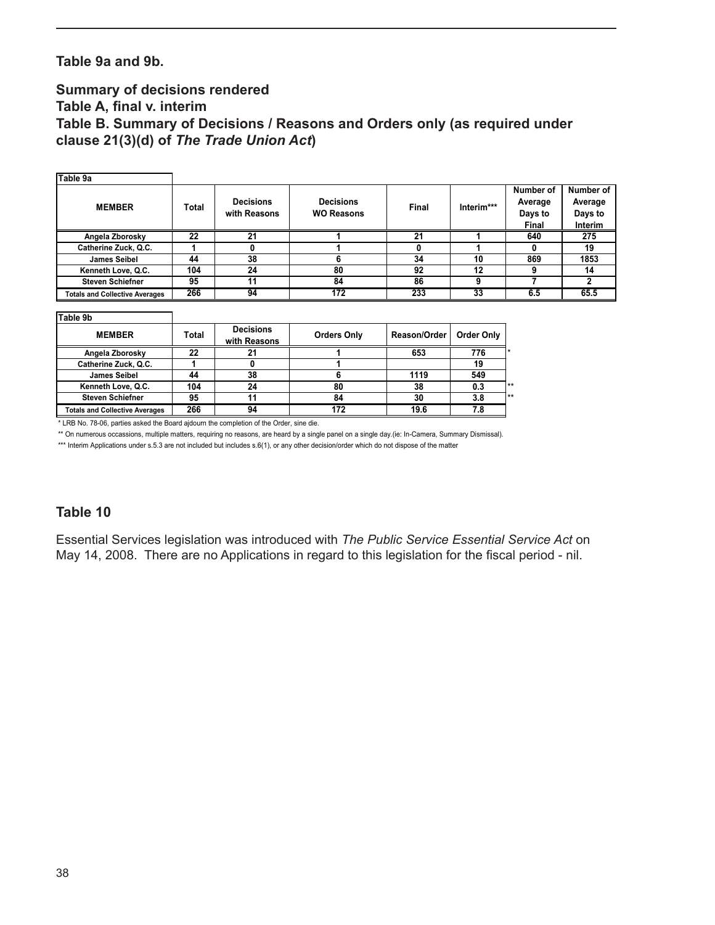#### **Table 9a and 9b.**

#### **Summary of decisions rendered Table A, final v. interim Table B. Summary of Decisions / Reasons and Orders only (as required under clause 21(3)(d) of** *The Trade Union Act***)**

| Table 9a                              |       |                                  |                                       |                     |            |                                          |                                            |
|---------------------------------------|-------|----------------------------------|---------------------------------------|---------------------|------------|------------------------------------------|--------------------------------------------|
| <b>MEMBER</b>                         | Total | <b>Decisions</b><br>with Reasons | <b>Decisions</b><br><b>WO Reasons</b> | Final               | Interim*** | Number of<br>Average<br>Days to<br>Final | Number of<br>Average<br>Days to<br>Interim |
| Angela Zborosky                       | 22    | 21                               |                                       | 21                  |            | 640                                      | 275                                        |
| Catherine Zuck, Q.C.                  |       | 0                                |                                       | 0                   |            | 0                                        | 19                                         |
| <b>James Seibel</b>                   | 44    | 38                               | 6                                     | 34                  | 10         | 869                                      | 1853                                       |
| Kenneth Love, Q.C.                    | 104   | 24                               | 80                                    | 92                  | 12         | 9                                        | 14                                         |
| <b>Steven Schiefner</b>               | 95    | 11                               | 84                                    | 86                  | 9          |                                          | $\mathbf{2}$                               |
| <b>Totals and Collective Averages</b> | 266   | 94                               | 172                                   | 233                 | 33         | 6.5                                      | 65.5                                       |
| Table 9b                              |       |                                  |                                       |                     |            |                                          |                                            |
| <b>MEMBER</b>                         | Total | <b>Decisions</b><br>with Poseone | <b>Orders Only</b>                    | <b>Reason/Order</b> | Order Only |                                          |                                            |

| <b>MEMBER</b>                         | Total | Decisions<br>with Reasons | <b>Orders Only</b> | Reason/Order | Order Only |    |
|---------------------------------------|-------|---------------------------|--------------------|--------------|------------|----|
| Angela Zborosky                       | 22    |                           |                    | 653          | 776        |    |
| Catherine Zuck, Q.C.                  |       |                           |                    |              |            |    |
| <b>James Seibel</b>                   | 44    | 38                        |                    | 1119         | 549        |    |
| Kenneth Love, Q.C.                    | 104   | 24                        | 80                 | 38           | 0.3        | ** |
| <b>Steven Schiefner</b>               | 95    |                           | 84                 | 30           | 3.8        | ** |
| <b>Totals and Collective Averages</b> | 266   | 94                        | 172                | 19.6         | 7.8        |    |

\* LRB No. 78-06, parties asked the Board ajdourn the completion of the Order, sine die.

\*\* On numerous occassions, multiple matters, requiring no reasons, are heard by a single panel on a single day.(ie: In-Camera, Summary Dismissal).

\*\*\* Interim Applications under s.5.3 are not included but includes s.6(1), or any other decision/order which do not dispose of the matter

#### **Table 10**

Essential Services legislation was introduced with *The Public Service Essential Service Act* on May 14, 2008. There are no Applications in regard to this legislation for the fiscal period - nil.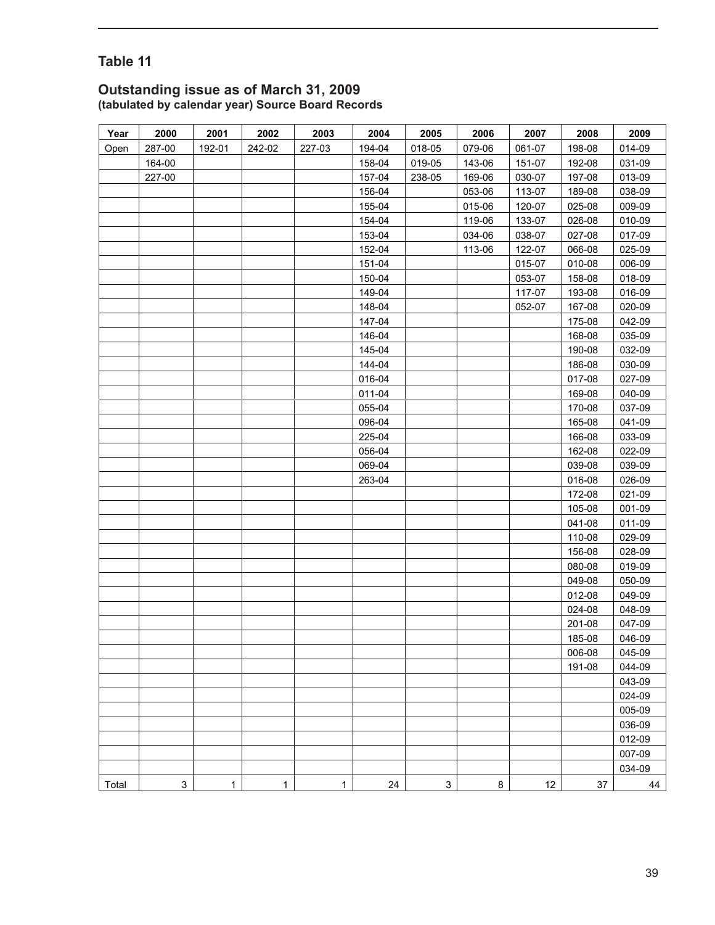#### **Outstanding issue as of March 31, 2009 (tabulated by calendar year) Source Board Records**

| Year  | 2000        | 2001   | 2002         | 2003   | 2004   | 2005        | 2006   | 2007       | 2008   | 2009   |
|-------|-------------|--------|--------------|--------|--------|-------------|--------|------------|--------|--------|
| Open  | 287-00      | 192-01 | 242-02       | 227-03 | 194-04 | 018-05      | 079-06 | 061-07     | 198-08 | 014-09 |
|       | 164-00      |        |              |        | 158-04 | 019-05      | 143-06 | 151-07     | 192-08 | 031-09 |
|       | 227-00      |        |              |        | 157-04 | 238-05      | 169-06 | 030-07     | 197-08 | 013-09 |
|       |             |        |              |        | 156-04 |             | 053-06 | 113-07     | 189-08 | 038-09 |
|       |             |        |              |        | 155-04 |             | 015-06 | 120-07     | 025-08 | 009-09 |
|       |             |        |              |        | 154-04 |             | 119-06 | 133-07     | 026-08 | 010-09 |
|       |             |        |              |        | 153-04 |             | 034-06 | 038-07     | 027-08 | 017-09 |
|       |             |        |              |        | 152-04 |             | 113-06 | $122 - 07$ | 066-08 | 025-09 |
|       |             |        |              |        | 151-04 |             |        | 015-07     | 010-08 | 006-09 |
|       |             |        |              |        | 150-04 |             |        | 053-07     | 158-08 | 018-09 |
|       |             |        |              |        | 149-04 |             |        | 117-07     | 193-08 | 016-09 |
|       |             |        |              |        | 148-04 |             |        | 052-07     | 167-08 | 020-09 |
|       |             |        |              |        | 147-04 |             |        |            | 175-08 | 042-09 |
|       |             |        |              |        | 146-04 |             |        |            | 168-08 | 035-09 |
|       |             |        |              |        | 145-04 |             |        |            | 190-08 | 032-09 |
|       |             |        |              |        | 144-04 |             |        |            | 186-08 | 030-09 |
|       |             |        |              |        | 016-04 |             |        |            | 017-08 | 027-09 |
|       |             |        |              |        | 011-04 |             |        |            | 169-08 | 040-09 |
|       |             |        |              |        | 055-04 |             |        |            | 170-08 | 037-09 |
|       |             |        |              |        | 096-04 |             |        |            | 165-08 | 041-09 |
|       |             |        |              |        | 225-04 |             |        |            | 166-08 | 033-09 |
|       |             |        |              |        | 056-04 |             |        |            | 162-08 | 022-09 |
|       |             |        |              |        | 069-04 |             |        |            | 039-08 | 039-09 |
|       |             |        |              |        | 263-04 |             |        |            | 016-08 | 026-09 |
|       |             |        |              |        |        |             |        |            | 172-08 | 021-09 |
|       |             |        |              |        |        |             |        |            | 105-08 | 001-09 |
|       |             |        |              |        |        |             |        |            | 041-08 | 011-09 |
|       |             |        |              |        |        |             |        |            | 110-08 | 029-09 |
|       |             |        |              |        |        |             |        |            | 156-08 | 028-09 |
|       |             |        |              |        |        |             |        |            | 080-08 | 019-09 |
|       |             |        |              |        |        |             |        |            | 049-08 | 050-09 |
|       |             |        |              |        |        |             |        |            | 012-08 | 049-09 |
|       |             |        |              |        |        |             |        |            | 024-08 | 048-09 |
|       |             |        |              |        |        |             |        |            | 201-08 | 047-09 |
|       |             |        |              |        |        |             |        |            | 185-08 | 046-09 |
|       |             |        |              |        |        |             |        |            | 006-08 | 045-09 |
|       |             |        |              |        |        |             |        |            | 191-08 | 044-09 |
|       |             |        |              |        |        |             |        |            |        | 043-09 |
|       |             |        |              |        |        |             |        |            |        | 024-09 |
|       |             |        |              |        |        |             |        |            |        | 005-09 |
|       |             |        |              |        |        |             |        |            |        | 036-09 |
|       |             |        |              |        |        |             |        |            |        | 012-09 |
|       |             |        |              |        |        |             |        |            |        | 007-09 |
|       |             |        |              |        |        |             |        |            |        | 034-09 |
| Total | $\mathsf 3$ | 1      | $\mathbf{1}$ | 1      | 24     | $\mathsf 3$ | 8      | 12         | 37     | 44     |